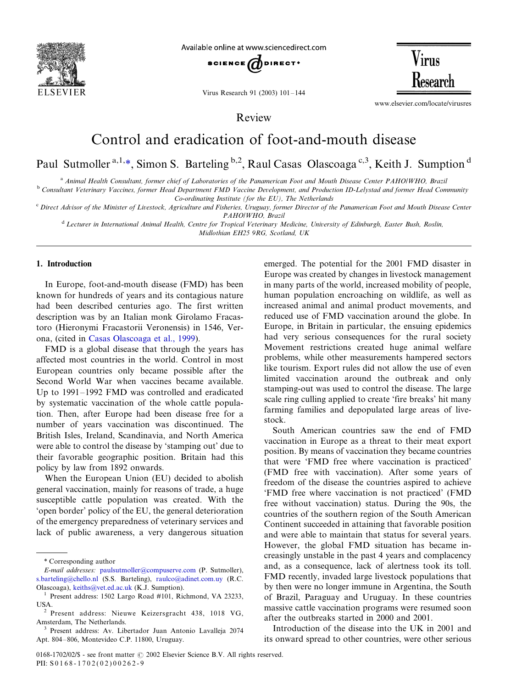

Available online at www.sciencedirect.com



Virus Research 91 (2003) 101-144

Review



www.elsevier.com/locate/virusres

# Control and eradication of foot-and-mouth disease

Paul Sutmoller  $a,1,*$ , Simon S. Barteling  $b,2$ , Raul Casas Olascoaga<sup>c, 3</sup>, Keith J. Sumption  $d$ 

a Animal Health Consultant, former chief of Laboratories of the Panamerican Foot and Mouth Disease Center PAHO/WHO, Brazil

<sup>b</sup> Consultant Veterinary Vaccines, former Head Department FMD Vaccine Development, and Production ID-Lelystad and former Head Community Co-ordinating Institute (for the EU), The Netherlands

 $c$  Direct Advisor of the Minister of Livestock, Agriculture and Fisheries, Uruguay, former Director of the Panamerican Foot and Mouth Disease Center PAHO/WHO, Brazil

<sup>d</sup> Lecturer in International Animal Health, Centre for Tropical Veterinary Medicine, University of Edinburgh, Easter Bush, Roslin, Midlothian EH25 9RG, Scotland, UK

# 1. Introduction

In Europe, foot-and-mouth disease (FMD) has been known for hundreds of years and its contagious nature had been described centuries ago. The first written description was by an Italian monk Girolamo Fracastoro (Hieronymi Fracastorii Veronensis) in 1546, Verona, (cited in [Casas Olascoaga et al., 1999](#page-39-0)).

FMD is a global disease that through the years has affected most countries in the world. Control in most European countries only became possible after the Second World War when vaccines became available. Up to  $1991-1992$  FMD was controlled and eradicated by systematic vaccination of the whole cattle population. Then, after Europe had been disease free for a number of years vaccination was discontinued. The British Isles, Ireland, Scandinavia, and North America were able to control the disease by 'stamping out' due to their favorable geographic position. Britain had this policy by law from 1892 onwards.

When the European Union (EU) decided to abolish general vaccination, mainly for reasons of trade, a huge susceptible cattle population was created. With the 'open border' policy of the EU, the general deterioration of the emergency preparedness of veterinary services and lack of public awareness, a very dangerous situation

\* Corresponding author

emerged. The potential for the 2001 FMD disaster in Europe was created by changes in livestock management in many parts of the world, increased mobility of people, human population encroaching on wildlife, as well as increased animal and animal product movements, and reduced use of FMD vaccination around the globe. In Europe, in Britain in particular, the ensuing epidemics had very serious consequences for the rural society Movement restrictions created huge animal welfare problems, while other measurements hampered sectors like tourism. Export rules did not allow the use of even limited vaccination around the outbreak and only stamping-out was used to control the disease. The large scale ring culling applied to create 'fire breaks' hit many farming families and depopulated large areas of livestock.

South American countries saw the end of FMD vaccination in Europe as a threat to their meat export position. By means of vaccination they became countries that were 'FMD free where vaccination is practiced' (FMD free with vaccination). After some years of freedom of the disease the countries aspired to achieve 'FMD free where vaccination is not practiced' (FMD free without vaccination) status. During the 90s, the countries of the southern region of the South American Continent succeeded in attaining that favorable position and were able to maintain that status for several years. However, the global FMD situation has became increasingly unstable in the past 4 years and complacency and, as a consequence, lack of alertness took its toll. FMD recently, invaded large livestock populations that by then were no longer immune in Argentina, the South of Brazil, Paraguay and Uruguay. In these countries massive cattle vaccination programs were resumed soon after the outbreaks started in 2000 and 2001.

Introduction of the disease into the UK in 2001 and its onward spread to other countries, were other serious

E-mail addresses: [paulsutmoller@compuser](mailto:paulsutmoller@compuserve.com)ve.com (P. Sutmoller), [s.barteling@chello.nl](mailto:s.barteling@chello.nl) (S.S. Barteling), [raulco@adinet.com.uy](mailto:raulco@adinet.com.uy) (R.C.

Olascoaga), keiths@v[et.ed.ac.uk](mailto:keiths@vet.ed.ac.uk) (K.J. Sumption). <sup>1</sup> Present address: 1502 Largo Road #101, Richmond, VA 23233, USA. <sup>2</sup> Present address: Nieuwe Keizersgracht 438, 1018 VG,

Amsterdam, The Netherlands. <sup>3</sup> Present address: Av. Libertador Juan Antonio Lavalleja 2074

Apt. 804-806, Montevideo C.P. 11800, Uruguay.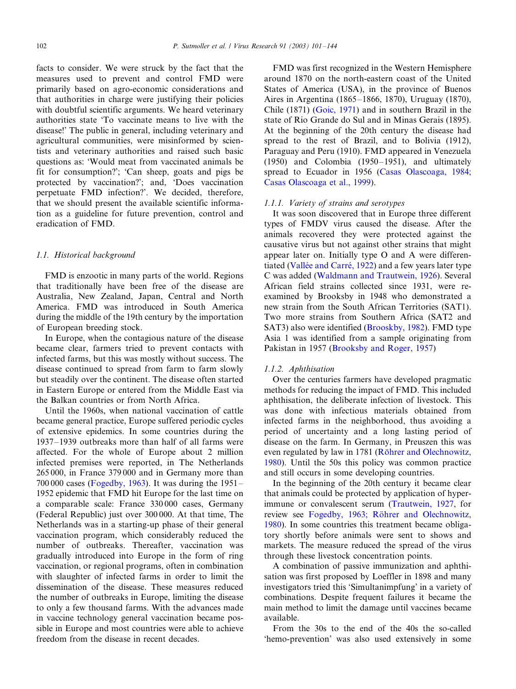<span id="page-1-0"></span>facts to consider. We were struck by the fact that the measures used to prevent and control FMD were primarily based on agro-economic considerations and that authorities in charge were justifying their policies with doubtful scientific arguments. We heard veterinary authorities state 'To vaccinate means to live with the disease!' The public in general, including veterinary and agricultural communities, were misinformed by scientists and veterinary authorities and raised such basic questions as: 'Would meat from vaccinated animals be fit for consumption?'; 'Can sheep, goats and pigs be protected by vaccination?'; and, 'Does vaccination perpetuate FMD infection?'. We decided, therefore, that we should present the available scientific information as a guideline for future prevention, control and eradication of FMD.

#### 1.1. Historical background

FMD is enzootic in many parts of the world. Regions that traditionally have been free of the disease are Australia, New Zealand, Japan, Central and North America. FMD was introduced in South America during the middle of the 19th century by the importation of European breeding stock.

In Europe, when the contagious nature of the disease became clear, farmers tried to prevent contacts with infected farms, but this was mostly without success. The disease continued to spread from farm to farm slowly but steadily over the continent. The disease often started in Eastern Europe or entered from the Middle East via the Balkan countries or from North Africa.

Until the 1960s, when national vaccination of cattle became general practice, Europe suffered periodic cycles of extensive epidemics. In some countries during the  $1937-1939$  outbreaks more than half of all farms were affected. For the whole of Europe about 2 million infected premises were reported, in The Netherlands 265 000, in France 379 000 and in Germany more than 700 000 cases ([Fogedby, 1963\)](#page-40-0). It was during the  $1951-$ 1952 epidemic that FMD hit Europe for the last time on a comparable scale: France 330 000 cases, Germany (Federal Republic) just over 300 000. At that time, The Netherlands was in a starting-up phase of their general vaccination program, which considerably reduced the number of outbreaks. Thereafter, vaccination was gradually introduced into Europe in the form of ring vaccination, or regional programs, often in combination with slaughter of infected farms in order to limit the dissemination of the disease. These measures reduced the number of outbreaks in Europe, limiting the disease to only a few thousand farms. With the advances made in vaccine technology general vaccination became possible in Europe and most countries were able to achieve freedom from the disease in recent decades.

FMD was first recognized in the Western Hemisphere around 1870 on the north-eastern coast of the United States of America (USA), in the province of Buenos Aires in Argentina (1865–1866, 1870), Uruguay (1870), Chile (1871) [\(Goic, 1971](#page-40-0)) and in southern Brazil in the state of Rio Grande do Sul and in Minas Gerais (1895). At the beginning of the 20th century the disease had spread to the rest of Brazil, and to Bolivia (1912), Paraguay and Peru (1910). FMD appeared in Venezuela  $(1950)$  and Colombia  $(1950-1951)$ , and ultimately spread to Ecuador in 1956 [\(Casas Olascoaga, 1984;](#page-39-0) [Casas Olascoaga et al., 1999\)](#page-39-0).

# 1.1.1. Variety of strains and serotypes

It was soon discovered that in Europe three different types of FMDV virus caused the disease. After the animals recovered they were protected against the causative virus but not against other strains that might appear later on. Initially type O and A were differentiated (Vallée and Carré, 1922) and a few years later type C was added ([Waldmann and Trautwein, 1926](#page-43-0)). Several African field strains collected since 1931, were reexamined by Brooksby in 1948 who demonstrated a new strain from the South African Territories (SAT1). Two more strains from Southern Africa (SAT2 and SAT3) also were identified [\(Brooskby, 1982\)](#page-39-0). FMD type Asia 1 was identified from a sample originating from Pakistan in 1957 [\(Brooksby and Roger, 1957\)](#page-39-0)

#### 1.1.2. Aphthisation

Over the centuries farmers have developed pragmatic methods for reducing the impact of FMD. This included aphthisation, the deliberate infection of livestock. This was done with infectious materials obtained from infected farms in the neighborhood, thus avoiding a period of uncertainty and a long lasting period of disease on the farm. In Germany, in Preuszen this was even regulated by law in 1781 (Röhrer and Olechnowitz, [1980\)](#page-41-0). Until the 50s this policy was common practice and still occurs in some developing countries.

In the beginning of the 20th century it became clear that animals could be protected by application of hyperimmune or convalescent serum ([Trautwein, 1927,](#page-43-0) for review see Fogedby, 1963; Röhrer and Olechnowitz, [1980\)](#page-40-0). In some countries this treatment became obligatory shortly before animals were sent to shows and markets. The measure reduced the spread of the virus through these livestock concentration points.

A combination of passive immunization and aphthisation was first proposed by Loeffler in 1898 and many investigators tried this 'Simultanimpfung' in a variety of combinations. Despite frequent failures it became the main method to limit the damage until vaccines became available.

From the 30s to the end of the 40s the so-called 'hemo-prevention' was also used extensively in some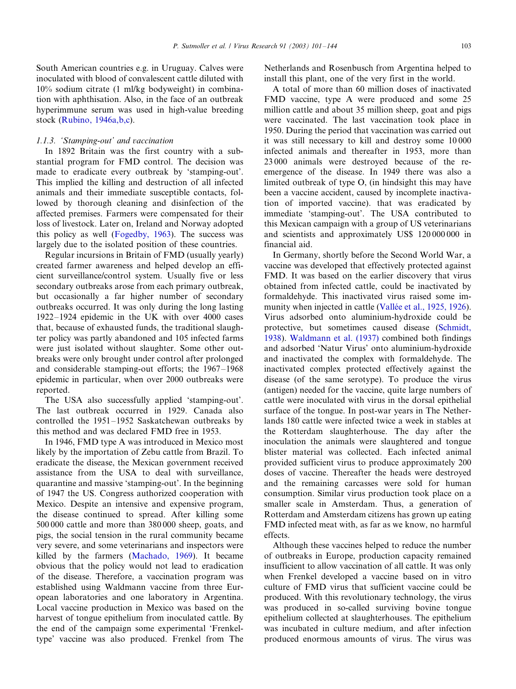South American countries e.g. in Uruguay. Calves were inoculated with blood of convalescent cattle diluted with 10% sodium citrate (1 ml/kg bodyweight) in combination with aphthisation. Also, in the face of an outbreak hyperimmune serum was used in high-value breeding stock [\(Rubino, 1946a,b,c\)](#page-42-0).

# 1.1.3. 'Stamping-out' and vaccination

In 1892 Britain was the first country with a substantial program for FMD control. The decision was made to eradicate every outbreak by 'stamping-out'. This implied the killing and destruction of all infected animals and their immediate susceptible contacts, followed by thorough cleaning and disinfection of the affected premises. Farmers were compensated for their loss of livestock. Later on, Ireland and Norway adopted this policy as well [\(Fogedby, 1963](#page-40-0)). The success was largely due to the isolated position of these countries.

Regular incursions in Britain of FMD (usually yearly) created farmer awareness and helped develop an efficient surveillance/control system. Usually five or less secondary outbreaks arose from each primary outbreak, but occasionally a far higher number of secondary outbreaks occurred. It was only during the long lasting  $1922-1924$  epidemic in the UK with over  $4000$  cases that, because of exhausted funds, the traditional slaughter policy was partly abandoned and 105 infected farms were just isolated without slaughter. Some other outbreaks were only brought under control after prolonged and considerable stamping-out efforts; the  $1967-1968$ epidemic in particular, when over 2000 outbreaks were reported.

The USA also successfully applied 'stamping-out'. The last outbreak occurred in 1929. Canada also controlled the  $1951-1952$  Saskatchewan outbreaks by this method and was declared FMD free in 1953.

In 1946, FMD type A was introduced in Mexico most likely by the importation of Zebu cattle from Brazil. To eradicate the disease, the Mexican government received assistance from the USA to deal with surveillance, quarantine and massive 'stamping-out'. In the beginning of 1947 the US. Congress authorized cooperation with Mexico. Despite an intensive and expensive program, the disease continued to spread. After killing some 500 000 cattle and more than 380 000 sheep, goats, and pigs, the social tension in the rural community became very severe, and some veterinarians and inspectors were killed by the farmers [\(Machado, 1969](#page-41-0)). It became obvious that the policy would not lead to eradication of the disease. Therefore, a vaccination program was established using Waldmann vaccine from three European laboratories and one laboratory in Argentina. Local vaccine production in Mexico was based on the harvest of tongue epithelium from inoculated cattle. By the end of the campaign some experimental 'Frenkeltype' vaccine was also produced. Frenkel from The

Netherlands and Rosenbusch from Argentina helped to install this plant, one of the very first in the world.

A total of more than 60 million doses of inactivated FMD vaccine, type A were produced and some 25 million cattle and about 35 million sheep, goat and pigs were vaccinated. The last vaccination took place in 1950. During the period that vaccination was carried out it was still necessary to kill and destroy some 10 000 infected animals and thereafter in 1953, more than 23 000 animals were destroyed because of the reemergence of the disease. In 1949 there was also a limited outbreak of type O, (in hindsight this may have been a vaccine accident, caused by incomplete inactivation of imported vaccine). that was eradicated by immediate 'stamping-out'. The USA contributed to this Mexican campaign with a group of US veterinarians and scientists and approximately US\$ 120 000 000 in financial aid.

In Germany, shortly before the Second World War, a vaccine was developed that effectively protected against FMD. It was based on the earlier discovery that virus obtained from infected cattle, could be inactivated by formaldehyde. This inactivated virus raised some immunity when injected in cattle (Vallée et al., 1925, 1926). Virus adsorbed onto aluminium-hydroxide could be protective, but sometimes caused disease [\(Schmidt,](#page-42-0) [1938\)](#page-42-0). [Waldmann et al. \(1937\)](#page-43-0) combined both findings and adsorbed 'Natur Virus' onto aluminium-hydroxide and inactivated the complex with formaldehyde. The inactivated complex protected effectively against the disease (of the same serotype). To produce the virus (antigen) needed for the vaccine, quite large numbers of cattle were inoculated with virus in the dorsal epithelial surface of the tongue. In post-war years in The Netherlands 180 cattle were infected twice a week in stables at the Rotterdam slaughterhouse. The day after the inoculation the animals were slaughtered and tongue blister material was collected. Each infected animal provided sufficient virus to produce approximately 200 doses of vaccine. Thereafter the heads were destroyed and the remaining carcasses were sold for human consumption. Similar virus production took place on a smaller scale in Amsterdam. Thus, a generation of Rotterdam and Amsterdam citizens has grown up eating FMD infected meat with, as far as we know, no harmful effects.

Although these vaccines helped to reduce the number of outbreaks in Europe, production capacity remained insufficient to allow vaccination of all cattle. It was only when Frenkel developed a vaccine based on in vitro culture of FMD virus that sufficient vaccine could be produced. With this revolutionary technology, the virus was produced in so-called surviving bovine tongue epithelium collected at slaughterhouses. The epithelium was incubated in culture medium, and after infection produced enormous amounts of virus. The virus was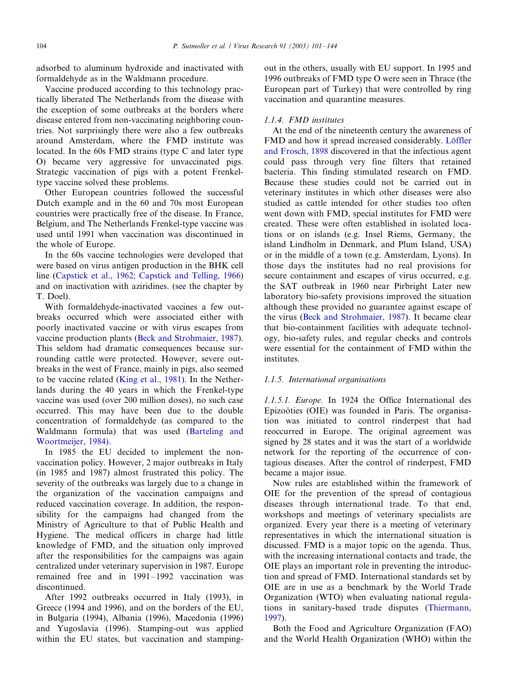adsorbed to aluminum hydroxide and inactivated with formaldehyde as in the Waldmann procedure.

Vaccine produced according to this technology practically liberated The Netherlands from the disease with the exception of some outbreaks at the borders where disease entered from non-vaccinating neighboring countries. Not surprisingly there were also a few outbreaks around Amsterdam, where the FMD institute was located. In the 60s FMD strains (type C and later type O) became very aggressive for unvaccinated pigs. Strategic vaccination of pigs with a potent Frenkeltype vaccine solved these problems.

Other European countries followed the successful Dutch example and in the 60 and 70s most European countries were practically free of the disease. In France, Belgium, and The Netherlands Frenkel-type vaccine was used until 1991 when vaccination was discontinued in the whole of Europe.

In the 60s vaccine technologies were developed that were based on virus antigen production in the BHK cell line [\(Capstick et al., 1962; Capstick and Telling, 1966\)](#page-39-0) and on inactivation with aziridines. (see the chapter by T. Doel).

With formaldehyde-inactivated vaccines a few outbreaks occurred which were associated either with poorly inactivated vaccine or with virus escapes from vaccine production plants ([Beck and Strohmaier, 1987\)](#page-38-0). This seldom had dramatic consequences because surrounding cattle were protected. However, severe outbreaks in the west of France, mainly in pigs, also seemed to be vaccine related [\(King et al., 1981\)](#page-41-0). In the Netherlands during the 40 years in which the Frenkel-type vaccine was used (over 200 million doses), no such case occurred. This may have been due to the double concentration of formaldehyde (as compared to the Waldmann formula) that was used ([Barteling and](#page-38-0) [Woortmeijer, 1984\)](#page-38-0).

In 1985 the EU decided to implement the nonvaccination policy. However, 2 major outbreaks in Italy (in 1985 and 1987) almost frustrated this policy. The severity of the outbreaks was largely due to a change in the organization of the vaccination campaigns and reduced vaccination coverage. In addition, the responsibility for the campaigns had changed from the Ministry of Agriculture to that of Public Health and Hygiene. The medical officers in charge had little knowledge of FMD, and the situation only improved after the responsibilities for the campaigns was again centralized under veterinary supervision in 1987. Europe remained free and in 1991-1992 vaccination was discontinued.

After 1992 outbreaks occurred in Italy (1993), in Greece (1994 and 1996), and on the borders of the EU, in Bulgaria (1994), Albania (1996), Macedonia (1996) and Yugoslavia (1996). Stamping-out was applied within the EU states, but vaccination and stampingout in the others, usually with EU support. In 1995 and 1996 outbreaks of FMD type O were seen in Thrace (the European part of Turkey) that were controlled by ring vaccination and quarantine measures.

#### 1.1.4. FMD institutes

At the end of the nineteenth century the awareness of FMD and how it spread increased considerably. Löffler [and Frosch, 1898](#page-41-0) discovered in that the infectious agent could pass through very fine filters that retained bacteria. This finding stimulated research on FMD. Because these studies could not be carried out in veterinary institutes in which other diseases were also studied as cattle intended for other studies too often went down with FMD, special institutes for FMD were created. These were often established in isolated locations or on islands (e.g. Insel Riems, Germany, the island Lindholm in Denmark, and Plum Island, USA) or in the middle of a town (e.g. Amsterdam, Lyons). In those days the institutes had no real provisions for secure containment and escapes of virus occurred, e.g. the SAT outbreak in 1960 near Pirbright Later new laboratory bio-safety provisions improved the situation although these provided no guarantee against escape of the virus ([Beck and Strohmaier, 1987\)](#page-38-0). It became clear that bio-containment facilities with adequate technology, bio-safety rules, and regular checks and controls were essential for the containment of FMD within the institutes.

#### 1.1.5. International organisations

1.1.5.1. Europe. In 1924 the Office International des Epizoöties (OIE) was founded in Paris. The organisation was initiated to control rinderpest that had reoccurred in Europe. The original agreement was signed by 28 states and it was the start of a worldwide network for the reporting of the occurrence of contagious diseases. After the control of rinderpest, FMD became a major issue.

Now rules are established within the framework of OIE for the prevention of the spread of contagious diseases through international trade. To that end, workshops and meetings of veterinary specialists are organized. Every year there is a meeting of veterinary representatives in which the international situation is discussed. FMD is a major topic on the agenda. Thus, with the increasing international contacts and trade, the OIE plays an important role in preventing the introduction and spread of FMD. International standards set by OIE are in use as a benchmark by the World Trade Organization (WTO) when evaluating national regulations in sanitary-based trade disputes ([Thiermann,](#page-42-0) [1997\)](#page-42-0).

Both the Food and Agriculture Organization (FAO) and the World Health Organization (WHO) within the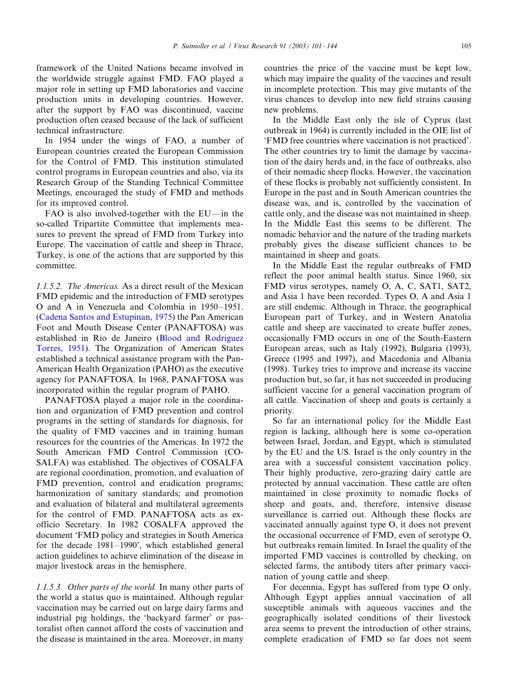framework of the United Nations became involved in the worldwide struggle against FMD. FAO played a major role in setting up FMD laboratories and vaccine production units in developing countries. However, after the support by FAO was discontinued, vaccine production often ceased because of the lack of sufficient technical infrastructure.

In 1954 under the wings of FAO, a number of European countries created the European Commission for the Control of FMD. This institution stimulated control programs in European countries and also, via its Research Group of the Standing Technical Committee Meetings, encouraged the study of FMD and methods for its improved control.

FAO is also involved-together with the  $EU$ -in the so-called Tripartite Committee that implements measures to prevent the spread of FMD from Turkey into Europe. The vaccination of cattle and sheep in Thrace, Turkey, is one of the actions that are supported by this committee.

1.1.5.2. The Americas. As a direct result of the Mexican FMD epidemic and the introduction of FMD serotypes O and A in Venezuela and Colombia in 1950-1951. [\(Cadena Santos and Estupinan, 1975\)](#page-39-0) the Pan American Foot and Mouth Disease Center (PANAFTOSA) was established in Rio de Janeiro ([Blood and Rodriguez](#page-39-0) [Torres, 1951](#page-39-0)). The Organization of American States established a technical assistance program with the Pan-American Health Organization (PAHO) as the executive agency for PANAFTOSA. In 1968, PANAFTOSA was incorporated within the regular program of PAHO.

PANAFTOSA played a major role in the coordination and organization of FMD prevention and control programs in the setting of standards for diagnosis, for the quality of FMD vaccines and in training human resources for the countries of the Americas. In 1972 the South American FMD Control Commission (CO-SALFA) was established. The objectives of COSALFA are regional coordination, promotion, and evaluation of FMD prevention, control and eradication programs; harmonization of sanitary standards; and promotion and evaluation of bilateral and multilateral agreements for the control of FMD. PANAFTOSA acts as exofficio Secretary. In 1982 COSALFA approved the document 'FMD policy and strategies in South America for the decade  $1981-1990'$ , which established general action guidelines to achieve elimination of the disease in major livestock areas in the hemisphere.

1.1.5.3. Other parts of the world. In many other parts of the world a status quo is maintained. Although regular vaccination may be carried out on large dairy farms and industrial pig holdings, the 'backyard farmer' or pastoralist often cannot afford the costs of vaccination and the disease is maintained in the area. Moreover, in many

countries the price of the vaccine must be kept low, which may impaire the quality of the vaccines and result in incomplete protection. This may give mutants of the virus chances to develop into new field strains causing new problems.

In the Middle East only the isle of Cyprus (last outbreak in 1964) is currently included in the OIE list of 'FMD free countries where vaccination is not practiced'. The other countries try to limit the damage by vaccination of the dairy herds and, in the face of outbreaks, also of their nomadic sheep flocks. However, the vaccination of these flocks is probably not sufficiently consistent. In Europe in the past and in South American countries the disease was, and is, controlled by the vaccination of cattle only, and the disease was not maintained in sheep. In the Middle East this seems to be different. The nomadic behavior and the nature of the trading markets probably gives the disease sufficient chances to be maintained in sheep and goats.

In the Middle East the regular outbreaks of FMD reflect the poor animal health status. Since 1960, six FMD virus serotypes, namely O, A, C, SAT1, SAT2, and Asia 1 have been recorded. Types O, A and Asia 1 are still endemic. Although in Thrace, the geographical European part of Turkey, and in Western Anatolia cattle and sheep are vaccinated to create buffer zones, occasionally FMD occurs in one of the South-Eastern European areas, such as Italy (1992), Bulgaria (1993), Greece (1995 and 1997), and Macedonia and Albania (1998). Turkey tries to improve and increase its vaccine production but, so far, it has not succeeded in producing sufficient vaccine for a general vaccination program of all cattle. Vaccination of sheep and goats is certainly a priority.

So far an international policy for the Middle East region is lacking, although here is some co-operation between Israel, Jordan, and Egypt, which is stimulated by the EU and the US. Israel is the only country in the area with a successful consistent vaccination policy. Their highly productive, zero-grazing dairy cattle are protected by annual vaccination. These cattle are often maintained in close proximity to nomadic flocks of sheep and goats, and, therefore, intensive disease surveillance is carried out. Although these flocks are vaccinated annually against type O, it does not prevent the occasional occurrence of FMD, even of serotype O, but outbreaks remain limited. In Israel the quality of the imported FMD vaccines is controlled by checking, on selected farms, the antibody titers after primary vaccination of young cattle and sheep.

For decennia, Egypt has suffered from type O only. Although Egypt applies annual vaccination of all susceptible animals with aqueous vaccines and the geographically isolated conditions of their livestock area seems to prevent the introduction of other strains, complete eradication of FMD so far does not seem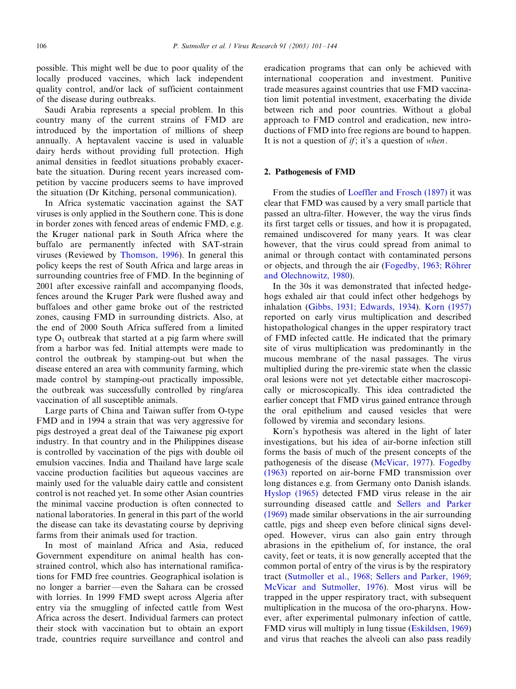possible. This might well be due to poor quality of the locally produced vaccines, which lack independent quality control, and/or lack of sufficient containment of the disease during outbreaks.

Saudi Arabia represents a special problem. In this country many of the current strains of FMD are introduced by the importation of millions of sheep annually. A heptavalent vaccine is used in valuable dairy herds without providing full protection. High animal densities in feedlot situations probably exacerbate the situation. During recent years increased competition by vaccine producers seems to have improved the situation (Dr Kitching, personal communication).

In Africa systematic vaccination against the SAT viruses is only applied in the Southern cone. This is done in border zones with fenced areas of endemic FMD, e.g. the Kruger national park in South Africa where the buffalo are permanently infected with SAT-strain viruses (Reviewed by [Thomson, 1996\)](#page-43-0). In general this policy keeps the rest of South Africa and large areas in surrounding countries free of FMD. In the beginning of 2001 after excessive rainfall and accompanying floods, fences around the Kruger Park were flushed away and buffaloes and other game broke out of the restricted zones, causing FMD in surrounding districts. Also, at the end of 2000 South Africa suffered from a limited type  $O_1$  outbreak that started at a pig farm where swill from a harbor was fed. Initial attempts were made to control the outbreak by stamping-out but when the disease entered an area with community farming, which made control by stamping-out practically impossible, the outbreak was successfully controlled by ring/area vaccination of all susceptible animals.

Large parts of China and Taiwan suffer from O-type FMD and in 1994 a strain that was very aggressive for pigs destroyed a great deal of the Taiwanese pig export industry. In that country and in the Philippines disease is controlled by vaccination of the pigs with double oil emulsion vaccines. India and Thailand have large scale vaccine production facilities but aqueous vaccines are mainly used for the valuable dairy cattle and consistent control is not reached yet. In some other Asian countries the minimal vaccine production is often connected to national laboratories. In general in this part of the world the disease can take its devastating course by depriving farms from their animals used for traction.

In most of mainland Africa and Asia, reduced Government expenditure on animal health has constrained control, which also has international ramifications for FMD free countries. Geographical isolation is no longer a barrier—even the Sahara can be crossed with lorries. In 1999 FMD swept across Algeria after entry via the smuggling of infected cattle from West Africa across the desert. Individual farmers can protect their stock with vaccination but to obtain an export trade, countries require surveillance and control and eradication programs that can only be achieved with international cooperation and investment. Punitive trade measures against countries that use FMD vaccination limit potential investment, exacerbating the divide between rich and poor countries. Without a global approach to FMD control and eradication, new introductions of FMD into free regions are bound to happen. It is not a question of  $if$ ; it's a question of when.

#### 2. Pathogenesis of FMD

From the studies of [Loeffler and Frosch \(1897\)](#page-41-0) it was clear that FMD was caused by a very small particle that passed an ultra-filter. However, the way the virus finds its first target cells or tissues, and how it is propagated, remained undiscovered for many years. It was clear however, that the virus could spread from animal to animal or through contact with contaminated persons or objects, and through the air (Fogedby, 1963; Röhrer [and Olechnowitz, 1980](#page-40-0)).

In the 30s it was demonstrated that infected hedgehogs exhaled air that could infect other hedgehogs by inhalation ([Gibbs, 1931; Edwards, 1934\)](#page-40-0). [Korn \(1957\)](#page-41-0) reported on early virus multiplication and described histopathological changes in the upper respiratory tract of FMD infected cattle. He indicated that the primary site of virus multiplication was predominantly in the mucous membrane of the nasal passages. The virus multiplied during the pre-viremic state when the classic oral lesions were not yet detectable either macroscopically or microscopically. This idea contradicted the earlier concept that FMD virus gained entrance through the oral epithelium and caused vesicles that were followed by viremia and secondary lesions.

Korn's hypothesis was altered in the light of later investigations, but his idea of air-borne infection still forms the basis of much of the present concepts of the pathogenesis of the disease ([McVicar, 1977](#page-41-0)). [Fogedby](#page-40-0) [\(1963\)](#page-40-0) reported on air-borne FMD transmission over long distances e.g. from Germany onto Danish islands. [Hyslop \(1965\)](#page-40-0) detected FMD virus release in the air surrounding diseased cattle and [Sellers and Parker](#page-42-0) [\(1969\)](#page-42-0) made similar observations in the air surrounding cattle, pigs and sheep even before clinical signs developed. However, virus can also gain entry through abrasions in the epithelium of, for instance, the oral cavity, feet or teats, it is now generally accepted that the common portal of entry of the virus is by the respiratory tract [\(Sutmoller et al., 1968; Sellers and Parker, 1969;](#page-42-0) [McVicar and Sutmoller, 1976\)](#page-42-0). Most virus will be trapped in the upper respiratory tract, with subsequent multiplication in the mucosa of the oro-pharynx. However, after experimental pulmonary infection of cattle, FMD virus will multiply in lung tissue ([Eskildsen, 1969\)](#page-40-0) and virus that reaches the alveoli can also pass readily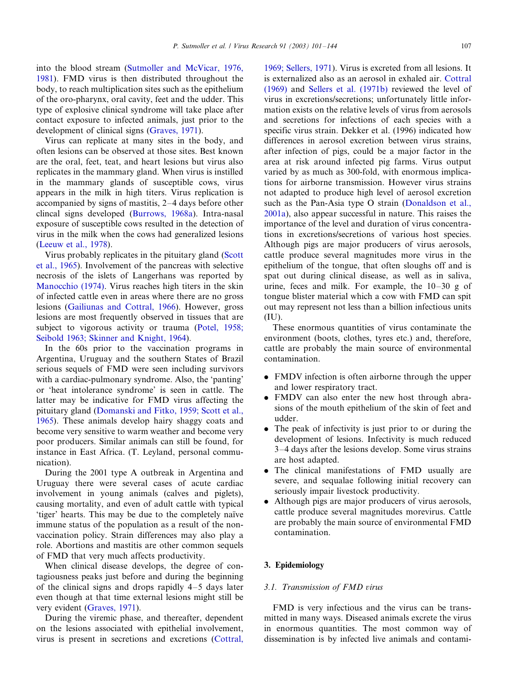into the blood stream ([Sutmoller and McVicar, 1976,](#page-42-0) [1981\)](#page-42-0). FMD virus is then distributed throughout the body, to reach multiplication sites such as the epithelium of the oro-pharynx, oral cavity, feet and the udder. This type of explosive clinical syndrome will take place after contact exposure to infected animals, just prior to the development of clinical signs (Grav[es, 1971\)](#page-40-0).

Virus can replicate at many sites in the body, and often lesions can be observed at those sites. Best known are the oral, feet, teat, and heart lesions but virus also replicates in the mammary gland. When virus is instilled in the mammary glands of susceptible cows, virus appears in the milk in high titers. Virus replication is accompanied by signs of mastitis,  $2-4$  days before other clincal signs developed ([Burrows, 1968a](#page-39-0)). Intra-nasal exposure of susceptible cows resulted in the detection of virus in the milk when the cows had generalized lesions [\(Leeuw et al., 1978\)](#page-41-0).

Virus probably replicates in the pituitary gland ([Scott](#page-42-0) [et al., 1965](#page-42-0)). Involvement of the pancreas with selective necrosis of the islets of Langerhans was reported by [Manocchio \(1974\)](#page-41-0). Virus reaches high titers in the skin of infected cattle even in areas where there are no gross lesions [\(Gailiunas and Cottral, 1966\)](#page-40-0). However, gross lesions are most frequently observed in tissues that are subject to vigorous activity or trauma ([Potel, 1958;](#page-41-0) [Seibold 1963; Skinner and Knight, 1964\)](#page-41-0).

In the 60s prior to the vaccination programs in Argentina, Uruguay and the southern States of Brazil serious sequels of FMD were seen including survivors with a cardiac-pulmonary syndrome. Also, the 'panting' or 'heat intolerance syndrome' is seen in cattle. The latter may be indicative for FMD virus affecting the pituitary gland [\(Domanski and Fitko, 1959; Scott et al.,](#page-39-0) [1965\)](#page-39-0). These animals develop hairy shaggy coats and become very sensitive to warm weather and become very poor producers. Similar animals can still be found, for instance in East Africa. (T. Leyland, personal communication).

During the 2001 type A outbreak in Argentina and Uruguay there were several cases of acute cardiac involvement in young animals (calves and piglets), causing mortality, and even of adult cattle with typical 'tiger' hearts. This may be due to the completely naïve immune status of the population as a result of the nonvaccination policy. Strain differences may also play a role. Abortions and mastitis are other common sequels of FMD that very much affects productivity.

When clinical disease develops, the degree of contagiousness peaks just before and during the beginning of the clinical signs and drops rapidly  $4-5$  days later even though at that time external lesions might still be very evident (Grav[es, 1971](#page-40-0)).

During the viremic phase, and thereafter, dependent on the lesions associated with epithelial involvement, virus is present in secretions and excretions [\(Cottral,](#page-39-0)

[1969; Sellers, 1971](#page-39-0)). Virus is excreted from all lesions. It is externalized also as an aerosol in exhaled air. [Cottral](#page-39-0) [\(1969\)](#page-39-0) and [Sellers et al. \(1971b\)](#page-42-0) reviewed the level of virus in excretions/secretions; unfortunately little information exists on the relative levels of virus from aerosols and secretions for infections of each species with a specific virus strain. Dekker et al. (1996) indicated how differences in aerosol excretion between virus strains, after infection of pigs, could be a major factor in the area at risk around infected pig farms. Virus output varied by as much as 300-fold, with enormous implications for airborne transmission. However virus strains not adapted to produce high level of aerosol excretion such as the Pan-Asia type O strain ([Donaldson et al.,](#page-39-0) [2001a\)](#page-39-0), also appear successful in nature. This raises the importance of the level and duration of virus concentrations in excretions/secretions of various host species. Although pigs are major producers of virus aerosols, cattle produce several magnitudes more virus in the epithelium of the tongue, that often sloughs off and is spat out during clinical disease, as well as in saliva, urine, feces and milk. For example, the  $10-30$  g of tongue blister material which a cow with FMD can spit out may represent not less than a billion infectious units (IU).

These enormous quantities of virus contaminate the environment (boots, clothes, tyres etc.) and, therefore, cattle are probably the main source of environmental contamination.

- . FMDV infection is often airborne through the upper and lower respiratory tract.
- . FMDV can also enter the new host through abrasions of the mouth epithelium of the skin of feet and udder.
- . The peak of infectivity is just prior to or during the development of lesions. Infectivity is much reduced 3–4 days after the lesions develop. Some virus strains are host adapted.
- . The clinical manifestations of FMD usually are severe, and sequalae following initial recovery can seriously impair livestock productivity.
- . Although pigs are major producers of virus aerosols, cattle produce several magnitudes morevirus. Cattle are probably the main source of environmental FMD contamination.

# 3. Epidemiology

#### 3.1. Transmission of FMD virus

FMD is very infectious and the virus can be transmitted in many ways. Diseased animals excrete the virus in enormous quantities. The most common way of dissemination is by infected live animals and contami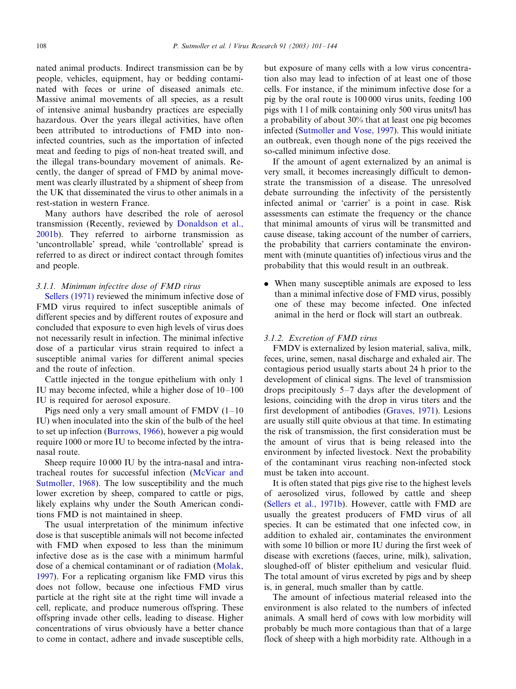nated animal products. Indirect transmission can be by people, vehicles, equipment, hay or bedding contaminated with feces or urine of diseased animals etc. Massive animal movements of all species, as a result of intensive animal husbandry practices are especially hazardous. Over the years illegal activities, have often been attributed to introductions of FMD into noninfected countries, such as the importation of infected meat and feeding to pigs of non-heat treated swill, and the illegal trans-boundary movement of animals. Recently, the danger of spread of FMD by animal movement was clearly illustrated by a shipment of sheep from the UK that disseminated the virus to other animals in a rest-station in western France.

Many authors have described the role of aerosol transmission (Recently, reviewed by [Donaldson et al.,](#page-40-0) [2001b](#page-40-0)). They referred to airborne transmission as 'uncontrollable' spread, while 'controllable' spread is referred to as direct or indirect contact through fomites and people.

#### 3.1.1. Minimum infective dose of FMD virus

[Sellers \(1971\)](#page-42-0) reviewed the minimum infective dose of FMD virus required to infect susceptible animals of different species and by different routes of exposure and concluded that exposure to even high levels of virus does not necessarily result in infection. The minimal infective dose of a particular virus strain required to infect a susceptible animal varies for different animal species and the route of infection.

Cattle injected in the tongue epithelium with only 1 IU may become infected, while a higher dose of  $10-100$ IU is required for aerosol exposure.

Pigs need only a very small amount of  $FMDV$  (1–10 IU) when inoculated into the skin of the bulb of the heel to set up infection [\(Burrows, 1966\)](#page-39-0), however a pig would require 1000 or more IU to become infected by the intranasal route.

Sheep require 10 000 IU by the intra-nasal and intratracheal routes for successful infection ([McVicar and](#page-41-0) [Sutmoller, 1968](#page-41-0)). The low susceptibility and the much lower excretion by sheep, compared to cattle or pigs, likely explains why under the South American conditions FMD is not maintained in sheep.

The usual interpretation of the minimum infective dose is that susceptible animals will not become infected with FMD when exposed to less than the minimum infective dose as is the case with a minimum harmful dose of a chemical contaminant or of radiation ([Molak,](#page-41-0) [1997\)](#page-41-0). For a replicating organism like FMD virus this does not follow, because one infectious FMD virus particle at the right site at the right time will invade a cell, replicate, and produce numerous offspring. These offspring invade other cells, leading to disease. Higher concentrations of virus obviously have a better chance to come in contact, adhere and invade susceptible cells,

but exposure of many cells with a low virus concentration also may lead to infection of at least one of those cells. For instance, if the minimum infective dose for a pig by the oral route is 100 000 virus units, feeding 100 pigs with 1 l of milk containing only 500 virus units/l has a probability of about 30% that at least one pig becomes infected ([Sutmoller and Vose, 1997\)](#page-42-0). This would initiate an outbreak, even though none of the pigs received the so-called minimum infective dose.

If the amount of agent externalized by an animal is very small, it becomes increasingly difficult to demonstrate the transmission of a disease. The unresolved debate surrounding the infectivity of the persistently infected animal or 'carrier' is a point in case. Risk assessments can estimate the frequency or the chance that minimal amounts of virus will be transmitted and cause disease, taking account of the number of carriers, the probability that carriers contaminate the environment with (minute quantities of) infectious virus and the probability that this would result in an outbreak.

. When many susceptible animals are exposed to less than a minimal infective dose of FMD virus, possibly one of these may become infected. One infected animal in the herd or flock will start an outbreak.

#### 3.1.2. Excretion of FMD virus

FMDV is externalized by lesion material, saliva, milk, feces, urine, semen, nasal discharge and exhaled air. The contagious period usually starts about 24 h prior to the development of clinical signs. The level of transmission drops precipitously  $5-7$  days after the development of lesions, coinciding with the drop in virus titers and the first development of antibodies (Grav[es, 1971](#page-40-0)). Lesions are usually still quite obvious at that time. In estimating the risk of transmission, the first consideration must be the amount of virus that is being released into the environment by infected livestock. Next the probability of the contaminant virus reaching non-infected stock must be taken into account.

It is often stated that pigs give rise to the highest levels of aerosolized virus, followed by cattle and sheep [\(Sellers et al., 1971b\)](#page-42-0). However, cattle with FMD are usually the greatest producers of FMD virus of all species. It can be estimated that one infected cow, in addition to exhaled air, contaminates the environment with some 10 billion or more IU during the first week of disease with excretions (faeces, urine, milk), salivation, sloughed-off of blister epithelium and vesicular fluid. The total amount of virus excreted by pigs and by sheep is, in general, much smaller than by cattle.

The amount of infectious material released into the environment is also related to the numbers of infected animals. A small herd of cows with low morbidity will probably be much more contagious than that of a large flock of sheep with a high morbidity rate. Although in a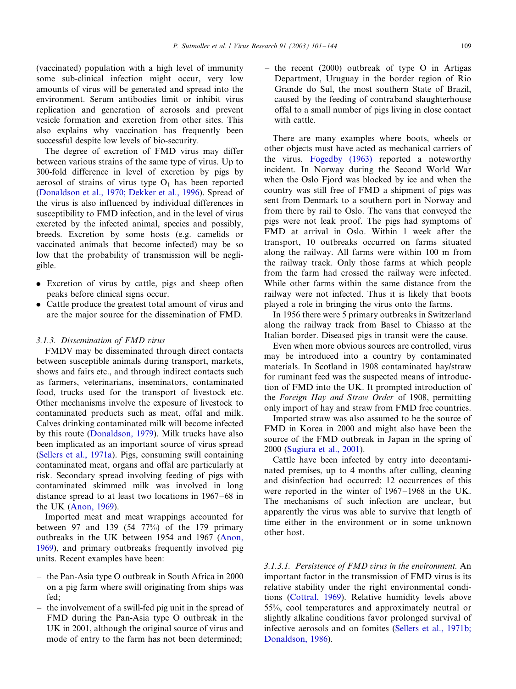(vaccinated) population with a high level of immunity some sub-clinical infection might occur, very low amounts of virus will be generated and spread into the environment. Serum antibodies limit or inhibit virus replication and generation of aerosols and prevent vesicle formation and excretion from other sites. This also explains why vaccination has frequently been successful despite low levels of bio-security.

The degree of excretion of FMD virus may differ between various strains of the same type of virus. Up to 300-fold difference in level of excretion by pigs by aerosol of strains of virus type  $O<sub>1</sub>$  has been reported [\(Donaldson et al., 1970; Dekker et al., 1996](#page-39-0)). Spread of the virus is also influenced by individual differences in susceptibility to FMD infection, and in the level of virus excreted by the infected animal, species and possibly, breeds. Excretion by some hosts (e.g. camelids or vaccinated animals that become infected) may be so low that the probability of transmission will be negligible.

- . Excretion of virus by cattle, pigs and sheep often peaks before clinical signs occur.
- . Cattle produce the greatest total amount of virus and are the major source for the dissemination of FMD.

#### 3.1.3. Dissemination of FMD virus

FMDV may be disseminated through direct contacts between susceptible animals during transport, markets, shows and fairs etc., and through indirect contacts such as farmers, veterinarians, inseminators, contaminated food, trucks used for the transport of livestock etc. Other mechanisms involve the exposure of livestock to contaminated products such as meat, offal and milk. Calves drinking contaminated milk will become infected by this route ([Donaldson, 1979](#page-39-0)). Milk trucks have also been implicated as an important source of virus spread [\(Sellers et al., 1971a](#page-42-0)). Pigs, consuming swill containing contaminated meat, organs and offal are particularly at risk. Secondary spread involving feeding of pigs with contaminated skimmed milk was involved in long distance spread to at least two locations in  $1967-68$  in the UK [\(Anon, 1969\)](#page-38-0).

Imported meat and meat wrappings accounted for between 97 and 139  $(54-77%)$  of the 179 primary outbreaks in the UK between 1954 and 1967 [\(Anon,](#page-38-0) [1969\)](#page-38-0), and primary outbreaks frequently involved pig units. Recent examples have been:

- the Pan-Asia type O outbreak in South Africa in 2000 on a pig farm where swill originating from ships was fed;
- the involvement of a swill-fed pig unit in the spread of FMD during the Pan-Asia type O outbreak in the UK in 2001, although the original source of virus and mode of entry to the farm has not been determined;

- the recent (2000) outbreak of type O in Artigas Department, Uruguay in the border region of Rio Grande do Sul, the most southern State of Brazil, caused by the feeding of contraband slaughterhouse offal to a small number of pigs living in close contact with cattle.

There are many examples where boots, wheels or other objects must have acted as mechanical carriers of the virus. [Fogedby \(1963\)](#page-40-0) reported a noteworthy incident. In Norway during the Second World War when the Oslo Fjord was blocked by ice and when the country was still free of FMD a shipment of pigs was sent from Denmark to a southern port in Norway and from there by rail to Oslo. The vans that conveyed the pigs were not leak proof. The pigs had symptoms of FMD at arrival in Oslo. Within 1 week after the transport, 10 outbreaks occurred on farms situated along the railway. All farms were within 100 m from the railway track. Only those farms at which people from the farm had crossed the railway were infected. While other farms within the same distance from the railway were not infected. Thus it is likely that boots played a role in bringing the virus onto the farms.

In 1956 there were 5 primary outbreaks in Switzerland along the railway track from Basel to Chiasso at the Italian border. Diseased pigs in transit were the cause.

Even when more obvious sources are controlled, virus may be introduced into a country by contaminated materials. In Scotland in 1908 contaminated hay/straw for ruminant feed was the suspected means of introduction of FMD into the UK. It prompted introduction of the Foreign Hay and Straw Order of 1908, permitting only import of hay and straw from FMD free countries.

Imported straw was also assumed to be the source of FMD in Korea in 2000 and might also have been the source of the FMD outbreak in Japan in the spring of 2000 [\(Sugiura et al., 2001](#page-42-0)).

Cattle have been infected by entry into decontaminated premises, up to 4 months after culling, cleaning and disinfection had occurred: 12 occurrences of this were reported in the winter of  $1967-1968$  in the UK. The mechanisms of such infection are unclear, but apparently the virus was able to survive that length of time either in the environment or in some unknown other host.

3.1.3.1. Persistence of FMD virus in the environment. An important factor in the transmission of FMD virus is its relative stability under the right environmental conditions ([Cottral, 1969\)](#page-39-0). Relative humidity levels above 55%, cool temperatures and approximately neutral or slightly alkaline conditions favor prolonged survival of infective aerosols and on fomites [\(Sellers et al., 1971b;](#page-42-0) [Donaldson, 1986](#page-42-0)).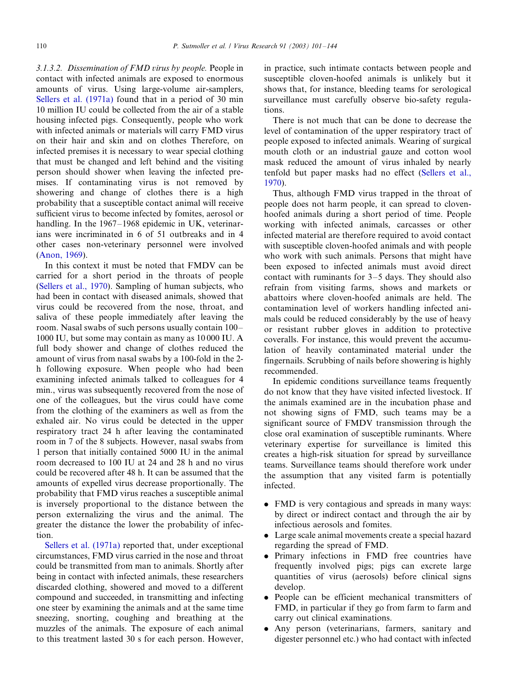3.1.3.2. Dissemination of FMD virus by people. People in contact with infected animals are exposed to enormous amounts of virus. Using large-volume air-samplers, [Sellers et al. \(1971a\)](#page-42-0) found that in a period of 30 min 10 million IU could be collected from the air of a stable housing infected pigs. Consequently, people who work with infected animals or materials will carry FMD virus on their hair and skin and on clothes Therefore, on infected premises it is necessary to wear special clothing that must be changed and left behind and the visiting person should shower when leaving the infected premises. If contaminating virus is not removed by showering and change of clothes there is a high probability that a susceptible contact animal will receive sufficient virus to become infected by fomites, aerosol or handling. In the 1967-1968 epidemic in UK, veterinarians were incriminated in 6 of 51 outbreaks and in 4 other cases non-veterinary personnel were involved [\(Anon, 1969](#page-38-0)).

In this context it must be noted that FMDV can be carried for a short period in the throats of people [\(Sellers et al., 1970\)](#page-42-0). Sampling of human subjects, who had been in contact with diseased animals, showed that virus could be recovered from the nose, throat, and saliva of these people immediately after leaving the room. Nasal swabs of such persons usually contain 100– 1000 IU, but some may contain as many as 10 000 IU. A full body shower and change of clothes reduced the amount of virus from nasal swabs by a 100-fold in the 2 h following exposure. When people who had been examining infected animals talked to colleagues for 4 min., virus was subsequently recovered from the nose of one of the colleagues, but the virus could have come from the clothing of the examiners as well as from the exhaled air. No virus could be detected in the upper respiratory tract 24 h after leaving the contaminated room in 7 of the 8 subjects. However, nasal swabs from 1 person that initially contained 5000 IU in the animal room decreased to 100 IU at 24 and 28 h and no virus could be recovered after 48 h. It can be assumed that the amounts of expelled virus decrease proportionally. The probability that FMD virus reaches a susceptible animal is inversely proportional to the distance between the person externalizing the virus and the animal. The greater the distance the lower the probability of infection.

[Sellers et al. \(1971a\)](#page-42-0) reported that, under exceptional circumstances, FMD virus carried in the nose and throat could be transmitted from man to animals. Shortly after being in contact with infected animals, these researchers discarded clothing, showered and moved to a different compound and succeeded, in transmitting and infecting one steer by examining the animals and at the same time sneezing, snorting, coughing and breathing at the muzzles of the animals. The exposure of each animal to this treatment lasted 30 s for each person. However,

in practice, such intimate contacts between people and susceptible cloven-hoofed animals is unlikely but it shows that, for instance, bleeding teams for serological surveillance must carefully observe bio-safety regulations.

There is not much that can be done to decrease the level of contamination of the upper respiratory tract of people exposed to infected animals. Wearing of surgical mouth cloth or an industrial gauze and cotton wool mask reduced the amount of virus inhaled by nearly tenfold but paper masks had no effect [\(Sellers et al.,](#page-42-0) [1970\)](#page-42-0).

Thus, although FMD virus trapped in the throat of people does not harm people, it can spread to clovenhoofed animals during a short period of time. People working with infected animals, carcasses or other infected material are therefore required to avoid contact with susceptible cloven-hoofed animals and with people who work with such animals. Persons that might have been exposed to infected animals must avoid direct contact with ruminants for  $3-5$  days. They should also refrain from visiting farms, shows and markets or abattoirs where cloven-hoofed animals are held. The contamination level of workers handling infected animals could be reduced considerably by the use of heavy or resistant rubber gloves in addition to protective coveralls. For instance, this would prevent the accumulation of heavily contaminated material under the fingernails. Scrubbing of nails before showering is highly recommended.

In epidemic conditions surveillance teams frequently do not know that they have visited infected livestock. If the animals examined are in the incubation phase and not showing signs of FMD, such teams may be a significant source of FMDV transmission through the close oral examination of susceptible ruminants. Where veterinary expertise for surveillance is limited this creates a high-risk situation for spread by surveillance teams. Surveillance teams should therefore work under the assumption that any visited farm is potentially infected.

- . FMD is very contagious and spreads in many ways: by direct or indirect contact and through the air by infectious aerosols and fomites.
- . Large scale animal movements create a special hazard regarding the spread of FMD.
- . Primary infections in FMD free countries have frequently involved pigs; pigs can excrete large quantities of virus (aerosols) before clinical signs develop.
- . People can be efficient mechanical transmitters of FMD, in particular if they go from farm to farm and carry out clinical examinations.
- . Any person (veterinarians, farmers, sanitary and digester personnel etc.) who had contact with infected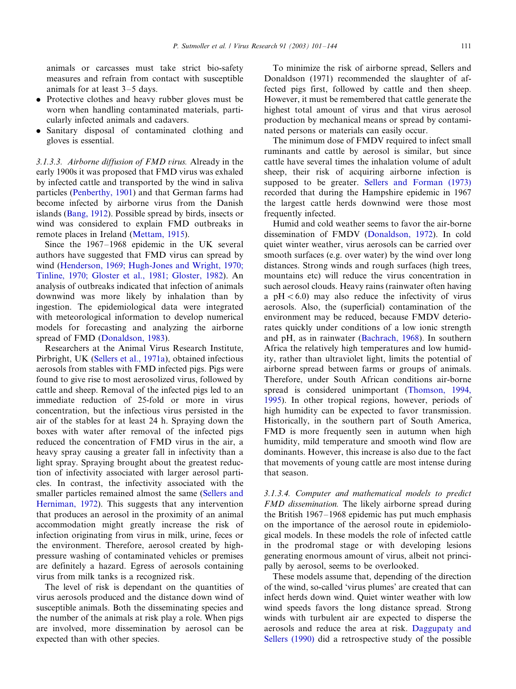animals or carcasses must take strict bio-safety measures and refrain from contact with susceptible animals for at least  $3-5$  days.

- . Protective clothes and heavy rubber gloves must be worn when handling contaminated materials, particularly infected animals and cadavers.
- . Sanitary disposal of contaminated clothing and gloves is essential.

3.1.3.3. Airborne diffusion of FMD virus. Already in the early 1900s it was proposed that FMD virus was exhaled by infected cattle and transported by the wind in saliva particles ([Penberthy, 1901](#page-41-0)) and that German farms had become infected by airborne virus from the Danish islands ([Bang, 1912](#page-38-0)). Possible spread by birds, insects or wind was considered to explain FMD outbreaks in remote places in Ireland ([Mettam, 1915\)](#page-41-0).

Since the  $1967-1968$  epidemic in the UK several authors have suggested that FMD virus can spread by wind [\(Henderson, 1969; Hugh-Jones and Wright, 1970;](#page-40-0) [Tinline, 1970; Gloster et al., 1981; Gloster, 1982](#page-40-0)). An analysis of outbreaks indicated that infection of animals downwind was more likely by inhalation than by ingestion. The epidemiological data were integrated with meteorological information to develop numerical models for forecasting and analyzing the airborne spread of FMD ([Donaldson, 1983](#page-39-0)).

Researchers at the Animal Virus Research Institute, Pirbright, UK ([Sellers et al., 1971a](#page-42-0)), obtained infectious aerosols from stables with FMD infected pigs. Pigs were found to give rise to most aerosolized virus, followed by cattle and sheep. Removal of the infected pigs led to an immediate reduction of 25-fold or more in virus concentration, but the infectious virus persisted in the air of the stables for at least 24 h. Spraying down the boxes with water after removal of the infected pigs reduced the concentration of FMD virus in the air, a heavy spray causing a greater fall in infectivity than a light spray. Spraying brought about the greatest reduction of infectivity associated with larger aerosol particles. In contrast, the infectivity associated with the smaller particles remained almost the same [\(Sellers and](#page-42-0) [Herniman, 1972\)](#page-42-0). This suggests that any intervention that produces an aerosol in the proximity of an animal accommodation might greatly increase the risk of infection originating from virus in milk, urine, feces or the environment. Therefore, aerosol created by highpressure washing of contaminated vehicles or premises are definitely a hazard. Egress of aerosols containing virus from milk tanks is a recognized risk.

The level of risk is dependant on the quantities of virus aerosols produced and the distance down wind of susceptible animals. Both the disseminating species and the number of the animals at risk play a role. When pigs are involved, more dissemination by aerosol can be expected than with other species.

To minimize the risk of airborne spread, Sellers and Donaldson (1971) recommended the slaughter of affected pigs first, followed by cattle and then sheep. However, it must be remembered that cattle generate the highest total amount of virus and that virus aerosol production by mechanical means or spread by contaminated persons or materials can easily occur.

The minimum dose of FMDV required to infect small ruminants and cattle by aerosol is similar, but since cattle have several times the inhalation volume of adult sheep, their risk of acquiring airborne infection is supposed to be greater. [Sellers and Forman \(1973\)](#page-42-0) recorded that during the Hampshire epidemic in 1967 the largest cattle herds downwind were those most frequently infected.

Humid and cold weather seems to favor the air-borne dissemination of FMDV [\(Donaldson, 1972\)](#page-39-0). In cold quiet winter weather, virus aerosols can be carried over smooth surfaces (e.g. over water) by the wind over long distances. Strong winds and rough surfaces (high trees, mountains etc) will reduce the virus concentration in such aerosol clouds. Heavy rains (rainwater often having a  $pH < 6.0$ ) may also reduce the infectivity of virus aerosols. Also, the (superficial) contamination of the environment may be reduced, because FMDV deteriorates quickly under conditions of a low ionic strength and pH, as in rainwater [\(Bachrach, 1968\)](#page-38-0). In southern Africa the relatively high temperatures and low humidity, rather than ultraviolet light, limits the potential of airborne spread between farms or groups of animals. Therefore, under South African conditions air-borne spread is considered unimportant ([Thomson, 1994,](#page-43-0) [1995\)](#page-43-0). In other tropical regions, however, periods of high humidity can be expected to favor transmission. Historically, in the southern part of South America, FMD is more frequently seen in autumn when high humidity, mild temperature and smooth wind flow are dominants. However, this increase is also due to the fact that movements of young cattle are most intense during that season.

3.1.3.4. Computer and mathematical models to predict FMD dissemination. The likely airborne spread during the British  $1967-1968$  epidemic has put much emphasis on the importance of the aerosol route in epidemiological models. In these models the role of infected cattle in the prodromal stage or with developing lesions generating enormous amount of virus, albeit not principally by aerosol, seems to be overlooked.

These models assume that, depending of the direction of the wind, so-called 'virus plumes' are created that can infect herds down wind. Quiet winter weather with low wind speeds favors the long distance spread. Strong winds with turbulent air are expected to disperse the aerosols and reduce the area at risk. [Daggupaty and](#page-39-0) [Sellers \(1990\)](#page-39-0) did a retrospective study of the possible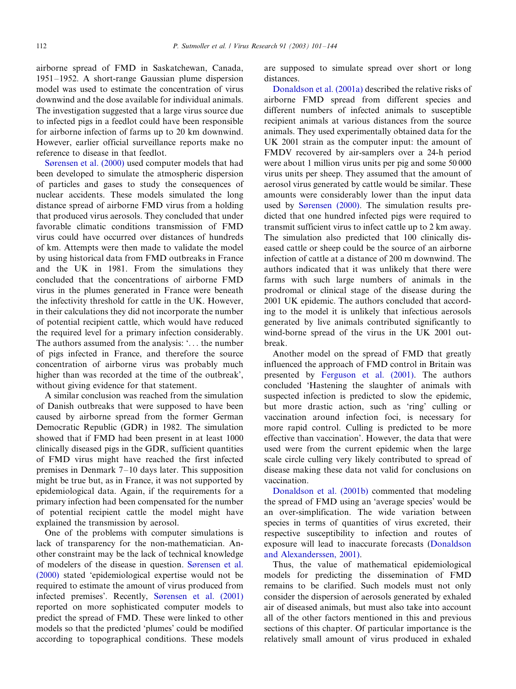airborne spread of FMD in Saskatchewan, Canada, 1951–1952. A short-range Gaussian plume dispersion model was used to estimate the concentration of virus downwind and the dose available for individual animals. The investigation suggested that a large virus source due to infected pigs in a feedlot could have been responsible for airborne infection of farms up to 20 km downwind. However, earlier official surveillance reports make no reference to disease in that feedlot.

[Sørensen et al. \(2000\)](#page-42-0) used computer models that had been developed to simulate the atmospheric dispersion of particles and gases to study the consequences of nuclear accidents. These models simulated the long distance spread of airborne FMD virus from a holding that produced virus aerosols. They concluded that under favorable climatic conditions transmission of FMD virus could have occurred over distances of hundreds of km. Attempts were then made to validate the model by using historical data from FMD outbreaks in France and the UK in 1981. From the simulations they concluded that the concentrations of airborne FMD virus in the plumes generated in France were beneath the infectivity threshold for cattle in the UK. However, in their calculations they did not incorporate the number of potential recipient cattle, which would have reduced the required level for a primary infection considerably. The authors assumed from the analysis: '... the number of pigs infected in France, and therefore the source concentration of airborne virus was probably much higher than was recorded at the time of the outbreak', without giving evidence for that statement.

A similar conclusion was reached from the simulation of Danish outbreaks that were supposed to have been caused by airborne spread from the former German Democratic Republic (GDR) in 1982. The simulation showed that if FMD had been present in at least 1000 clinically diseased pigs in the GDR, sufficient quantities of FMD virus might have reached the first infected premises in Denmark  $7-10$  days later. This supposition might be true but, as in France, it was not supported by epidemiological data. Again, if the requirements for a primary infection had been compensated for the number of potential recipient cattle the model might have explained the transmission by aerosol.

One of the problems with computer simulations is lack of transparency for the non-mathematician. Another constraint may be the lack of technical knowledge of modelers of the disease in question. [Sørensen et al.](#page-42-0) [\(2000\)](#page-42-0) stated 'epidemiological expertise would not be required to estimate the amount of virus produced from infected premises'. Recently, [Sørensen et al. \(2001\)](#page-42-0) reported on more sophisticated computer models to predict the spread of FMD. These were linked to other models so that the predicted 'plumes' could be modified according to topographical conditions. These models

are supposed to simulate spread over short or long distances.

[Donaldson et al. \(2001a\)](#page-39-0) described the relative risks of airborne FMD spread from different species and different numbers of infected animals to susceptible recipient animals at various distances from the source animals. They used experimentally obtained data for the UK 2001 strain as the computer input: the amount of FMDV recovered by air-samplers over a 24-h period were about 1 million virus units per pig and some 50 000 virus units per sheep. They assumed that the amount of aerosol virus generated by cattle would be similar. These amounts were considerably lower than the input data used by [Sørensen \(2000\).](#page-42-0) The simulation results predicted that one hundred infected pigs were required to transmit sufficient virus to infect cattle up to 2 km away. The simulation also predicted that 100 clinically diseased cattle or sheep could be the source of an airborne infection of cattle at a distance of 200 m downwind. The authors indicated that it was unlikely that there were farms with such large numbers of animals in the prodromal or clinical stage of the disease during the 2001 UK epidemic. The authors concluded that according to the model it is unlikely that infectious aerosols generated by live animals contributed significantly to wind-borne spread of the virus in the UK 2001 outbreak.

Another model on the spread of FMD that greatly influenced the approach of FMD control in Britain was presented by [Ferguson et al. \(2001\).](#page-40-0) The authors concluded 'Hastening the slaughter of animals with suspected infection is predicted to slow the epidemic, but more drastic action, such as 'ring' culling or vaccination around infection foci, is necessary for more rapid control. Culling is predicted to be more effective than vaccination'. However, the data that were used were from the current epidemic when the large scale circle culling very likely contributed to spread of disease making these data not valid for conclusions on vaccination.

[Donaldson et al. \(2001b\)](#page-40-0) commented that modeling the spread of FMD using an 'average species' would be an over-simplification. The wide variation between species in terms of quantities of virus excreted, their respective susceptibility to infection and routes of exposure will lead to inaccurate forecasts ([Donaldson](#page-39-0) [and Alexanderssen, 2001\)](#page-39-0).

Thus, the value of mathematical epidemiological models for predicting the dissemination of FMD remains to be clarified. Such models must not only consider the dispersion of aerosols generated by exhaled air of diseased animals, but must also take into account all of the other factors mentioned in this and previous sections of this chapter. Of particular importance is the relatively small amount of virus produced in exhaled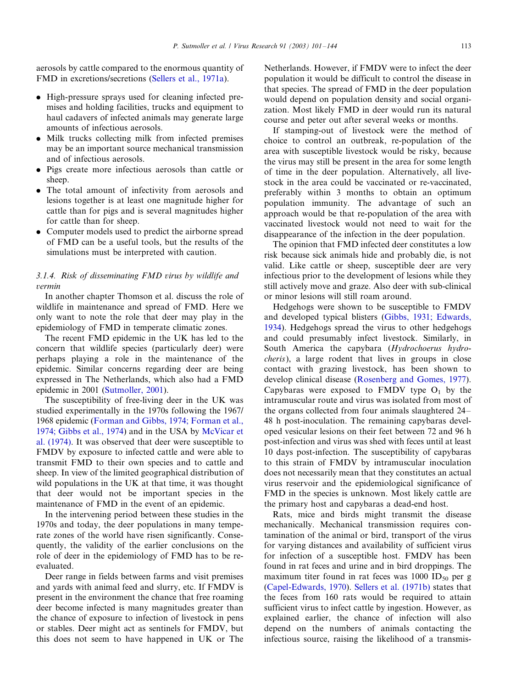aerosols by cattle compared to the enormous quantity of FMD in excretions/secretions [\(Sellers et al., 1971a\)](#page-42-0).

- . High-pressure sprays used for cleaning infected premises and holding facilities, trucks and equipment to haul cadavers of infected animals may generate large amounts of infectious aerosols.
- . Milk trucks collecting milk from infected premises may be an important source mechanical transmission and of infectious aerosols.
- . Pigs create more infectious aerosols than cattle or sheep.
- . The total amount of infectivity from aerosols and lesions together is at least one magnitude higher for cattle than for pigs and is several magnitudes higher for cattle than for sheep.
- . Computer models used to predict the airborne spread of FMD can be a useful tools, but the results of the simulations must be interpreted with caution.

# 3.1.4. Risk of disseminating FMD virus by wildlife and vermin

In another chapter Thomson et al. discuss the role of wildlife in maintenance and spread of FMD. Here we only want to note the role that deer may play in the epidemiology of FMD in temperate climatic zones.

The recent FMD epidemic in the UK has led to the concern that wildlife species (particularly deer) were perhaps playing a role in the maintenance of the epidemic. Similar concerns regarding deer are being expressed in The Netherlands, which also had a FMD epidemic in 2001 [\(Sutmoller, 2001\)](#page-42-0).

The susceptibility of free-living deer in the UK was studied experimentally in the 1970s following the 1967/ 1968 epidemic [\(Forman and Gibbs, 1974; Forman et al.,](#page-40-0) [1974; Gibbs et al., 1974\)](#page-40-0) and in the USA by [McVicar et](#page-41-0) [al. \(1974\)](#page-41-0). It was observed that deer were susceptible to FMDV by exposure to infected cattle and were able to transmit FMD to their own species and to cattle and sheep. In view of the limited geographical distribution of wild populations in the UK at that time, it was thought that deer would not be important species in the maintenance of FMD in the event of an epidemic.

In the intervening period between these studies in the 1970s and today, the deer populations in many temperate zones of the world have risen significantly. Consequently, the validity of the earlier conclusions on the role of deer in the epidemiology of FMD has to be reevaluated.

Deer range in fields between farms and visit premises and yards with animal feed and slurry, etc. If FMDV is present in the environment the chance that free roaming deer become infected is many magnitudes greater than the chance of exposure to infection of livestock in pens or stables. Deer might act as sentinels for FMDV, but this does not seem to have happened in UK or The

Netherlands. However, if FMDV were to infect the deer population it would be difficult to control the disease in that species. The spread of FMD in the deer population would depend on population density and social organization. Most likely FMD in deer would run its natural course and peter out after several weeks or months.

If stamping-out of livestock were the method of choice to control an outbreak, re-population of the area with susceptible livestock would be risky, because the virus may still be present in the area for some length of time in the deer population. Alternatively, all livestock in the area could be vaccinated or re-vaccinated. preferably within 3 months to obtain an optimum population immunity. The advantage of such an approach would be that re-population of the area with vaccinated livestock would not need to wait for the disappearance of the infection in the deer population.

The opinion that FMD infected deer constitutes a low risk because sick animals hide and probably die, is not valid. Like cattle or sheep, susceptible deer are very infectious prior to the development of lesions while they still actively move and graze. Also deer with sub-clinical or minor lesions will still roam around.

Hedgehogs were shown to be susceptible to FMDV and developed typical blisters ([Gibbs, 1931; Edwards,](#page-40-0) [1934\)](#page-40-0). Hedgehogs spread the virus to other hedgehogs and could presumably infect livestock. Similarly, in South America the capybara (Hydrochoerus hydrocheris), a large rodent that lives in groups in close contact with grazing livestock, has been shown to develop clinical disease [\(Rosenberg and Gomes, 1977\)](#page-41-0). Capybaras were exposed to FMDV type  $O_1$  by the intramuscular route and virus was isolated from most of the organs collected from four animals slaughtered  $24-$ 48 h post-inoculation. The remaining capybaras developed vesicular lesions on their feet between 72 and 96 h post-infection and virus was shed with feces until at least 10 days post-infection. The susceptibility of capybaras to this strain of FMDV by intramuscular inoculation does not necessarily mean that they constitutes an actual virus reservoir and the epidemiological significance of FMD in the species is unknown. Most likely cattle are the primary host and capybaras a dead-end host.

Rats, mice and birds might transmit the disease mechanically. Mechanical transmission requires contamination of the animal or bird, transport of the virus for varying distances and availability of sufficient virus for infection of a susceptible host. FMDV has been found in rat feces and urine and in bird droppings. The maximum titer found in rat feces was  $1000$  ID<sub>50</sub> per g [\(Capel-Edwards, 1970\)](#page-39-0). [Sellers et al. \(1971b\)](#page-42-0) states that the feces from 160 rats would be required to attain sufficient virus to infect cattle by ingestion. However, as explained earlier, the chance of infection will also depend on the numbers of animals contacting the infectious source, raising the likelihood of a transmis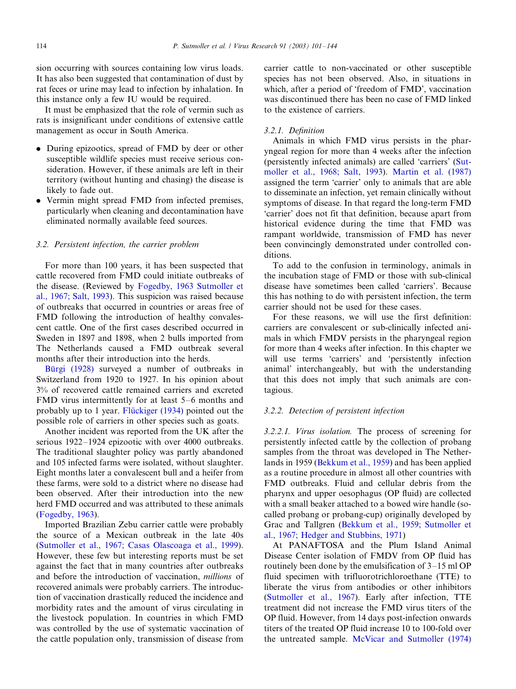sion occurring with sources containing low virus loads. It has also been suggested that contamination of dust by rat feces or urine may lead to infection by inhalation. In this instance only a few IU would be required.

It must be emphasized that the role of vermin such as rats is insignificant under conditions of extensive cattle management as occur in South America.

- . During epizootics, spread of FMD by deer or other susceptible wildlife species must receive serious consideration. However, if these animals are left in their territory (without hunting and chasing) the disease is likely to fade out.
- . Vermin might spread FMD from infected premises, particularly when cleaning and decontamination have eliminated normally available feed sources.

#### 3.2. Persistent infection, the carrier problem

For more than 100 years, it has been suspected that cattle recovered from FMD could initiate outbreaks of the disease. (Reviewed by [Fogedby, 1963](#page-40-0) [Sutmoller et](#page-42-0) [al., 1967; Salt, 1993](#page-42-0)). This suspicion was raised because of outbreaks that occurred in countries or areas free of FMD following the introduction of healthy convalescent cattle. One of the first cases described occurred in Sweden in 1897 and 1898, when 2 bulls imported from The Netherlands caused a FMD outbreak several months after their introduction into the herds.

Bürgi (1928) surveyed a number of outbreaks in Switzerland from 1920 to 1927. In his opinion about 3% of recovered cattle remained carriers and excreted FMD virus intermittently for at least 5–6 months and probably up to 1 year. Flückiger (1934) pointed out the possible role of carriers in other species such as goats.

Another incident was reported from the UK after the serious  $1922-1924$  epizootic with over 4000 outbreaks. The traditional slaughter policy was partly abandoned and 105 infected farms were isolated, without slaughter. Eight months later a convalescent bull and a heifer from these farms, were sold to a district where no disease had been observed. After their introduction into the new herd FMD occurred and was attributed to these animals [\(Fogedby, 1963\)](#page-40-0).

Imported Brazilian Zebu carrier cattle were probably the source of a Mexican outbreak in the late 40s [\(Sutmoller et al., 1967; Casas Olascoaga et al., 1999\)](#page-42-0). However, these few but interesting reports must be set against the fact that in many countries after outbreaks and before the introduction of vaccination, millions of recovered animals were probably carriers. The introduction of vaccination drastically reduced the incidence and morbidity rates and the amount of virus circulating in the livestock population. In countries in which FMD was controlled by the use of systematic vaccination of the cattle population only, transmission of disease from

carrier cattle to non-vaccinated or other susceptible species has not been observed. Also, in situations in which, after a period of 'freedom of FMD', vaccination was discontinued there has been no case of FMD linked to the existence of carriers.

#### 3.2.1. Definition

Animals in which FMD virus persists in the pharyngeal region for more than 4 weeks after the infection (persistently infected animals) are called 'carriers' [\(Sut](#page-42-0)[moller et al., 1968; Salt, 1993\)](#page-42-0). [Martin et al. \(1987\)](#page-41-0) assigned the term 'carrier' only to animals that are able to disseminate an infection, yet remain clinically without symptoms of disease. In that regard the long-term FMD 'carrier' does not fit that definition, because apart from historical evidence during the time that FMD was rampant worldwide, transmission of FMD has never been convincingly demonstrated under controlled conditions.

To add to the confusion in terminology, animals in the incubation stage of FMD or those with sub-clinical disease have sometimes been called 'carriers'. Because this has nothing to do with persistent infection, the term carrier should not be used for these cases.

For these reasons, we will use the first definition: carriers are convalescent or sub-clinically infected animals in which FMDV persists in the pharyngeal region for more than 4 weeks after infection. In this chapter we will use terms 'carriers' and 'persistently infection animal' interchangeably, but with the understanding that this does not imply that such animals are contagious.

#### 3.2.2. Detection of persistent infection

3.2.2.1. Virus isolation. The process of screening for persistently infected cattle by the collection of probang samples from the throat was developed in The Netherlands in 1959 [\(Bekkum et al., 1959\)](#page-38-0) and has been applied as a routine procedure in almost all other countries with FMD outbreaks. Fluid and cellular debris from the pharynx and upper oesophagus (OP fluid) are collected with a small beaker attached to a bowed wire handle (socalled probang or probang-cup) originally developed by Grac and Tallgren [\(Bekkum et al., 1959; Sutmoller et](#page-38-0) [al., 1967; Hedger and Stubbins, 1971\)](#page-38-0)

At PANAFTOSA and the Plum Island Animal Disease Center isolation of FMDV from OP fluid has routinely been done by the emulsification of  $3-15$  ml OP fluid specimen with trifluorotrichloroethane (TTE) to liberate the virus from antibodies or other inhibitors [\(Sutmoller et al., 1967\)](#page-42-0). Early after infection, TTE treatment did not increase the FMD virus titers of the OP fluid. However, from 14 days post-infection onwards titers of the treated OP fluid increase 10 to 100-fold over the untreated sample. [McVicar and Sutmoller \(1974\)](#page-41-0)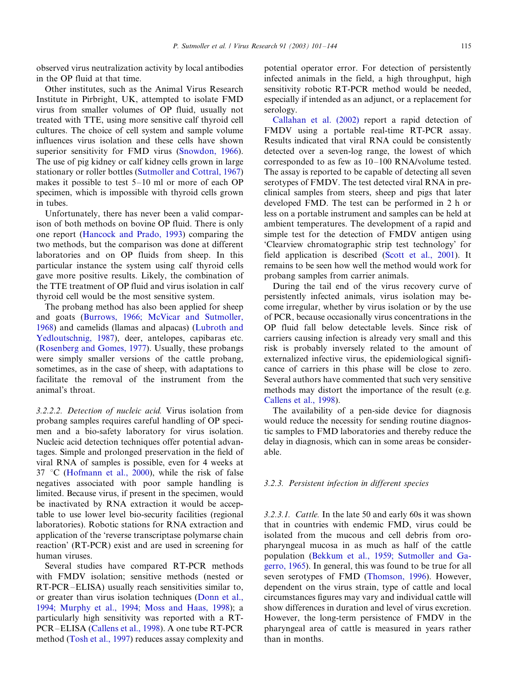observed virus neutralization activity by local antibodies in the OP fluid at that time.

Other institutes, such as the Animal Virus Research Institute in Pirbright, UK, attempted to isolate FMD virus from smaller volumes of OP fluid, usually not treated with TTE, using more sensitive calf thyroid cell cultures. The choice of cell system and sample volume influences virus isolation and these cells have shown superior sensitivity for FMD virus ([Snowdon, 1966\)](#page-42-0). The use of pig kidney or calf kidney cells grown in large stationary or roller bottles ([Sutmoller and Cottral, 1967\)](#page-42-0) makes it possible to test  $5-10$  ml or more of each OP specimen, which is impossible with thyroid cells grown in tubes.

Unfortunately, there has never been a valid comparison of both methods on bovine OP fluid. There is only one report [\(Hancock and Prado, 1993\)](#page-40-0) comparing the two methods, but the comparison was done at different laboratories and on OP fluids from sheep. In this particular instance the system using calf thyroid cells gave more positive results. Likely, the combination of the TTE treatment of OP fluid and virus isolation in calf thyroid cell would be the most sensitive system.

The probang method has also been applied for sheep and goats [\(Burrows, 1966; McVicar and Sutmoller,](#page-39-0) [1968\)](#page-39-0) and camelids (llamas and alpacas) [\(Lubroth and](#page-41-0) [Yedloutschnig, 1987\)](#page-41-0), deer, antelopes, capibaras etc. [\(Rosenberg and Gomes, 1977\)](#page-41-0). Usually, these probangs were simply smaller versions of the cattle probang, sometimes, as in the case of sheep, with adaptations to facilitate the removal of the instrument from the animal's throat.

3.2.2.2. Detection of nucleic acid. Virus isolation from probang samples requires careful handling of OP specimen and a bio-safety laboratory for virus isolation. Nucleic acid detection techniques offer potential advantages. Simple and prolonged preservation in the field of viral RNA of samples is possible, even for 4 weeks at  $37$  °C ([Hofmann et al., 2000](#page-40-0)), while the risk of false negatives associated with poor sample handling is limited. Because virus, if present in the specimen, would be inactivated by RNA extraction it would be acceptable to use lower level bio-security facilities (regional laboratories). Robotic stations for RNA extraction and application of the 'reverse transcriptase polymarse chain reaction' (RT-PCR) exist and are used in screening for human viruses.

Several studies have compared RT-PCR methods with FMDV isolation; sensitive methods (nested or RT-PCR-ELISA) usually reach sensitivities similar to, or greater than virus isolation techniques [\(Donn et al.,](#page-40-0) [1994; Murphy et al., 1994; Moss and Haas, 1998](#page-40-0)); a particularly high sensitivity was reported with a RT-PCR-ELISA ([Callens et al., 1998\)](#page-39-0). A one tube RT-PCR method [\(Tosh et al., 1997](#page-43-0)) reduces assay complexity and

potential operator error. For detection of persistently infected animals in the field, a high throughput, high sensitivity robotic RT-PCR method would be needed, especially if intended as an adjunct, or a replacement for serology.

[Callahan et al. \(2002\)](#page-39-0) report a rapid detection of FMDV using a portable real-time RT-PCR assay. Results indicated that viral RNA could be consistently detected over a seven-log range, the lowest of which corresponded to as few as  $10-100$  RNA/volume tested. The assay is reported to be capable of detecting all seven serotypes of FMDV. The test detected viral RNA in preclinical samples from steers, sheep and pigs that later developed FMD. The test can be performed in 2 h or less on a portable instrument and samples can be held at ambient temperatures. The development of a rapid and simple test for the detection of FMDV antigen using 'Clearview chromatographic strip test technology' for field application is described ([Scott et al., 2001\)](#page-42-0). It remains to be seen how well the method would work for probang samples from carrier animals.

During the tail end of the virus recovery curve of persistently infected animals, virus isolation may become irregular, whether by virus isolation or by the use of PCR, because occasionally virus concentrations in the OP fluid fall below detectable levels. Since risk of carriers causing infection is already very small and this risk is probably inversely related to the amount of externalized infective virus, the epidemiological significance of carriers in this phase will be close to zero. Several authors have commented that such very sensitive methods may distort the importance of the result (e.g. [Callens et al., 1998\)](#page-39-0).

The availability of a pen-side device for diagnosis would reduce the necessity for sending routine diagnostic samples to FMD laboratories and thereby reduce the delay in diagnosis, which can in some areas be considerable.

#### 3.2.3. Persistent infection in different species

3.2.3.1. Cattle. In the late 50 and early 60s it was shown that in countries with endemic FMD, virus could be isolated from the mucous and cell debris from oropharyngeal mucosa in as much as half of the cattle population [\(Bekkum et al., 1959; Sutmoller and Ga](#page-38-0)[gerro, 1965\)](#page-38-0). In general, this was found to be true for all seven serotypes of FMD ([Thomson, 1996\)](#page-43-0). However, dependent on the virus strain, type of cattle and local circumstances figures may vary and individual cattle will show differences in duration and level of virus excretion. However, the long-term persistence of FMDV in the pharyngeal area of cattle is measured in years rather than in months.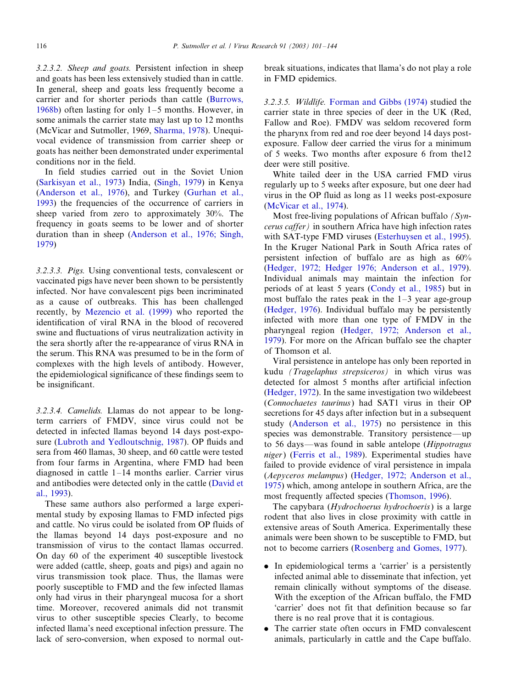3.2.3.2. Sheep and goats. Persistent infection in sheep and goats has been less extensively studied than in cattle. In general, sheep and goats less frequently become a carrier and for shorter periods than cattle ([Burrows,](#page-39-0) [1968b](#page-39-0)) often lasting for only  $1-5$  months. However, in some animals the carrier state may last up to 12 months (McVicar and Sutmoller, 1969, [Sharma, 1978\)](#page-42-0). Unequivocal evidence of transmission from carrier sheep or goats has neither been demonstrated under experimental conditions nor in the field.

In field studies carried out in the Soviet Union [\(Sarkisyan et al., 1973\)](#page-42-0) India, [\(Singh, 1979\)](#page-42-0) in Kenya [\(Anderson et al., 1976\)](#page-38-0), and Turkey ([Gurhan et al.,](#page-40-0) [1993\)](#page-40-0) the frequencies of the occurrence of carriers in sheep varied from zero to approximately 30%. The frequency in goats seems to be lower and of shorter duration than in sheep [\(Anderson et al., 1976; Singh,](#page-38-0) [1979\)](#page-38-0)

3.2.3.3. Pigs. Using conventional tests, convalescent or vaccinated pigs have never been shown to be persistently infected. Nor have convalescent pigs been incriminated as a cause of outbreaks. This has been challenged recently, by [Mezencio et al. \(1999\)](#page-41-0) who reported the identification of viral RNA in the blood of recovered swine and fluctuations of virus neutralization activity in the sera shortly after the re-appearance of virus RNA in the serum. This RNA was presumed to be in the form of complexes with the high levels of antibody. However, the epidemiological significance of these findings seem to be insignificant.

3.2.3.4. Camelids. Llamas do not appear to be longterm carriers of FMDV, since virus could not be detected in infected llamas beyond 14 days post-exposure [\(Lubroth and Yedloutschnig, 1987](#page-41-0)). OP fluids and sera from 460 llamas, 30 sheep, and 60 cattle were tested from four farms in Argentina, where FMD had been diagnosed in cattle  $1-14$  months earlier. Carrier virus and antibodies were detected only in the cattle (Dav[id et](#page-39-0) [al., 1993](#page-39-0)).

These same authors also performed a large experimental study by exposing llamas to FMD infected pigs and cattle. No virus could be isolated from OP fluids of the llamas beyond 14 days post-exposure and no transmission of virus to the contact llamas occurred. On day 60 of the experiment 40 susceptible livestock were added (cattle, sheep, goats and pigs) and again no virus transmission took place. Thus, the llamas were poorly susceptible to FMD and the few infected llamas only had virus in their pharyngeal mucosa for a short time. Moreover, recovered animals did not transmit virus to other susceptible species Clearly, to become infected llama's need exceptional infection pressure. The lack of sero-conversion, when exposed to normal out-

break situations, indicates that llama's do not play a role in FMD epidemics.

3.2.3.5. Wildlife. [Forman and Gibbs \(1974\)](#page-40-0) studied the carrier state in three species of deer in the UK (Red, Fallow and Roe). FMDV was seldom recovered form the pharynx from red and roe deer beyond 14 days postexposure. Fallow deer carried the virus for a minimum of 5 weeks. Two months after exposure 6 from the12 deer were still positive.

White tailed deer in the USA carried FMD virus regularly up to 5 weeks after exposure, but one deer had virus in the OP fluid as long as 11 weeks post-exposure [\(McVicar et al., 1974](#page-41-0)).

Most free-living populations of African buffalo (Syncerus caffer) in southern Africa have high infection rates with SAT-type FMD viruses [\(Esterhuysen et al., 1995\)](#page-40-0). In the Kruger National Park in South Africa rates of persistent infection of buffalo are as high as 60% [\(Hedger, 1972; Hedger 1976; Anderson et al., 1979\)](#page-40-0). Individual animals may maintain the infection for periods of at least 5 years ([Condy et al., 1985\)](#page-39-0) but in most buffalo the rates peak in the  $1-3$  year age-group [\(Hedger, 1976](#page-40-0)). Individual buffalo may be persistently infected with more than one type of FMDV in the pharyngeal region ([Hedger, 1972; Anderson et al.,](#page-40-0) [1979\)](#page-40-0). For more on the African buffalo see the chapter of Thomson et al.

Viral persistence in antelope has only been reported in kudu (Tragelaphus strepsiceros) in which virus was detected for almost 5 months after artificial infection [\(Hedger, 1972\)](#page-40-0). In the same investigation two wildebeest (Connochaetes taurinus) had SAT1 virus in their OP secretions for 45 days after infection but in a subsequent study [\(Anderson et al., 1975\)](#page-38-0) no persistence in this species was demonstrable. Transitory persistence—up to 56 days—was found in sable antelope ( $Hippotragus$ niger) [\(Ferris et al., 1989\)](#page-40-0). Experimental studies have failed to provide evidence of viral persistence in impala (Aepyceros melampus) [\(Hedger, 1972; Anderson et al.,](#page-40-0) [1975\)](#page-40-0) which, among antelope in southern Africa, are the most frequently affected species [\(Thomson, 1996](#page-43-0)).

The capybara (Hydrochoerus hydrochoeris) is a large rodent that also lives in close proximity with cattle in extensive areas of South America. Experimentally these animals were been shown to be susceptible to FMD, but not to become carriers ([Rosenberg and Gomes, 1977](#page-41-0)).

- . In epidemiological terms a 'carrier' is a persistently infected animal able to disseminate that infection, yet remain clinically without symptoms of the disease. With the exception of the African buffalo, the FMD 'carrier' does not fit that definition because so far there is no real prove that it is contagious.
- . The carrier state often occurs in FMD convalescent animals, particularly in cattle and the Cape buffalo.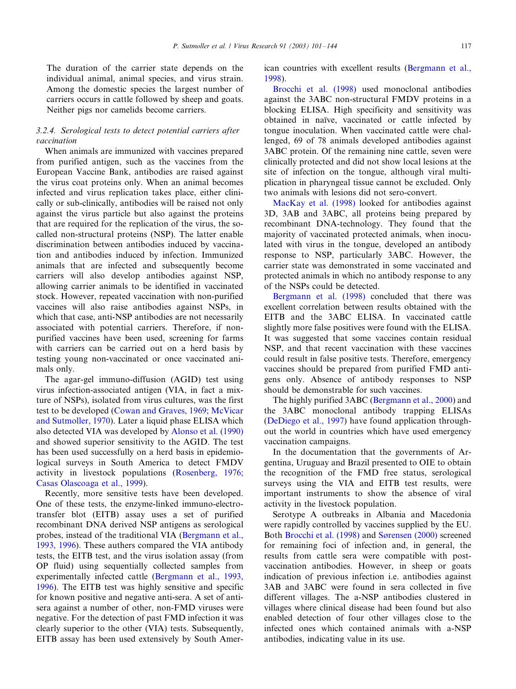The duration of the carrier state depends on the individual animal, animal species, and virus strain. Among the domestic species the largest number of carriers occurs in cattle followed by sheep and goats. Neither pigs nor camelids become carriers.

# 3.2.4. Serological tests to detect potential carriers after vaccination

When animals are immunized with vaccines prepared from purified antigen, such as the vaccines from the European Vaccine Bank, antibodies are raised against the virus coat proteins only. When an animal becomes infected and virus replication takes place, either clinically or sub-clinically, antibodies will be raised not only against the virus particle but also against the proteins that are required for the replication of the virus, the socalled non-structural proteins (NSP). The latter enable discrimination between antibodies induced by vaccination and antibodies induced by infection. Immunized animals that are infected and subsequently become carriers will also develop antibodies against NSP, allowing carrier animals to be identified in vaccinated stock. However, repeated vaccination with non-purified vaccines will also raise antibodies against NSPs, in which that case, anti-NSP antibodies are not necessarily associated with potential carriers. Therefore, if nonpurified vaccines have been used, screening for farms with carriers can be carried out on a herd basis by testing young non-vaccinated or once vaccinated animals only.

The agar-gel immuno-diffusion (AGID) test using virus infection-associated antigen (VIA, in fact a mixture of NSPs), isolated from virus cultures, was the first test to be developed (Cowan and Grav[es, 1969; McVicar](#page-39-0) [and Sutmoller, 1970](#page-39-0)). Later a liquid phase ELISA which also detected VIA was developed by [Alonso et al. \(1990\)](#page-38-0) and showed superior sensitivity to the AGID. The test has been used successfully on a herd basis in epidemiological surveys in South America to detect FMDV activity in livestock populations ([Rosenberg, 1976;](#page-41-0) [Casas Olascoaga et al., 1999\)](#page-41-0).

Recently, more sensitive tests have been developed. One of these tests, the enzyme-linked immuno-electrotransfer blot (EITB) assay uses a set of purified recombinant DNA derived NSP antigens as serological probes, instead of the traditional VIA [\(Bergmann et al.,](#page-38-0) [1993, 1996\)](#page-38-0). These authers compared the VIA antibody tests, the EITB test, and the virus isolation assay (from OP fluid) using sequentially collected samples from experimentally infected cattle ([Bergmann et al., 1993,](#page-38-0) [1996\)](#page-38-0). The EITB test was highly sensitive and specific for known positive and negative anti-sera. A set of antisera against a number of other, non-FMD viruses were negative. For the detection of past FMD infection it was clearly superior to the other (VIA) tests. Subsequently, EITB assay has been used extensively by South American countries with excellent results [\(Bergmann et al.,](#page-38-0) [1998\)](#page-38-0).

[Brocchi et al. \(1998\)](#page-39-0) used monoclonal antibodies against the 3ABC non-structural FMDV proteins in a blocking ELISA. High specificity and sensitivity was obtained in naïve, vaccinated or cattle infected by tongue inoculation. When vaccinated cattle were challenged, 69 of 78 animals developed antibodies against 3ABC protein. Of the remaining nine cattle, seven were clinically protected and did not show local lesions at the site of infection on the tongue, although viral multiplication in pharyngeal tissue cannot be excluded. Only two animals with lesions did not sero-convert.

[MacKay et al. \(1998\)](#page-41-0) looked for antibodies against 3D, 3AB and 3ABC, all proteins being prepared by recombinant DNA-technology. They found that the majority of vaccinated protected animals, when inoculated with virus in the tongue, developed an antibody response to NSP, particularly 3ABC. However, the carrier state was demonstrated in some vaccinated and protected animals in which no antibody response to any of the NSPs could be detected.

[Bergmann et al. \(1998\)](#page-38-0) concluded that there was excellent correlation between results obtained with the EITB and the 3ABC ELISA. In vaccinated cattle slightly more false positives were found with the ELISA. It was suggested that some vaccines contain residual NSP, and that recent vaccination with these vaccines could result in false positive tests. Therefore, emergency vaccines should be prepared from purified FMD antigens only. Absence of antibody responses to NSP should be demonstrable for such vaccines.

The highly purified 3ABC [\(Bergmann et al., 2000](#page-38-0)) and the 3ABC monoclonal antibody trapping ELISAs [\(DeDiego et al., 1997](#page-39-0)) have found application throughout the world in countries which have used emergency vaccination campaigns.

In the documentation that the governments of Argentina, Uruguay and Brazil presented to OIE to obtain the recognition of the FMD free status, serological surveys using the VIA and EITB test results, were important instruments to show the absence of viral activity in the livestock population.

Serotype A outbreaks in Albania and Macedonia were rapidly controlled by vaccines supplied by the EU. Both [Brocchi et al. \(1998\)](#page-39-0) and [Sørensen \(2000\)](#page-42-0) screened for remaining foci of infection and, in general, the results from cattle sera were compatible with postvaccination antibodies. However, in sheep or goats indication of previous infection i.e. antibodies against 3AB and 3ABC were found in sera collected in five different villages. The a-NSP antibodies clustered in villages where clinical disease had been found but also enabled detection of four other villages close to the infected ones which contained animals with a-NSP antibodies, indicating value in its use.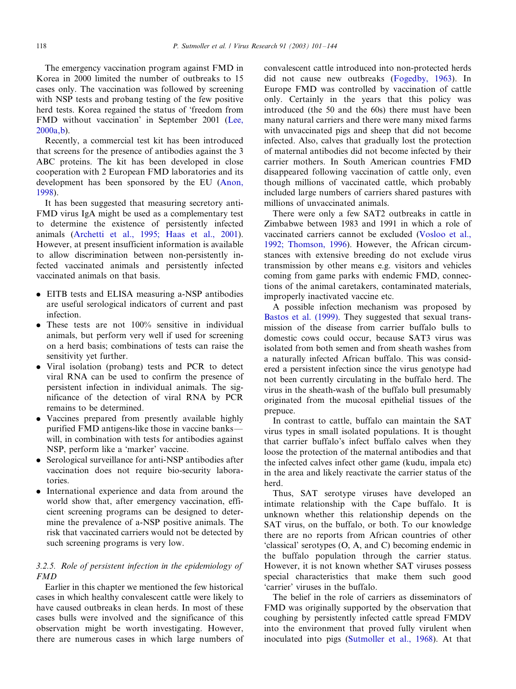The emergency vaccination program against FMD in Korea in 2000 limited the number of outbreaks to 15 cases only. The vaccination was followed by screening with NSP tests and probang testing of the few positive herd tests. Korea regained the status of 'freedom from FMD without vaccination' in September 2001 ([Lee,](#page-41-0) [2000a,b](#page-41-0)).

Recently, a commercial test kit has been introduced that screens for the presence of antibodies against the 3 ABC proteins. The kit has been developed in close cooperation with 2 European FMD laboratories and its development has been sponsored by the EU [\(Anon,](#page-38-0) [1998\)](#page-38-0).

It has been suggested that measuring secretory anti-FMD virus IgA might be used as a complementary test to determine the existence of persistently infected animals [\(Archetti et al., 1995; Haas et al., 2001\)](#page-38-0). However, at present insufficient information is available to allow discrimination between non-persistently infected vaccinated animals and persistently infected vaccinated animals on that basis.

- . EITB tests and ELISA measuring a-NSP antibodies are useful serological indicators of current and past infection.
- These tests are not 100% sensitive in individual animals, but perform very well if used for screening on a herd basis; combinations of tests can raise the sensitivity yet further.
- . Viral isolation (probang) tests and PCR to detect viral RNA can be used to confirm the presence of persistent infection in individual animals. The significance of the detection of viral RNA by PCR remains to be determined.
- . Vaccines prepared from presently available highly purified FMD antigens-like those in vaccine banks will, in combination with tests for antibodies against NSP, perform like a 'marker' vaccine.
- . Serological surveillance for anti-NSP antibodies after vaccination does not require bio-security laboratories.
- . International experience and data from around the world show that, after emergency vaccination, efficient screening programs can be designed to determine the prevalence of a-NSP positive animals. The risk that vaccinated carriers would not be detected by such screening programs is very low.

# 3.2.5. Role of persistent infection in the epidemiology of FMD

Earlier in this chapter we mentioned the few historical cases in which healthy convalescent cattle were likely to have caused outbreaks in clean herds. In most of these cases bulls were involved and the significance of this observation might be worth investigating. However, there are numerous cases in which large numbers of convalescent cattle introduced into non-protected herds did not cause new outbreaks [\(Fogedby, 1963\)](#page-40-0). In Europe FMD was controlled by vaccination of cattle only. Certainly in the years that this policy was introduced (the 50 and the 60s) there must have been many natural carriers and there were many mixed farms with unvaccinated pigs and sheep that did not become infected. Also, calves that gradually lost the protection of maternal antibodies did not become infected by their carrier mothers. In South American countries FMD disappeared following vaccination of cattle only, even though millions of vaccinated cattle, which probably included large numbers of carriers shared pastures with millions of unvaccinated animals.

There were only a few SAT2 outbreaks in cattle in Zimbabwe between 1983 and 1991 in which a role of vaccinated carriers cannot be excluded ([Vosloo et al.,](#page-43-0) [1992; Thomson, 1996](#page-43-0)). However, the African circumstances with extensive breeding do not exclude virus transmission by other means e.g. visitors and vehicles coming from game parks with endemic FMD, connections of the animal caretakers, contaminated materials, improperly inactivated vaccine etc.

A possible infection mechanism was proposed by [Bastos et al. \(1999\)](#page-38-0). They suggested that sexual transmission of the disease from carrier buffalo bulls to domestic cows could occur, because SAT3 virus was isolated from both semen and from sheath washes from a naturally infected African buffalo. This was considered a persistent infection since the virus genotype had not been currently circulating in the buffalo herd. The virus in the sheath-wash of the buffalo bull presumably originated from the mucosal epithelial tissues of the prepuce.

In contrast to cattle, buffalo can maintain the SAT virus types in small isolated populations. It is thought that carrier buffalo's infect buffalo calves when they loose the protection of the maternal antibodies and that the infected calves infect other game (kudu, impala etc) in the area and likely reactivate the carrier status of the herd.

Thus, SAT serotype viruses have developed an intimate relationship with the Cape buffalo. It is unknown whether this relationship depends on the SAT virus, on the buffalo, or both. To our knowledge there are no reports from African countries of other 'classical' serotypes (O, A, and C) becoming endemic in the buffalo population through the carrier status. However, it is not known whether SAT viruses possess special characteristics that make them such good 'carrier' viruses in the buffalo.

The belief in the role of carriers as disseminators of FMD was originally supported by the observation that coughing by persistently infected cattle spread FMDV into the environment that proved fully virulent when inoculated into pigs ([Sutmoller et al., 1968\)](#page-42-0). At that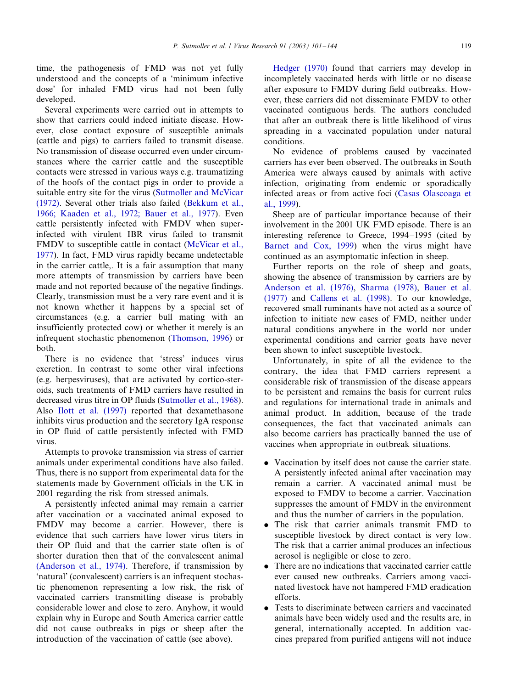time, the pathogenesis of FMD was not yet fully understood and the concepts of a 'minimum infective dose' for inhaled FMD virus had not been fully developed.

Several experiments were carried out in attempts to show that carriers could indeed initiate disease. However, close contact exposure of susceptible animals (cattle and pigs) to carriers failed to transmit disease. No transmission of disease occurred even under circumstances where the carrier cattle and the susceptible contacts were stressed in various ways e.g. traumatizing of the hoofs of the contact pigs in order to provide a suitable entry site for the virus ([Sutmoller and McVicar](#page-42-0) [\(1972\)](#page-42-0). Several other trials also failed ([Bekkum et al.,](#page-38-0) [1966; Kaaden et al., 1972; Bauer et al., 1977](#page-38-0)). Even cattle persistently infected with FMDV when superinfected with virulent IBR virus failed to transmit FMDV to susceptible cattle in contact ([McVicar et al.,](#page-41-0) [1977\)](#page-41-0). In fact, FMD virus rapidly became undetectable in the carrier cattle,. It is a fair assumption that many more attempts of transmission by carriers have been made and not reported because of the negative findings. Clearly, transmission must be a very rare event and it is not known whether it happens by a special set of circumstances (e.g. a carrier bull mating with an insufficiently protected cow) or whether it merely is an infrequent stochastic phenomenon ([Thomson, 1996\)](#page-43-0) or both.

There is no evidence that 'stress' induces virus excretion. In contrast to some other viral infections (e.g. herpesviruses), that are activated by cortico-steroids, such treatments of FMD carriers have resulted in decreased virus titre in OP fluids [\(Sutmoller et al., 1968\)](#page-42-0). Also [Ilott et al. \(1997\)](#page-40-0) reported that dexamethasone inhibits virus production and the secretory IgA response in OP fluid of cattle persistently infected with FMD virus.

Attempts to provoke transmission via stress of carrier animals under experimental conditions have also failed. Thus, there is no support from experimental data for the statements made by Government officials in the UK in 2001 regarding the risk from stressed animals.

A persistently infected animal may remain a carrier after vaccination or a vaccinated animal exposed to FMDV may become a carrier. However, there is evidence that such carriers have lower virus titers in their OP fluid and that the carrier state often is of shorter duration then that of the convalescent animal [\(Anderson et al., 1974\).](#page-38-0) Therefore, if transmission by 'natural' (convalescent) carriers is an infrequent stochastic phenomenon representing a low risk, the risk of vaccinated carriers transmitting disease is probably considerable lower and close to zero. Anyhow, it would explain why in Europe and South America carrier cattle did not cause outbreaks in pigs or sheep after the introduction of the vaccination of cattle (see above).

[Hedger \(1970\)](#page-40-0) found that carriers may develop in incompletely vaccinated herds with little or no disease after exposure to FMDV during field outbreaks. However, these carriers did not disseminate FMDV to other vaccinated contiguous herds. The authors concluded that after an outbreak there is little likelihood of virus spreading in a vaccinated population under natural conditions.

No evidence of problems caused by vaccinated carriers has ever been observed. The outbreaks in South America were always caused by animals with active infection, originating from endemic or sporadically infected areas or from active foci [\(Casas Olascoaga et](#page-39-0) [al., 1999](#page-39-0)).

Sheep are of particular importance because of their involvement in the 2001 UK FMD episode. There is an interesting reference to Greece,  $1994-1995$  (cited by [Barnet and Cox, 1999](#page-38-0)) when the virus might have continued as an asymptomatic infection in sheep.

Further reports on the role of sheep and goats, showing the absence of transmission by carriers are by [Anderson et al. \(1976\),](#page-38-0) [Sharma \(1978\)](#page-42-0), [Bauer et al.](#page-38-0) [\(1977\)](#page-38-0) and [Callens et al. \(1998\).](#page-39-0) To our knowledge, recovered small ruminants have not acted as a source of infection to initiate new cases of FMD, neither under natural conditions anywhere in the world nor under experimental conditions and carrier goats have never been shown to infect susceptible livestock.

Unfortunately, in spite of all the evidence to the contrary, the idea that FMD carriers represent a considerable risk of transmission of the disease appears to be persistent and remains the basis for current rules and regulations for international trade in animals and animal product. In addition, because of the trade consequences, the fact that vaccinated animals can also become carriers has practically banned the use of vaccines when appropriate in outbreak situations.

- . Vaccination by itself does not cause the carrier state. A persistently infected animal after vaccination may remain a carrier. A vaccinated animal must be exposed to FMDV to become a carrier. Vaccination suppresses the amount of FMDV in the environment and thus the number of carriers in the population.
- . The risk that carrier animals transmit FMD to susceptible livestock by direct contact is very low. The risk that a carrier animal produces an infectious aerosol is negligible or close to zero.
- . There are no indications that vaccinated carrier cattle ever caused new outbreaks. Carriers among vaccinated livestock have not hampered FMD eradication efforts.
- . Tests to discriminate between carriers and vaccinated animals have been widely used and the results are, in general, internationally accepted. In addition vaccines prepared from purified antigens will not induce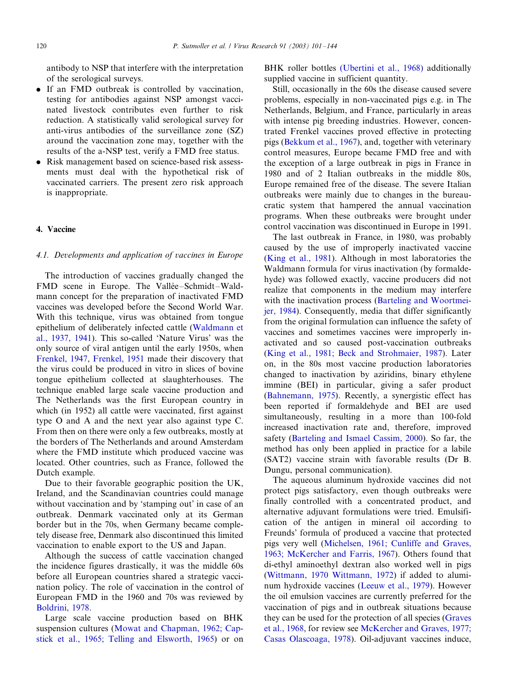antibody to NSP that interfere with the interpretation of the serological surveys.

- . If an FMD outbreak is controlled by vaccination, testing for antibodies against NSP amongst vaccinated livestock contributes even further to risk reduction. A statistically valid serological survey for anti-virus antibodies of the surveillance zone (SZ) around the vaccination zone may, together with the results of the a-NSP test, verify a FMD free status.
- . Risk management based on science-based risk assessments must deal with the hypothetical risk of vaccinated carriers. The present zero risk approach is inappropriate.

#### 4. Vaccine

#### 4.1. Developments and application of vaccines in Europe

The introduction of vaccines gradually changed the FMD scene in Europe. The Vallée-Schmidt-Waldmann concept for the preparation of inactivated FMD vaccines was developed before the Second World War. With this technique, virus was obtained from tongue epithelium of deliberately infected cattle [\(Waldmann et](#page-43-0) [al., 1937, 1941\)](#page-43-0). This so-called 'Nature Virus' was the only source of viral antigen until the early 1950s, when [Frenkel, 1947](#page-40-0), [Frenkel, 1951](#page-40-0) made their discovery that the virus could be produced in vitro in slices of bovine tongue epithelium collected at slaughterhouses. The technique enabled large scale vaccine production and The Netherlands was the first European country in which (in 1952) all cattle were vaccinated, first against type O and A and the next year also against type C. From then on there were only a few outbreaks, mostly at the borders of The Netherlands and around Amsterdam where the FMD institute which produced vaccine was located. Other countries, such as France, followed the Dutch example.

Due to their favorable geographic position the UK, Ireland, and the Scandinavian countries could manage without vaccination and by 'stamping out' in case of an outbreak. Denmark vaccinated only at its German border but in the 70s, when Germany became completely disease free, Denmark also discontinued this limited vaccination to enable export to the US and Japan.

Although the success of cattle vaccination changed the incidence figures drastically, it was the middle 60s before all European countries shared a strategic vaccination policy. The role of vaccination in the control of European FMD in the 1960 and 70s was reviewed by [Boldrini, 1978.](#page-39-0)

Large scale vaccine production based on BHK suspension cultures ([Mowat and Chapman, 1962; Cap](#page-41-0)[stick et al., 1965; Telling and Elsworth, 1965](#page-41-0)) or on

BHK roller bottles [\(Ubertini et al., 1968\)](#page-43-0) additionally supplied vaccine in sufficient quantity.

Still, occasionally in the 60s the disease caused severe problems, especially in non-vaccinated pigs e.g. in The Netherlands, Belgium, and France, particularly in areas with intense pig breeding industries. However, concentrated Frenkel vaccines proved effective in protecting pigs ([Bekkum et al., 1967](#page-38-0)), and, together with veterinary control measures, Europe became FMD free and with the exception of a large outbreak in pigs in France in 1980 and of 2 Italian outbreaks in the middle 80s, Europe remained free of the disease. The severe Italian outbreaks were mainly due to changes in the bureaucratic system that hampered the annual vaccination programs. When these outbreaks were brought under control vaccination was discontinued in Europe in 1991.

The last outbreak in France, in 1980, was probably caused by the use of improperly inactivated vaccine [\(King et al., 1981\)](#page-41-0). Although in most laboratories the Waldmann formula for virus inactivation (by formaldehyde) was followed exactly, vaccine producers did not realize that components in the medium may interfere with the inactivation process [\(Barteling and Woortmei](#page-38-0)[jer, 1984\)](#page-38-0). Consequently, media that differ significantly from the original formulation can influence the safety of vaccines and sometimes vaccines were improperly inactivated and so caused post-vaccination outbreaks [\(King et al., 1981; Beck and Strohmaier, 1987](#page-41-0)). Later on, in the 80s most vaccine production laboratories changed to inactivation by aziridins, binary ethylene immine (BEI) in particular, giving a safer product [\(Bahnemann, 1975\)](#page-38-0). Recently, a synergistic effect has been reported if formaldehyde and BEI are used simultaneously, resulting in a more than 100-fold increased inactivation rate and, therefore, improved safety ([Barteling and Ismael Cassim, 2000\)](#page-38-0). So far, the method has only been applied in practice for a labile (SAT2) vaccine strain with favorable results (Dr B. Dungu, personal communication).

The aqueous aluminum hydroxide vaccines did not protect pigs satisfactory, even though outbreaks were finally controlled with a concentrated product, and alternative adjuvant formulations were tried. Emulsification of the antigen in mineral oil according to Freunds' formula of produced a vaccine that protected pigs very well ([Michelsen, 1961; Cunliffe and Gra](#page-41-0)ves, [1963; McKercher and Farris, 1967\)](#page-41-0). Others found that di-ethyl aminoethyl dextran also worked well in pigs [\(Wittmann, 1970 Wittmann, 1972](#page-43-0)) if added to aluminum hydroxide vaccines [\(Leeuw et al., 1979\)](#page-41-0). However the oil emulsion vaccines are currently preferred for the vaccination of pigs and in outbreak situations because they can be used for the protection of all species ([Gra](#page-40-0)ves [et al., 1968,](#page-40-0) for review see [McKercher and Gra](#page-41-0)ves, 1977; [Casas Olascoaga, 1978](#page-41-0)). Oil-adjuvant vaccines induce,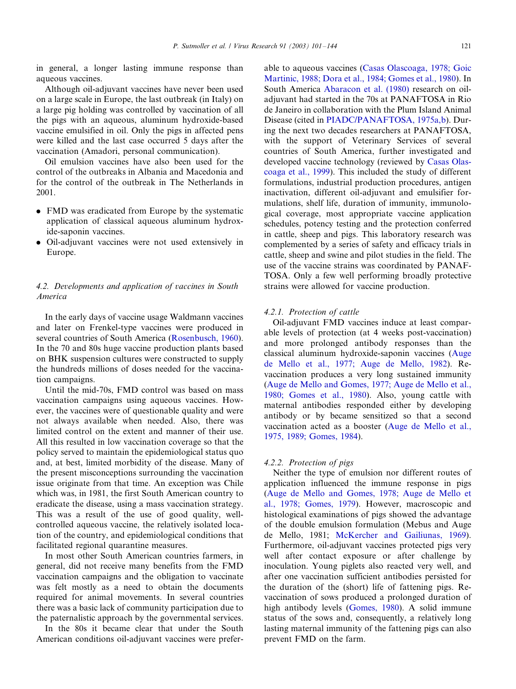in general, a longer lasting immune response than aqueous vaccines.

Although oil-adjuvant vaccines have never been used on a large scale in Europe, the last outbreak (in Italy) on a large pig holding was controlled by vaccination of all the pigs with an aqueous, aluminum hydroxide-based vaccine emulsified in oil. Only the pigs in affected pens were killed and the last case occurred 5 days after the vaccination (Amadori, personal communication).

Oil emulsion vaccines have also been used for the control of the outbreaks in Albania and Macedonia and for the control of the outbreak in The Netherlands in 2001.

- . FMD was eradicated from Europe by the systematic application of classical aqueous aluminum hydroxide-saponin vaccines.
- . Oil-adjuvant vaccines were not used extensively in Europe.

# 4.2. Developments and application of vaccines in South America

In the early days of vaccine usage Waldmann vaccines and later on Frenkel-type vaccines were produced in several countries of South America ([Rosenbusch, 1960\)](#page-42-0). In the 70 and 80s huge vaccine production plants based on BHK suspension cultures were constructed to supply the hundreds millions of doses needed for the vaccination campaigns.

Until the mid-70s, FMD control was based on mass vaccination campaigns using aqueous vaccines. However, the vaccines were of questionable quality and were not always available when needed. Also, there was limited control on the extent and manner of their use. All this resulted in low vaccination coverage so that the policy served to maintain the epidemiological status quo and, at best, limited morbidity of the disease. Many of the present misconceptions surrounding the vaccination issue originate from that time. An exception was Chile which was, in 1981, the first South American country to eradicate the disease, using a mass vaccination strategy. This was a result of the use of good quality, wellcontrolled aqueous vaccine, the relatively isolated location of the country, and epidemiological conditions that facilitated regional quarantine measures.

In most other South American countries farmers, in general, did not receive many benefits from the FMD vaccination campaigns and the obligation to vaccinate was felt mostly as a need to obtain the documents required for animal movements. In several countries there was a basic lack of community participation due to the paternalistic approach by the governmental services.

In the 80s it became clear that under the South American conditions oil-adjuvant vaccines were prefer-

able to aqueous vaccines ([Casas Olascoaga, 1978; Goic](#page-39-0) [Martinic, 1988; Dora et al., 1984; Gomes et al., 1980](#page-39-0)). In South America [Abaracon et al. \(1980\)](#page-37-0) research on oiladjuvant had started in the 70s at PANAFTOSA in Rio de Janeiro in collaboration with the Plum Island Animal Disease (cited in [PIADC/PANAFTOSA, 1975a,b\)](#page-41-0). During the next two decades researchers at PANAFTOSA, with the support of Veterinary Services of several countries of South America, further investigated and developed vaccine technology (reviewed by [Casas Olas](#page-39-0)[coaga et al., 1999\)](#page-39-0). This included the study of different formulations, industrial production procedures, antigen inactivation, different oil-adjuvant and emulsifier formulations, shelf life, duration of immunity, immunological coverage, most appropriate vaccine application schedules, potency testing and the protection conferred in cattle, sheep and pigs. This laboratory research was complemented by a series of safety and efficacy trials in cattle, sheep and swine and pilot studies in the field. The use of the vaccine strains was coordinated by PANAF-TOSA. Only a few well performing broadly protective strains were allowed for vaccine production.

#### 4.2.1. Protection of cattle

Oil-adjuvant FMD vaccines induce at least comparable levels of protection (at 4 weeks post-vaccination) and more prolonged antibody responses than the classical aluminum hydroxide-saponin vaccines [\(Auge](#page-38-0) [de Mello et al., 1977; Auge de Mello, 1982\)](#page-38-0). Revaccination produces a very long sustained immunity [\(Auge de Mello and Gomes, 1977; Auge de Mello et al.,](#page-38-0) [1980; Gomes et al., 1980\)](#page-38-0). Also, young cattle with maternal antibodies responded either by developing antibody or by became sensitized so that a second vaccination acted as a booster ([Auge de Mello et al.,](#page-38-0) [1975, 1989; Gomes, 1984\)](#page-38-0).

#### 4.2.2. Protection of pigs

Neither the type of emulsion nor different routes of application influenced the immune response in pigs [\(Auge de Mello and Gomes, 1978; Auge de Mello et](#page-38-0) [al., 1978; Gomes, 1979](#page-38-0)). However, macroscopic and histological examinations of pigs showed the advantage of the double emulsion formulation (Mebus and Auge de Mello, 1981; [McKercher and Gailiunas, 1969\)](#page-41-0). Furthermore, oil-adjuvant vaccines protected pigs very well after contact exposure or after challenge by inoculation. Young piglets also reacted very well, and after one vaccination sufficient antibodies persisted for the duration of the (short) life of fattening pigs. Revaccination of sows produced a prolonged duration of high antibody levels ([Gomes, 1980\)](#page-40-0). A solid immune status of the sows and, consequently, a relatively long lasting maternal immunity of the fattening pigs can also prevent FMD on the farm.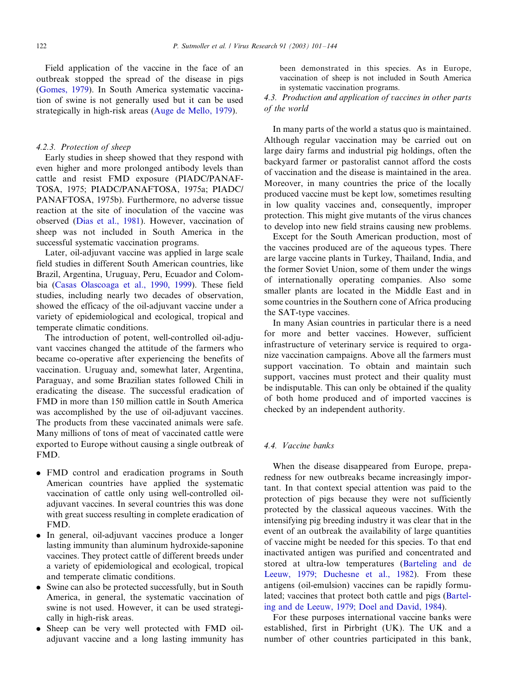Field application of the vaccine in the face of an outbreak stopped the spread of the disease in pigs [\(Gomes, 1979](#page-40-0)). In South America systematic vaccination of swine is not generally used but it can be used strategically in high-risk areas ([Auge de Mello, 1979](#page-38-0)).

# 4.2.3. Protection of sheep

Early studies in sheep showed that they respond with even higher and more prolonged antibody levels than cattle and resist FMD exposure (PIADC/PANAF-TOSA, 1975; PIADC/PANAFTOSA, 1975a; PIADC/ PANAFTOSA, 1975b). Furthermore, no adverse tissue reaction at the site of inoculation of the vaccine was observed ([Dias et al., 1981](#page-39-0)). However, vaccination of sheep was not included in South America in the successful systematic vaccination programs.

Later, oil-adjuvant vaccine was applied in large scale field studies in different South American countries, like Brazil, Argentina, Uruguay, Peru, Ecuador and Colombia [\(Casas Olascoaga et al., 1990, 1999](#page-39-0)). These field studies, including nearly two decades of observation, showed the efficacy of the oil-adjuvant vaccine under a variety of epidemiological and ecological, tropical and temperate climatic conditions.

The introduction of potent, well-controlled oil-adjuvant vaccines changed the attitude of the farmers who became co-operative after experiencing the benefits of vaccination. Uruguay and, somewhat later, Argentina, Paraguay, and some Brazilian states followed Chili in eradicating the disease. The successful eradication of FMD in more than 150 million cattle in South America was accomplished by the use of oil-adjuvant vaccines. The products from these vaccinated animals were safe. Many millions of tons of meat of vaccinated cattle were exported to Europe without causing a single outbreak of FMD.

- . FMD control and eradication programs in South American countries have applied the systematic vaccination of cattle only using well-controlled oiladjuvant vaccines. In several countries this was done with great success resulting in complete eradication of FMD.
- . In general, oil-adjuvant vaccines produce a longer lasting immunity than aluminum hydroxide-saponine vaccines. They protect cattle of different breeds under a variety of epidemiological and ecological, tropical and temperate climatic conditions.
- . Swine can also be protected successfully, but in South America, in general, the systematic vaccination of swine is not used. However, it can be used strategically in high-risk areas.
- . Sheep can be very well protected with FMD oiladjuvant vaccine and a long lasting immunity has

been demonstrated in this species. As in Europe, vaccination of sheep is not included in South America in systematic vaccination programs.

# 4.3. Production and application of vaccines in other parts of the world

In many parts of the world a status quo is maintained. Although regular vaccination may be carried out on large dairy farms and industrial pig holdings, often the backyard farmer or pastoralist cannot afford the costs of vaccination and the disease is maintained in the area. Moreover, in many countries the price of the locally produced vaccine must be kept low, sometimes resulting in low quality vaccines and, consequently, improper protection. This might give mutants of the virus chances to develop into new field strains causing new problems.

Except for the South American production, most of the vaccines produced are of the aqueous types. There are large vaccine plants in Turkey, Thailand, India, and the former Soviet Union, some of them under the wings of internationally operating companies. Also some smaller plants are located in the Middle East and in some countries in the Southern cone of Africa producing the SAT-type vaccines.

In many Asian countries in particular there is a need for more and better vaccines. However, sufficient infrastructure of veterinary service is required to organize vaccination campaigns. Above all the farmers must support vaccination. To obtain and maintain such support, vaccines must protect and their quality must be indisputable. This can only be obtained if the quality of both home produced and of imported vaccines is checked by an independent authority.

# 4.4. Vaccine banks

When the disease disappeared from Europe, preparedness for new outbreaks became increasingly important. In that context special attention was paid to the protection of pigs because they were not sufficiently protected by the classical aqueous vaccines. With the intensifying pig breeding industry it was clear that in the event of an outbreak the availability of large quantities of vaccine might be needed for this species. To that end inactivated antigen was purified and concentrated and stored at ultra-low temperatures [\(Barteling and de](#page-38-0) [Leeuw, 1979; Duchesne et al., 1982\)](#page-38-0). From these antigens (oil-emulsion) vaccines can be rapidly formulated; vaccines that protect both cattle and pigs ([Bartel](#page-38-0)[ing and de Leeuw, 1979; Doel and Da](#page-38-0)vid, 1984).

For these purposes international vaccine banks were established, first in Pirbright (UK). The UK and a number of other countries participated in this bank,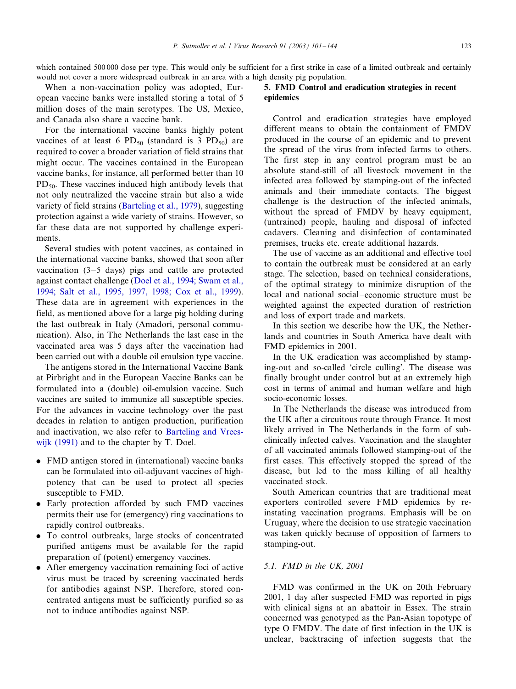which contained 500 000 dose per type. This would only be sufficient for a first strike in case of a limited outbreak and certainly would not cover a more widespread outbreak in an area with a high density pig population.

When a non-vaccination policy was adopted, European vaccine banks were installed storing a total of 5 million doses of the main serotypes. The US, Mexico, and Canada also share a vaccine bank.

For the international vaccine banks highly potent vaccines of at least 6  $PD_{50}$  (standard is 3  $PD_{50}$ ) are required to cover a broader variation of field strains that might occur. The vaccines contained in the European vaccine banks, for instance, all performed better than 10 PD<sub>50</sub>. These vaccines induced high antibody levels that not only neutralized the vaccine strain but also a wide variety of field strains [\(Barteling et al., 1979](#page-38-0)), suggesting protection against a wide variety of strains. However, so far these data are not supported by challenge experiments.

Several studies with potent vaccines, as contained in the international vaccine banks, showed that soon after vaccination  $(3-5 \text{ days})$  pigs and cattle are protected against contact challenge [\(Doel et al., 1994; Swam et al.,](#page-39-0) [1994; Salt et al., 1995, 1997, 1998; Cox et al., 1999\)](#page-39-0). These data are in agreement with experiences in the field, as mentioned above for a large pig holding during the last outbreak in Italy (Amadori, personal communication). Also, in The Netherlands the last case in the vaccinated area was 5 days after the vaccination had been carried out with a double oil emulsion type vaccine.

The antigens stored in the International Vaccine Bank at Pirbright and in the European Vaccine Banks can be formulated into a (double) oil-emulsion vaccine. Such vaccines are suited to immunize all susceptible species. For the advances in vaccine technology over the past decades in relation to antigen production, purification and inactivation, we also refer to [Barteling and Vrees](#page-38-0)[wijk \(1991\)](#page-38-0) and to the chapter by T. Doel.

- . FMD antigen stored in (international) vaccine banks can be formulated into oil-adjuvant vaccines of highpotency that can be used to protect all species susceptible to FMD.
- . Early protection afforded by such FMD vaccines permits their use for (emergency) ring vaccinations to rapidly control outbreaks.
- . To control outbreaks, large stocks of concentrated purified antigens must be available for the rapid preparation of (potent) emergency vaccines.
- . After emergency vaccination remaining foci of active virus must be traced by screening vaccinated herds for antibodies against NSP. Therefore, stored concentrated antigens must be sufficiently purified so as not to induce antibodies against NSP.

# 5. FMD Control and eradication strategies in recent epidemics

Control and eradication strategies have employed different means to obtain the containment of FMDV produced in the course of an epidemic and to prevent the spread of the virus from infected farms to others. The first step in any control program must be an absolute stand-still of all livestock movement in the infected area followed by stamping-out of the infected animals and their immediate contacts. The biggest challenge is the destruction of the infected animals, without the spread of FMDV by heavy equipment, (untrained) people, hauling and disposal of infected cadavers. Cleaning and disinfection of contaminated premises, trucks etc. create additional hazards.

The use of vaccine as an additional and effective tool to contain the outbreak must be considered at an early stage. The selection, based on technical considerations, of the optimal strategy to minimize disruption of the local and national social–economic structure must be weighted against the expected duration of restriction and loss of export trade and markets.

In this section we describe how the UK, the Netherlands and countries in South America have dealt with FMD epidemics in 2001.

In the UK eradication was accomplished by stamping-out and so-called 'circle culling'. The disease was finally brought under control but at an extremely high cost in terms of animal and human welfare and high socio-economic losses.

In The Netherlands the disease was introduced from the UK after a circuitous route through France. It most likely arrived in The Netherlands in the form of subclinically infected calves. Vaccination and the slaughter of all vaccinated animals followed stamping-out of the first cases. This effectively stopped the spread of the disease, but led to the mass killing of all healthy vaccinated stock.

South American countries that are traditional meat exporters controlled severe FMD epidemics by reinstating vaccination programs. Emphasis will be on Uruguay, where the decision to use strategic vaccination was taken quickly because of opposition of farmers to stamping-out.

## 5.1. FMD in the UK, 2001

FMD was confirmed in the UK on 20th February 2001, 1 day after suspected FMD was reported in pigs with clinical signs at an abattoir in Essex. The strain concerned was genotyped as the Pan-Asian topotype of type O FMDV. The date of first infection in the UK is unclear, backtracing of infection suggests that the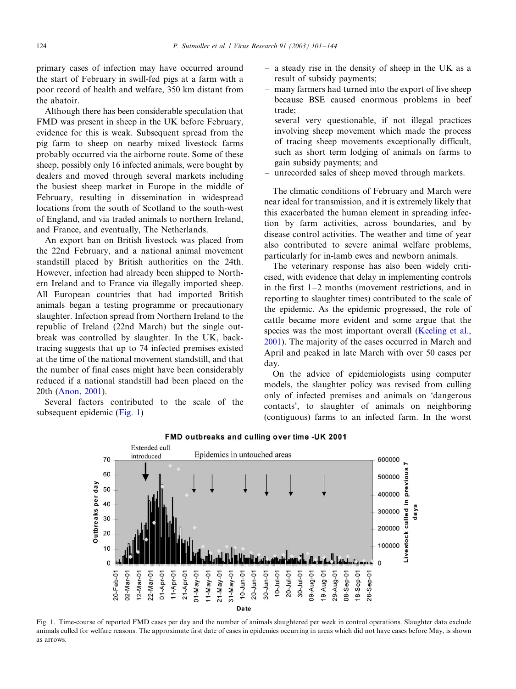<span id="page-23-0"></span>primary cases of infection may have occurred around the start of February in swill-fed pigs at a farm with a poor record of health and welfare, 350 km distant from the abatoir.

Although there has been considerable speculation that FMD was present in sheep in the UK before February, evidence for this is weak. Subsequent spread from the pig farm to sheep on nearby mixed livestock farms probably occurred via the airborne route. Some of these sheep, possibly only 16 infected animals, were bought by dealers and moved through several markets including the busiest sheep market in Europe in the middle of February, resulting in dissemination in widespread locations from the south of Scotland to the south-west of England, and via traded animals to northern Ireland, and France, and eventually, The Netherlands.

An export ban on British livestock was placed from the 22nd February, and a national animal movement standstill placed by British authorities on the 24th. However, infection had already been shipped to Northern Ireland and to France via illegally imported sheep. All European countries that had imported British animals began a testing programme or precautionary slaughter. Infection spread from Northern Ireland to the republic of Ireland (22nd March) but the single outbreak was controlled by slaughter. In the UK, backtracing suggests that up to 74 infected premises existed at the time of the national movement standstill, and that the number of final cases might have been considerably reduced if a national standstill had been placed on the 20th [\(Anon, 2001\)](#page-38-0).

Several factors contributed to the scale of the subsequent epidemic (Fig. 1)

- $-$  a steady rise in the density of sheep in the UK as a result of subsidy payments;
- many farmers had turned into the export of live sheep because BSE caused enormous problems in beef trade;
- several very questionable, if not illegal practices involving sheep movement which made the process of tracing sheep movements exceptionally difficult, such as short term lodging of animals on farms to gain subsidy payments; and
- unrecorded sales of sheep moved through markets.

The climatic conditions of February and March were near ideal for transmission, and it is extremely likely that this exacerbated the human element in spreading infection by farm activities, across boundaries, and by disease control activities. The weather and time of year also contributed to severe animal welfare problems, particularly for in-lamb ewes and newborn animals.

The veterinary response has also been widely criticised, with evidence that delay in implementing controls in the first  $1-2$  months (movement restrictions, and in reporting to slaughter times) contributed to the scale of the epidemic. As the epidemic progressed, the role of cattle became more evident and some argue that the species was the most important overall ([Keeling et al.,](#page-41-0) [2001\)](#page-41-0). The majority of the cases occurred in March and April and peaked in late March with over 50 cases per day.

On the advice of epidemiologists using computer models, the slaughter policy was revised from culling only of infected premises and animals on 'dangerous contacts', to slaughter of animals on neighboring (contiguous) farms to an infected farm. In the worst



#### FMD outbreaks and culling over time -UK 2001

Fig. 1. Time-course of reported FMD cases per day and the number of animals slaughtered per week in control operations. Slaughter data exclude animals culled for welfare reasons. The approximate first date of cases in epidemics occurring in areas which did not have cases before May, is shown as arrows.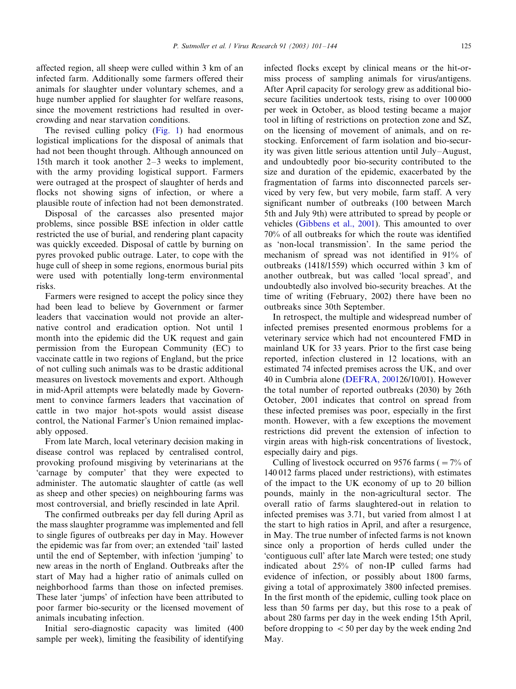affected region, all sheep were culled within 3 km of an infected farm. Additionally some farmers offered their animals for slaughter under voluntary schemes, and a huge number applied for slaughter for welfare reasons, since the movement restrictions had resulted in overcrowding and near starvation conditions.

The revised culling policy [\(Fig. 1](#page-23-0)) had enormous logistical implications for the disposal of animals that had not been thought through. Although announced on 15th march it took another  $2-3$  weeks to implement, with the army providing logistical support. Farmers were outraged at the prospect of slaughter of herds and flocks not showing signs of infection, or where a plausible route of infection had not been demonstrated.

Disposal of the carcasses also presented major problems, since possible BSE infection in older cattle restricted the use of burial, and rendering plant capacity was quickly exceeded. Disposal of cattle by burning on pyres provoked public outrage. Later, to cope with the huge cull of sheep in some regions, enormous burial pits were used with potentially long-term environmental risks.

Farmers were resigned to accept the policy since they had been lead to believe by Government or farmer leaders that vaccination would not provide an alternative control and eradication option. Not until 1 month into the epidemic did the UK request and gain permission from the European Community (EC) to vaccinate cattle in two regions of England, but the price of not culling such animals was to be drastic additional measures on livestock movements and export. Although in mid-April attempts were belatedly made by Government to convince farmers leaders that vaccination of cattle in two major hot-spots would assist disease control, the National Farmer's Union remained implacably opposed.

From late March, local veterinary decision making in disease control was replaced by centralised control, provoking profound misgiving by veterinarians at the 'carnage by computer' that they were expected to administer. The automatic slaughter of cattle (as well as sheep and other species) on neighbouring farms was most controversial, and briefly rescinded in late April.

The confirmed outbreaks per day fell during April as the mass slaughter programme was implemented and fell to single figures of outbreaks per day in May. However the epidemic was far from over; an extended 'tail' lasted until the end of September, with infection 'jumping' to new areas in the north of England. Outbreaks after the start of May had a higher ratio of animals culled on neighborhood farms than those on infected premises. These later 'jumps' of infection have been attributed to poor farmer bio-security or the licensed movement of animals incubating infection.

Initial sero-diagnostic capacity was limited (400 sample per week), limiting the feasibility of identifying infected flocks except by clinical means or the hit-ormiss process of sampling animals for virus/antigens. After April capacity for serology grew as additional biosecure facilities undertook tests, rising to over 100 000 per week in October, as blood testing became a major tool in lifting of restrictions on protection zone and SZ, on the licensing of movement of animals, and on restocking. Enforcement of farm isolation and bio-security was given little serious attention until July-August, and undoubtedly poor bio-security contributed to the size and duration of the epidemic, exacerbated by the fragmentation of farms into disconnected parcels serviced by very few, but very mobile, farm staff. A very significant number of outbreaks (100 between March 5th and July 9th) were attributed to spread by people or vehicles ([Gibbens et al., 2001](#page-40-0)). This amounted to over 70% of all outbreaks for which the route was identified as 'non-local transmission'. In the same period the mechanism of spread was not identified in 91% of outbreaks (1418/1559) which occurred within 3 km of another outbreak, but was called 'local spread', and undoubtedly also involved bio-security breaches. At the time of writing (February, 2002) there have been no outbreaks since 30th September.

In retrospect, the multiple and widespread number of infected premises presented enormous problems for a veterinary service which had not encountered FMD in mainland UK for 33 years. Prior to the first case being reported, infection clustered in 12 locations, with an estimated 74 infected premises across the UK, and over 40 in Cumbria alone ([DEFRA, 2001](#page-39-0)26/10/01). However the total number of reported outbreaks (2030) by 26th October, 2001 indicates that control on spread from these infected premises was poor, especially in the first month. However, with a few exceptions the movement restrictions did prevent the extension of infection to virgin areas with high-risk concentrations of livestock, especially dairy and pigs.

Culling of livestock occurred on 9576 farms ( $=7\%$  of 140 012 farms placed under restrictions), with estimates of the impact to the UK economy of up to 20 billion pounds, mainly in the non-agricultural sector. The overall ratio of farms slaughtered-out in relation to infected premises was 3.71, but varied from almost 1 at the start to high ratios in April, and after a resurgence, in May. The true number of infected farms is not known since only a proportion of herds culled under the 'contiguous cull' after late March were tested; one study indicated about 25% of non-IP culled farms had evidence of infection, or possibly about 1800 farms, giving a total of approximately 3800 infected premises. In the first month of the epidemic, culling took place on less than 50 farms per day, but this rose to a peak of about 280 farms per day in the week ending 15th April, before dropping to  $\lt$  50 per day by the week ending 2nd May.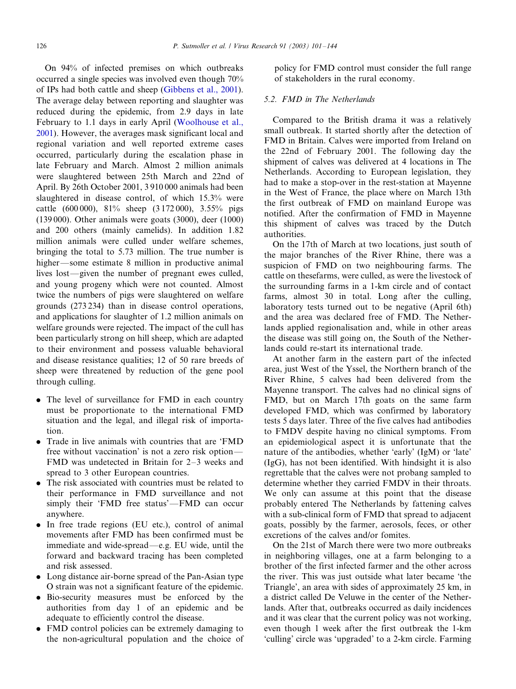On 94% of infected premises on which outbreaks occurred a single species was involved even though 70% of IPs had both cattle and sheep ([Gibbens et al., 2001\)](#page-40-0). The average delay between reporting and slaughter was reduced during the epidemic, from 2.9 days in late February to 1.1 days in early April [\(Woolhouse et al.,](#page-43-0) [2001\)](#page-43-0). However, the averages mask significant local and regional variation and well reported extreme cases occurred, particularly during the escalation phase in late February and March. Almost 2 million animals were slaughtered between 25th March and 22nd of April. By 26th October 2001, 3 910 000 animals had been slaughtered in disease control, of which 15.3% were cattle (600 000), 81% sheep (3 172 000), 3.55% pigs (139 000). Other animals were goats (3000), deer (1000) and 200 others (mainly camelids). In addition 1.82 million animals were culled under welfare schemes, bringing the total to 5.73 million. The true number is higher—some estimate 8 million in productive animal lives lost—given the number of pregnant ewes culled, and young progeny which were not counted. Almost twice the numbers of pigs were slaughtered on welfare grounds (273 234) than in disease control operations, and applications for slaughter of 1.2 million animals on welfare grounds were rejected. The impact of the cull has been particularly strong on hill sheep, which are adapted to their environment and possess valuable behavioral and disease resistance qualities; 12 of 50 rare breeds of sheep were threatened by reduction of the gene pool through culling.

- . The level of surveillance for FMD in each country must be proportionate to the international FMD situation and the legal, and illegal risk of importation.
- . Trade in live animals with countries that are 'FMD free without vaccination' is not a zero risk option— FMD was undetected in Britain for  $2-3$  weeks and spread to 3 other European countries.
- . The risk associated with countries must be related to their performance in FMD surveillance and not simply their 'FMD free status'—FMD can occur anywhere.
- . In free trade regions (EU etc.), control of animal movements after FMD has been confirmed must be immediate and wide-spread—e.g. EU wide, until the forward and backward tracing has been completed and risk assessed.
- . Long distance air-borne spread of the Pan-Asian type O strain was not a significant feature of the epidemic.
- . Bio-security measures must be enforced by the authorities from day 1 of an epidemic and be adequate to efficiently control the disease.
- . FMD control policies can be extremely damaging to the non-agricultural population and the choice of

policy for FMD control must consider the full range of stakeholders in the rural economy.

## 5.2. FMD in The Netherlands

Compared to the British drama it was a relatively small outbreak. It started shortly after the detection of FMD in Britain. Calves were imported from Ireland on the 22nd of February 2001. The following day the shipment of calves was delivered at 4 locations in The Netherlands. According to European legislation, they had to make a stop-over in the rest-station at Mayenne in the West of France, the place where on March 13th the first outbreak of FMD on mainland Europe was notified. After the confirmation of FMD in Mayenne this shipment of calves was traced by the Dutch authorities.

On the 17th of March at two locations, just south of the major branches of the River Rhine, there was a suspicion of FMD on two neighbouring farms. The cattle on thesefarms, were culled, as were the livestock of the surrounding farms in a 1-km circle and of contact farms, almost 30 in total. Long after the culling, laboratory tests turned out to be negative (April 6th) and the area was declared free of FMD. The Netherlands applied regionalisation and, while in other areas the disease was still going on, the South of the Netherlands could re-start its international trade.

At another farm in the eastern part of the infected area, just West of the Yssel, the Northern branch of the River Rhine, 5 calves had been delivered from the Mayenne transport. The calves had no clinical signs of FMD, but on March 17th goats on the same farm developed FMD, which was confirmed by laboratory tests 5 days later. Three of the five calves had antibodies to FMDV despite having no clinical symptoms. From an epidemiological aspect it is unfortunate that the nature of the antibodies, whether 'early' (IgM) or 'late' (IgG), has not been identified. With hindsight it is also regrettable that the calves were not probang sampled to determine whether they carried FMDV in their throats. We only can assume at this point that the disease probably entered The Netherlands by fattening calves with a sub-clinical form of FMD that spread to adjacent goats, possibly by the farmer, aerosols, feces, or other excretions of the calves and/or fomites.

On the 21st of March there were two more outbreaks in neighboring villages, one at a farm belonging to a brother of the first infected farmer and the other across the river. This was just outside what later became 'the Triangle', an area with sides of approximately 25 km, in a district called De Veluwe in the center of the Netherlands. After that, outbreaks occurred as daily incidences and it was clear that the current policy was not working, even though 1 week after the first outbreak the 1-km 'culling' circle was 'upgraded' to a 2-km circle. Farming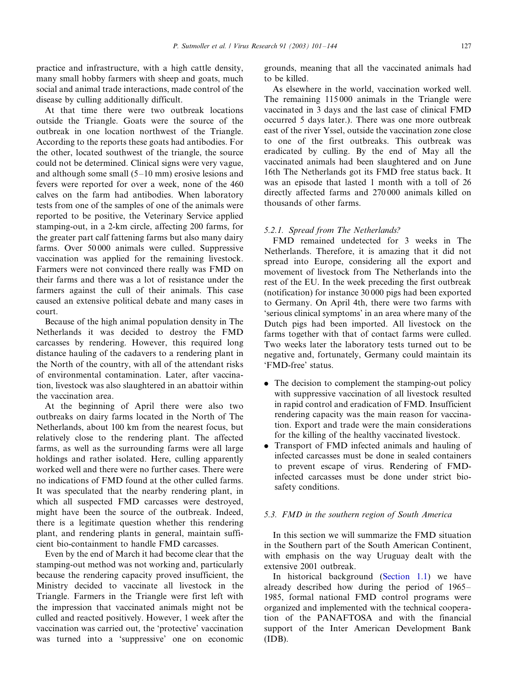practice and infrastructure, with a high cattle density, many small hobby farmers with sheep and goats, much social and animal trade interactions, made control of the disease by culling additionally difficult.

At that time there were two outbreak locations outside the Triangle. Goats were the source of the outbreak in one location northwest of the Triangle. According to the reports these goats had antibodies. For the other, located southwest of the triangle, the source could not be determined. Clinical signs were very vague, and although some small  $(5-10 \text{ mm})$  erosive lesions and fevers were reported for over a week, none of the 460 calves on the farm had antibodies. When laboratory tests from one of the samples of one of the animals were reported to be positive, the Veterinary Service applied stamping-out, in a 2-km circle, affecting 200 farms, for the greater part calf fattening farms but also many dairy farms. Over 50 000 animals were culled. Suppressive vaccination was applied for the remaining livestock. Farmers were not convinced there really was FMD on their farms and there was a lot of resistance under the farmers against the cull of their animals. This case caused an extensive political debate and many cases in court.

Because of the high animal population density in The Netherlands it was decided to destroy the FMD carcasses by rendering. However, this required long distance hauling of the cadavers to a rendering plant in the North of the country, with all of the attendant risks of environmental contamination. Later, after vaccination, livestock was also slaughtered in an abattoir within the vaccination area.

At the beginning of April there were also two outbreaks on dairy farms located in the North of The Netherlands, about 100 km from the nearest focus, but relatively close to the rendering plant. The affected farms, as well as the surrounding farms were all large holdings and rather isolated. Here, culling apparently worked well and there were no further cases. There were no indications of FMD found at the other culled farms. It was speculated that the nearby rendering plant, in which all suspected FMD carcasses were destroyed, might have been the source of the outbreak. Indeed, there is a legitimate question whether this rendering plant, and rendering plants in general, maintain sufficient bio-containment to handle FMD carcasses.

Even by the end of March it had become clear that the stamping-out method was not working and, particularly because the rendering capacity proved insufficient, the Ministry decided to vaccinate all livestock in the Triangle. Farmers in the Triangle were first left with the impression that vaccinated animals might not be culled and reacted positively. However, 1 week after the vaccination was carried out, the 'protective' vaccination was turned into a 'suppressive' one on economic

grounds, meaning that all the vaccinated animals had to be killed.

As elsewhere in the world, vaccination worked well. The remaining 115 000 animals in the Triangle were vaccinated in 3 days and the last case of clinical FMD occurred 5 days later.). There was one more outbreak east of the river Yssel, outside the vaccination zone close to one of the first outbreaks. This outbreak was eradicated by culling. By the end of May all the vaccinated animals had been slaughtered and on June 16th The Netherlands got its FMD free status back. It was an episode that lasted 1 month with a toll of 26 directly affected farms and 270 000 animals killed on thousands of other farms.

#### 5.2.1. Spread from The Netherlands?

FMD remained undetected for 3 weeks in The Netherlands. Therefore, it is amazing that it did not spread into Europe, considering all the export and movement of livestock from The Netherlands into the rest of the EU. In the week preceding the first outbreak (notification) for instance 30 000 pigs had been exported to Germany. On April 4th, there were two farms with 'serious clinical symptoms' in an area where many of the Dutch pigs had been imported. All livestock on the farms together with that of contact farms were culled. Two weeks later the laboratory tests turned out to be negative and, fortunately, Germany could maintain its 'FMD-free' status.

- The decision to complement the stamping-out policy with suppressive vaccination of all livestock resulted in rapid control and eradication of FMD. Insufficient rendering capacity was the main reason for vaccination. Export and trade were the main considerations for the killing of the healthy vaccinated livestock.
- . Transport of FMD infected animals and hauling of infected carcasses must be done in sealed containers to prevent escape of virus. Rendering of FMDinfected carcasses must be done under strict biosafety conditions.

#### 5.3. FMD in the southern region of South America

In this section we will summarize the FMD situation in the Southern part of the South American Continent, with emphasis on the way Uruguay dealt with the extensive 2001 outbreak.

In historical background ([Section 1.1\)](#page-1-0) we have already described how during the period of  $1965-$ 1985, formal national FMD control programs were organized and implemented with the technical cooperation of the PANAFTOSA and with the financial support of the Inter American Development Bank (IDB).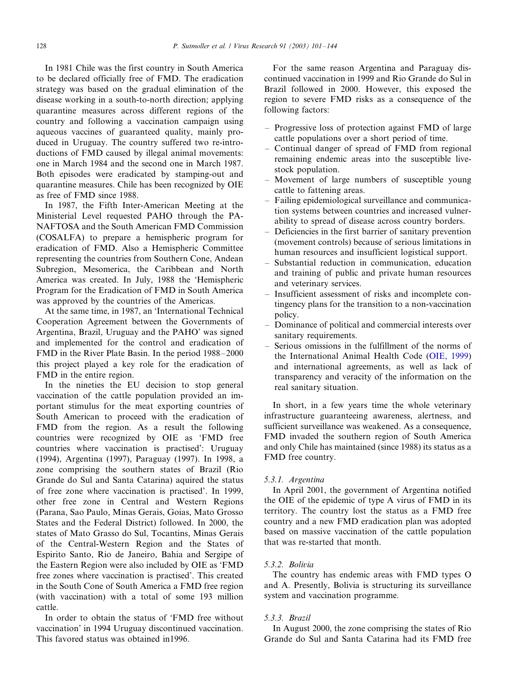In 1981 Chile was the first country in South America to be declared officially free of FMD. The eradication strategy was based on the gradual elimination of the disease working in a south-to-north direction; applying quarantine measures across different regions of the country and following a vaccination campaign using aqueous vaccines of guaranteed quality, mainly produced in Uruguay. The country suffered two re-introductions of FMD caused by illegal animal movements: one in March 1984 and the second one in March 1987. Both episodes were eradicated by stamping-out and quarantine measures. Chile has been recognized by OIE as free of FMD since 1988.

In 1987, the Fifth Inter-American Meeting at the Ministerial Level requested PAHO through the PA-NAFTOSA and the South American FMD Commission (COSALFA) to prepare a hemispheric program for eradication of FMD. Also a Hemispheric Committee representing the countries from Southern Cone, Andean Subregion, Mesomerica, the Caribbean and North America was created. In July, 1988 the 'Hemispheric Program for the Eradication of FMD in South America was approved by the countries of the Americas.

At the same time, in 1987, an 'International Technical Cooperation Agreement between the Governments of Argentina, Brazil, Uruguay and the PAHO' was signed and implemented for the control and eradication of  $FMD$  in the River Plate Basin. In the period  $1988-2000$ this project played a key role for the eradication of FMD in the entire region.

In the nineties the EU decision to stop general vaccination of the cattle population provided an important stimulus for the meat exporting countries of South American to proceed with the eradication of FMD from the region. As a result the following countries were recognized by OIE as 'FMD free countries where vaccination is practised': Uruguay (1994), Argentina (1997), Paraguay (1997). In 1998, a zone comprising the southern states of Brazil (Rio Grande do Sul and Santa Catarina) aquired the status of free zone where vaccination is practised'. In 1999, other free zone in Central and Western Regions (Parana, Sao Paulo, Minas Gerais, Goias, Mato Grosso States and the Federal District) followed. In 2000, the states of Mato Grasso do Sul, Tocantins, Minas Gerais of the Central-Western Region and the States of Espirito Santo, Rio de Janeiro, Bahia and Sergipe of the Eastern Region were also included by OIE as 'FMD free zones where vaccination is practised'. This created in the South Cone of South America a FMD free region (with vaccination) with a total of some 193 million cattle.

In order to obtain the status of 'FMD free without vaccination' in 1994 Uruguay discontinued vaccination. This favored status was obtained in1996.

For the same reason Argentina and Paraguay discontinued vaccination in 1999 and Rio Grande do Sul in Brazil followed in 2000. However, this exposed the region to severe FMD risks as a consequence of the following factors:

- Progressive loss of protection against FMD of large cattle populations over a short period of time.
- Continual danger of spread of FMD from regional remaining endemic areas into the susceptible livestock population.
- / Movement of large numbers of susceptible young cattle to fattening areas.
- Failing epidemiological surveillance and communication systems between countries and increased vulnerability to spread of disease across country borders.
- / Deficiencies in the first barrier of sanitary prevention (movement controls) because of serious limitations in human resources and insufficient logistical support.
- Substantial reduction in communication, education and training of public and private human resources and veterinary services.
- Insufficient assessment of risks and incomplete contingency plans for the transition to a non-vaccination policy.
- Dominance of political and commercial interests over sanitary requirements.
- Serious omissions in the fulfillment of the norms of the International Animal Health Code [\(OIE, 1999\)](#page-41-0) and international agreements, as well as lack of transparency and veracity of the information on the real sanitary situation.

In short, in a few years time the whole veterinary infrastructure guaranteeing awareness, alertness, and sufficient surveillance was weakened. As a consequence, FMD invaded the southern region of South America and only Chile has maintained (since 1988) its status as a FMD free country.

#### 5.3.1. Argentina

In April 2001, the government of Argentina notified the OIE of the epidemic of type A virus of FMD in its territory. The country lost the status as a FMD free country and a new FMD eradication plan was adopted based on massive vaccination of the cattle population that was re-started that month.

# 5.3.2. Bolivia

The country has endemic areas with FMD types O and A. Presently, Bolivia is structuring its surveillance system and vaccination programme.

#### 5.3.3. Brazil

In August 2000, the zone comprising the states of Rio Grande do Sul and Santa Catarina had its FMD free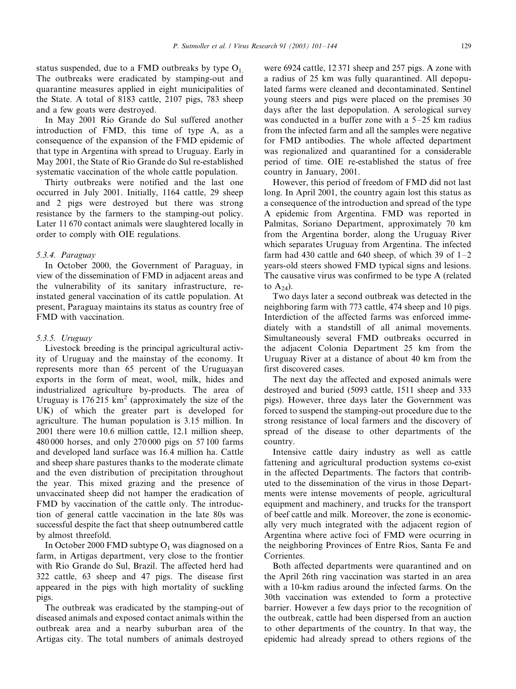status suspended, due to a FMD outbreaks by type  $O<sub>1</sub>$ . The outbreaks were eradicated by stamping-out and quarantine measures applied in eight municipalities of the State. A total of 8183 cattle, 2107 pigs, 783 sheep and a few goats were destroyed.

In May 2001 Rio Grande do Sul suffered another introduction of FMD, this time of type A, as a consequence of the expansion of the FMD epidemic of that type in Argentina with spread to Uruguay. Early in May 2001, the State of Rio Grande do Sul re-established systematic vaccination of the whole cattle population.

Thirty outbreaks were notified and the last one occurred in July 2001. Initially, 1164 cattle, 29 sheep and 2 pigs were destroyed but there was strong resistance by the farmers to the stamping-out policy. Later 11 670 contact animals were slaughtered locally in order to comply with OIE regulations.

#### 5.3.4. Paraguay

In October 2000, the Government of Paraguay, in view of the dissemination of FMD in adjacent areas and the vulnerability of its sanitary infrastructure, reinstated general vaccination of its cattle population. At present, Paraguay maintains its status as country free of FMD with vaccination.

#### 5.3.5. Uruguay

Livestock breeding is the principal agricultural activity of Uruguay and the mainstay of the economy. It represents more than 65 percent of the Uruguayan exports in the form of meat, wool, milk, hides and industrialized agriculture by-products. The area of Uruguay is  $176215 \text{ km}^2$  (approximately the size of the UK) of which the greater part is developed for agriculture. The human population is 3.15 million. In 2001 there were 10.6 million cattle, 12.1 million sheep, 480 000 horses, and only 270 000 pigs on 57 100 farms and developed land surface was 16.4 million ha. Cattle and sheep share pastures thanks to the moderate climate and the even distribution of precipitation throughout the year. This mixed grazing and the presence of unvaccinated sheep did not hamper the eradication of FMD by vaccination of the cattle only. The introduction of general cattle vaccination in the late 80s was successful despite the fact that sheep outnumbered cattle by almost threefold.

In October 2000 FMD subtype  $O_1$  was diagnosed on a farm, in Artigas department, very close to the frontier with Rio Grande do Sul, Brazil. The affected herd had 322 cattle, 63 sheep and 47 pigs. The disease first appeared in the pigs with high mortality of suckling pigs.

The outbreak was eradicated by the stamping-out of diseased animals and exposed contact animals within the outbreak area and a nearby suburban area of the Artigas city. The total numbers of animals destroyed

were 6924 cattle, 12 371 sheep and 257 pigs. A zone with a radius of 25 km was fully quarantined. All depopulated farms were cleaned and decontaminated. Sentinel young steers and pigs were placed on the premises 30 days after the last depopulation. A serological survey was conducted in a buffer zone with a  $5-25$  km radius from the infected farm and all the samples were negative for FMD antibodies. The whole affected department was regionalized and quarantined for a considerable period of time. OIE re-established the status of free country in January, 2001.

However, this period of freedom of FMD did not last long. In April 2001, the country again lost this status as a consequence of the introduction and spread of the type A epidemic from Argentina. FMD was reported in Palmitas, Soriano Department, approximately 70 km from the Argentina border, along the Uruguay River which separates Uruguay from Argentina. The infected farm had 430 cattle and 640 sheep, of which 39 of  $1-2$ years-old steers showed FMD typical signs and lesions. The causative virus was confirmed to be type A (related to  $A_{24}$ ).

Two days later a second outbreak was detected in the neighboring farm with 773 cattle, 474 sheep and 10 pigs. Interdiction of the affected farms was enforced immediately with a standstill of all animal movements. Simultaneously several FMD outbreaks occurred in the adjacent Colonia Department 25 km from the Uruguay River at a distance of about 40 km from the first discovered cases.

The next day the affected and exposed animals were destroyed and buried (5093 cattle, 1511 sheep and 333 pigs). However, three days later the Government was forced to suspend the stamping-out procedure due to the strong resistance of local farmers and the discovery of spread of the disease to other departments of the country.

Intensive cattle dairy industry as well as cattle fattening and agricultural production systems co-exist in the affected Departments. The factors that contributed to the dissemination of the virus in those Departments were intense movements of people, agricultural equipment and machinery, and trucks for the transport of beef cattle and milk. Moreover, the zone is economically very much integrated with the adjacent region of Argentina where active foci of FMD were ocurring in the neighboring Provinces of Entre Rios, Santa Fe and Corrientes.

Both affected departments were quarantined and on the April 26th ring vaccination was started in an area with a 10-km radius around the infected farms. On the 30th vaccination was extended to form a protective barrier. However a few days prior to the recognition of the outbreak, cattle had been dispersed from an auction to other departments of the country. In that way, the epidemic had already spread to others regions of the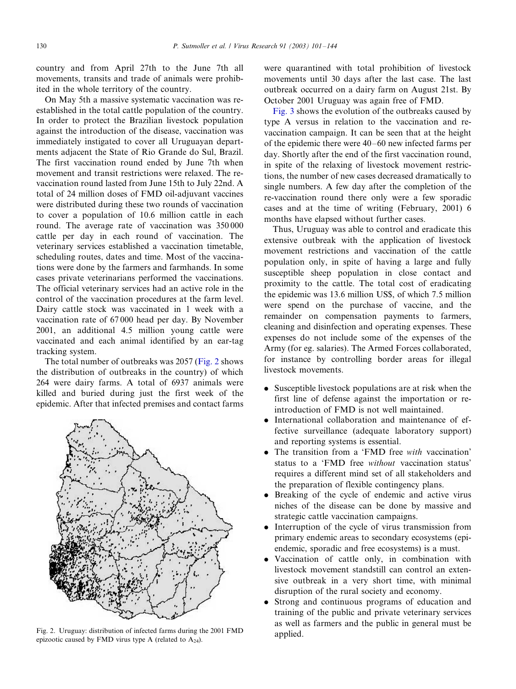country and from April 27th to the June 7th all movements, transits and trade of animals were prohibited in the whole territory of the country.

On May 5th a massive systematic vaccination was reestablished in the total cattle population of the country. In order to protect the Brazilian livestock population against the introduction of the disease, vaccination was immediately instigated to cover all Uruguayan departments adjacent the State of Rio Grande do Sul, Brazil. The first vaccination round ended by June 7th when movement and transit restrictions were relaxed. The revaccination round lasted from June 15th to July 22nd. A total of 24 million doses of FMD oil-adjuvant vaccines were distributed during these two rounds of vaccination to cover a population of 10.6 million cattle in each round. The average rate of vaccination was 350 000 cattle per day in each round of vaccination. The veterinary services established a vaccination timetable, scheduling routes, dates and time. Most of the vaccinations were done by the farmers and farmhands. In some cases private veterinarians performed the vaccinations. The official veterinary services had an active role in the control of the vaccination procedures at the farm level. Dairy cattle stock was vaccinated in 1 week with a vaccination rate of 67 000 head per day. By November 2001, an additional 4.5 million young cattle were vaccinated and each animal identified by an ear-tag tracking system.

The total number of outbreaks was 2057 (Fig. 2 shows the distribution of outbreaks in the country) of which 264 were dairy farms. A total of 6937 animals were killed and buried during just the first week of the epidemic. After that infected premises and contact farms



Fig. 2. Uruguay: distribution of infected farms during the 2001 FMD applied. epizootic caused by FMD virus type A (related to  $A_{24}$ ).

were quarantined with total prohibition of livestock movements until 30 days after the last case. The last outbreak occurred on a dairy farm on August 21st. By October 2001 Uruguay was again free of FMD.

[Fig. 3](#page-30-0) shows the evolution of the outbreaks caused by type A versus in relation to the vaccination and revaccination campaign. It can be seen that at the height of the epidemic there were  $40-60$  new infected farms per day. Shortly after the end of the first vaccination round, in spite of the relaxing of livestock movement restrictions, the number of new cases decreased dramatically to single numbers. A few day after the completion of the re-vaccination round there only were a few sporadic cases and at the time of writing (February, 2001) 6 months have elapsed without further cases.

Thus, Uruguay was able to control and eradicate this extensive outbreak with the application of livestock movement restrictions and vaccination of the cattle population only, in spite of having a large and fully susceptible sheep population in close contact and proximity to the cattle. The total cost of eradicating the epidemic was 13.6 million US\$, of which 7.5 million were spend on the purchase of vaccine, and the remainder on compensation payments to farmers, cleaning and disinfection and operating expenses. These expenses do not include some of the expenses of the Army (for eg. salaries). The Armed Forces collaborated, for instance by controlling border areas for illegal livestock movements.

- . Susceptible livestock populations are at risk when the first line of defense against the importation or reintroduction of FMD is not well maintained.
- . International collaboration and maintenance of effective surveillance (adequate laboratory support) and reporting systems is essential.
- The transition from a 'FMD free with vaccination' status to a 'FMD free without vaccination status' requires a different mind set of all stakeholders and the preparation of flexible contingency plans.
- . Breaking of the cycle of endemic and active virus niches of the disease can be done by massive and strategic cattle vaccination campaigns.
- . Interruption of the cycle of virus transmission from primary endemic areas to secondary ecosystems (epiendemic, sporadic and free ecosystems) is a must.
- . Vaccination of cattle only, in combination with livestock movement standstill can control an extensive outbreak in a very short time, with minimal disruption of the rural society and economy.
- . Strong and continuous programs of education and training of the public and private veterinary services as well as farmers and the public in general must be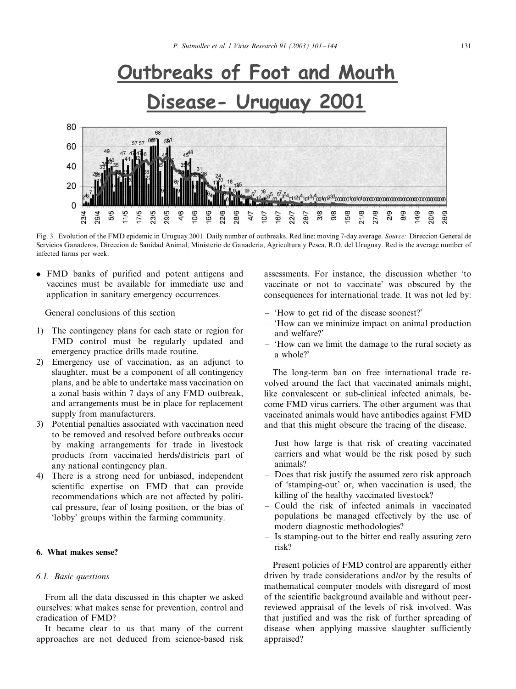# <span id="page-30-0"></span>Outbreaks of Foot and Mouth Disease- Uruguay 2001



Fig. 3. Evolution of the FMD epidemic in Uruguay 2001. Daily number of outbreaks. Red line: moving 7-day average. Source: Direccion General de Servicios Ganaderos, Direccion de Sanidad Animal, Ministerio de Ganaderia, Agricultura y Pesca, R.O. del Uruguay. Red is the average number of infected farms per week.

. FMD banks of purified and potent antigens and vaccines must be available for immediate use and application in sanitary emergency occurrences.

General conclusions of this section

- 1) The contingency plans for each state or region for FMD control must be regularly updated and emergency practice drills made routine.
- 2) Emergency use of vaccination, as an adjunct to slaughter, must be a component of all contingency plans, and be able to undertake mass vaccination on a zonal basis within 7 days of any FMD outbreak, and arrangements must be in place for replacement supply from manufacturers.
- 3) Potential penalties associated with vaccination need to be removed and resolved before outbreaks occur by making arrangements for trade in livestock products from vaccinated herds/districts part of any national contingency plan.
- 4) There is a strong need for unbiased, independent scientific expertise on FMD that can provide recommendations which are not affected by political pressure, fear of losing position, or the bias of 'lobby' groups within the farming community.

# 6. What makes sense?

#### 6.1. Basic questions

From all the data discussed in this chapter we asked ourselves: what makes sense for prevention, control and eradication of FMD?

It became clear to us that many of the current approaches are not deduced from science-based risk

assessments. For instance, the discussion whether 'to vaccinate or not to vaccinate' was obscured by the consequences for international trade. It was not led by:

- / 'How to get rid of the disease soonest?'
- 'How can we minimize impact on animal production and welfare?'
- 'How can we limit the damage to the rural society as a whole?'

The long-term ban on free international trade revolved around the fact that vaccinated animals might, like convalescent or sub-clinical infected animals, become FMD virus carriers. The other argument was that vaccinated animals would have antibodies against FMD and that this might obscure the tracing of the disease.

- Just how large is that risk of creating vaccinated carriers and what would be the risk posed by such animals?
- Does that risk justify the assumed zero risk approach of 'stamping-out' or, when vaccination is used, the killing of the healthy vaccinated livestock?
- / Could the risk of infected animals in vaccinated populations be managed effectively by the use of modern diagnostic methodologies?
- Is stamping-out to the bitter end really assuring zero risk?

Present policies of FMD control are apparently either driven by trade considerations and/or by the results of mathematical computer models with disregard of most of the scientific background available and without peerreviewed appraisal of the levels of risk involved. Was that justified and was the risk of further spreading of disease when applying massive slaughter sufficiently appraised?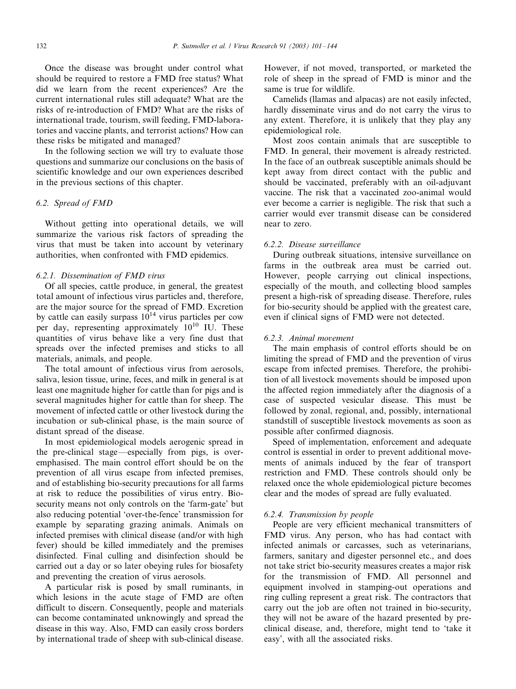Once the disease was brought under control what should be required to restore a FMD free status? What did we learn from the recent experiences? Are the current international rules still adequate? What are the risks of re-introduction of FMD? What are the risks of international trade, tourism, swill feeding, FMD-laboratories and vaccine plants, and terrorist actions? How can these risks be mitigated and managed?

In the following section we will try to evaluate those questions and summarize our conclusions on the basis of scientific knowledge and our own experiences described in the previous sections of this chapter.

# 6.2. Spread of FMD

Without getting into operational details, we will summarize the various risk factors of spreading the virus that must be taken into account by veterinary authorities, when confronted with FMD epidemics.

#### 6.2.1. Dissemination of FMD virus

Of all species, cattle produce, in general, the greatest total amount of infectious virus particles and, therefore, are the major source for the spread of FMD. Excretion by cattle can easily surpass  $10^{14}$  virus particles per cow per day, representing approximately  $10^{10}$  IU. These quantities of virus behave like a very fine dust that spreads over the infected premises and sticks to all materials, animals, and people.

The total amount of infectious virus from aerosols, saliva, lesion tissue, urine, feces, and milk in general is at least one magnitude higher for cattle than for pigs and is several magnitudes higher for cattle than for sheep. The movement of infected cattle or other livestock during the incubation or sub-clinical phase, is the main source of distant spread of the disease.

In most epidemiological models aerogenic spread in the pre-clinical stage—especially from pigs, is overemphasised. The main control effort should be on the prevention of all virus escape from infected premises, and of establishing bio-security precautions for all farms at risk to reduce the possibilities of virus entry. Biosecurity means not only controls on the 'farm-gate' but also reducing potential 'over-the-fence' transmission for example by separating grazing animals. Animals on infected premises with clinical disease (and/or with high fever) should be killed immediately and the premises disinfected. Final culling and disinfection should be carried out a day or so later obeying rules for biosafety and preventing the creation of virus aerosols.

A particular risk is posed by small ruminants, in which lesions in the acute stage of FMD are often difficult to discern. Consequently, people and materials can become contaminated unknowingly and spread the disease in this way. Also, FMD can easily cross borders by international trade of sheep with sub-clinical disease.

However, if not moved, transported, or marketed the role of sheep in the spread of FMD is minor and the same is true for wildlife.

Camelids (llamas and alpacas) are not easily infected, hardly disseminate virus and do not carry the virus to any extent. Therefore, it is unlikely that they play any epidemiological role.

Most zoos contain animals that are susceptible to FMD. In general, their movement is already restricted. In the face of an outbreak susceptible animals should be kept away from direct contact with the public and should be vaccinated, preferably with an oil-adjuvant vaccine. The risk that a vaccinated zoo-animal would ever become a carrier is negligible. The risk that such a carrier would ever transmit disease can be considered near to zero.

# 6.2.2. Disease surveillance

During outbreak situations, intensive surveillance on farms in the outbreak area must be carried out. However, people carrying out clinical inspections, especially of the mouth, and collecting blood samples present a high-risk of spreading disease. Therefore, rules for bio-security should be applied with the greatest care, even if clinical signs of FMD were not detected.

# 6.2.3. Animal movement

The main emphasis of control efforts should be on limiting the spread of FMD and the prevention of virus escape from infected premises. Therefore, the prohibition of all livestock movements should be imposed upon the affected region immediately after the diagnosis of a case of suspected vesicular disease. This must be followed by zonal, regional, and, possibly, international standstill of susceptible livestock movements as soon as possible after confirmed diagnosis.

Speed of implementation, enforcement and adequate control is essential in order to prevent additional movements of animals induced by the fear of transport restriction and FMD. These controls should only be relaxed once the whole epidemiological picture becomes clear and the modes of spread are fully evaluated.

#### 6.2.4. Transmission by people

People are very efficient mechanical transmitters of FMD virus. Any person, who has had contact with infected animals or carcasses, such as veterinarians, farmers, sanitary and digester personnel etc., and does not take strict bio-security measures creates a major risk for the transmission of FMD. All personnel and equipment involved in stamping-out operations and ring culling represent a great risk. The contractors that carry out the job are often not trained in bio-security, they will not be aware of the hazard presented by preclinical disease, and, therefore, might tend to 'take it easy', with all the associated risks.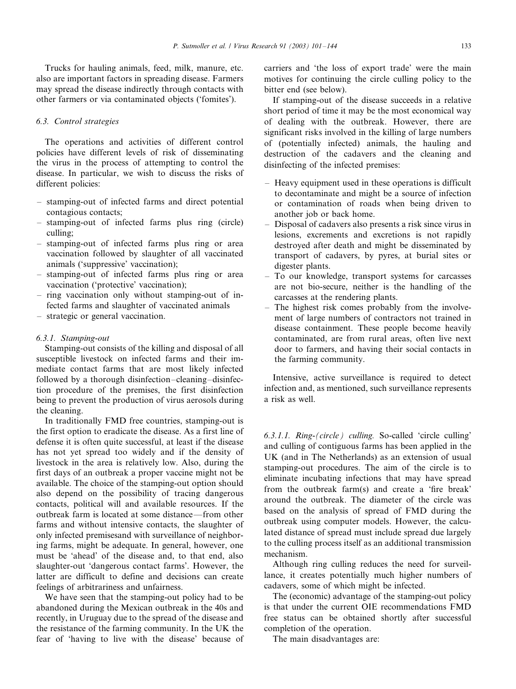Trucks for hauling animals, feed, milk, manure, etc. also are important factors in spreading disease. Farmers may spread the disease indirectly through contacts with other farmers or via contaminated objects ('fomites').

#### 6.3. Control strategies

The operations and activities of different control policies have different levels of risk of disseminating the virus in the process of attempting to control the disease. In particular, we wish to discuss the risks of different policies:

- stamping-out of infected farms and direct potential contagious contacts;
- stamping-out of infected farms plus ring (circle) culling;
- stamping-out of infected farms plus ring or area vaccination followed by slaughter of all vaccinated animals ('suppressive' vaccination);
- stamping-out of infected farms plus ring or area vaccination ('protective' vaccination);
- ring vaccination only without stamping-out of infected farms and slaughter of vaccinated animals
- strategic or general vaccination.

#### 6.3.1. Stamping-out

Stamping-out consists of the killing and disposal of all susceptible livestock on infected farms and their immediate contact farms that are most likely infected followed by a thorough disinfection-cleaning-disinfection procedure of the premises, the first disinfection being to prevent the production of virus aerosols during the cleaning.

In traditionally FMD free countries, stamping-out is the first option to eradicate the disease. As a first line of defense it is often quite successful, at least if the disease has not yet spread too widely and if the density of livestock in the area is relatively low. Also, during the first days of an outbreak a proper vaccine might not be available. The choice of the stamping-out option should also depend on the possibility of tracing dangerous contacts, political will and available resources. If the outbreak farm is located at some distance—from other farms and without intensive contacts, the slaughter of only infected premisesand with surveillance of neighboring farms, might be adequate. In general, however, one must be 'ahead' of the disease and, to that end, also slaughter-out 'dangerous contact farms'. However, the latter are difficult to define and decisions can create feelings of arbitrariness and unfairness.

We have seen that the stamping-out policy had to be abandoned during the Mexican outbreak in the 40s and recently, in Uruguay due to the spread of the disease and the resistance of the farming community. In the UK the fear of 'having to live with the disease' because of carriers and 'the loss of export trade' were the main motives for continuing the circle culling policy to the bitter end (see below).

If stamping-out of the disease succeeds in a relative short period of time it may be the most economical way of dealing with the outbreak. However, there are significant risks involved in the killing of large numbers of (potentially infected) animals, the hauling and destruction of the cadavers and the cleaning and disinfecting of the infected premises:

- / Heavy equipment used in these operations is difficult to decontaminate and might be a source of infection or contamination of roads when being driven to another job or back home.
- Disposal of cadavers also presents a risk since virus in lesions, excrements and excretions is not rapidly destroyed after death and might be disseminated by transport of cadavers, by pyres, at burial sites or digester plants.
- To our knowledge, transport systems for carcasses are not bio-secure, neither is the handling of the carcasses at the rendering plants.
- The highest risk comes probably from the involvement of large numbers of contractors not trained in disease containment. These people become heavily contaminated, are from rural areas, often live next door to farmers, and having their social contacts in the farming community.

Intensive, active surveillance is required to detect infection and, as mentioned, such surveillance represents a risk as well.

6.3.1.1. Ring-(circle) culling. So-called 'circle culling' and culling of contiguous farms has been applied in the UK (and in The Netherlands) as an extension of usual stamping-out procedures. The aim of the circle is to eliminate incubating infections that may have spread from the outbreak farm(s) and create a 'fire break' around the outbreak. The diameter of the circle was based on the analysis of spread of FMD during the outbreak using computer models. However, the calculated distance of spread must include spread due largely to the culling process itself as an additional transmission mechanism.

Although ring culling reduces the need for surveillance, it creates potentially much higher numbers of cadavers, some of which might be infected.

The (economic) advantage of the stamping-out policy is that under the current OIE recommendations FMD free status can be obtained shortly after successful completion of the operation.

The main disadvantages are: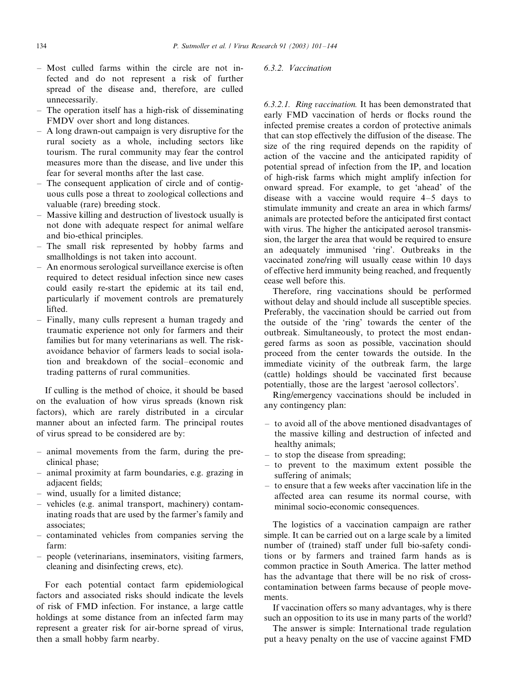- Most culled farms within the circle are not infected and do not represent a risk of further spread of the disease and, therefore, are culled unnecessarily.
- $-$  The operation itself has a high-risk of disseminating FMDV over short and long distances.
- $-$  A long drawn-out campaign is very disruptive for the rural society as a whole, including sectors like tourism. The rural community may fear the control measures more than the disease, and live under this fear for several months after the last case.
- The consequent application of circle and of contiguous culls pose a threat to zoological collections and valuable (rare) breeding stock.
- Massive killing and destruction of livestock usually is not done with adequate respect for animal welfare and bio-ethical principles.
- The small risk represented by hobby farms and smallholdings is not taken into account.
- An enormous serological surveillance exercise is often required to detect residual infection since new cases could easily re-start the epidemic at its tail end, particularly if movement controls are prematurely lifted.
- Finally, many culls represent a human tragedy and traumatic experience not only for farmers and their families but for many veterinarians as well. The riskavoidance behavior of farmers leads to social isolation and breakdown of the social–economic and trading patterns of rural communities.

If culling is the method of choice, it should be based on the evaluation of how virus spreads (known risk factors), which are rarely distributed in a circular manner about an infected farm. The principal routes of virus spread to be considered are by:

- animal movements from the farm, during the preclinical phase;
- animal proximity at farm boundaries, e.g. grazing in adjacent fields;
- wind, usually for a limited distance;
- vehicles (e.g. animal transport, machinery) contaminating roads that are used by the farmer's family and associates;
- / contaminated vehicles from companies serving the farm:
- / people (veterinarians, inseminators, visiting farmers, cleaning and disinfecting crews, etc).

For each potential contact farm epidemiological factors and associated risks should indicate the levels of risk of FMD infection. For instance, a large cattle holdings at some distance from an infected farm may represent a greater risk for air-borne spread of virus, then a small hobby farm nearby.

# 6.3.2. Vaccination

6.3.2.1. Ring vaccination. It has been demonstrated that early FMD vaccination of herds or flocks round the infected premise creates a cordon of protective animals that can stop effectively the diffusion of the disease. The size of the ring required depends on the rapidity of action of the vaccine and the anticipated rapidity of potential spread of infection from the IP, and location of high-risk farms which might amplify infection for onward spread. For example, to get 'ahead' of the disease with a vaccine would require  $4-5$  days to stimulate immunity and create an area in which farms/ animals are protected before the anticipated first contact with virus. The higher the anticipated aerosol transmission, the larger the area that would be required to ensure an adequately immunised 'ring'. Outbreaks in the vaccinated zone/ring will usually cease within 10 days of effective herd immunity being reached, and frequently cease well before this.

Therefore, ring vaccinations should be performed without delay and should include all susceptible species. Preferably, the vaccination should be carried out from the outside of the 'ring' towards the center of the outbreak. Simultaneously, to protect the most endangered farms as soon as possible, vaccination should proceed from the center towards the outside. In the immediate vicinity of the outbreak farm, the large (cattle) holdings should be vaccinated first because potentially, those are the largest 'aerosol collectors'.

Ring/emergency vaccinations should be included in any contingency plan:

- to avoid all of the above mentioned disadvantages of the massive killing and destruction of infected and healthy animals;
- $-$  to stop the disease from spreading:
- $-$  to prevent to the maximum extent possible the suffering of animals;
- $-$  to ensure that a few weeks after vaccination life in the affected area can resume its normal course, with minimal socio-economic consequences.

The logistics of a vaccination campaign are rather simple. It can be carried out on a large scale by a limited number of (trained) staff under full bio-safety conditions or by farmers and trained farm hands as is common practice in South America. The latter method has the advantage that there will be no risk of crosscontamination between farms because of people movements.

If vaccination offers so many advantages, why is there such an opposition to its use in many parts of the world?

The answer is simple: International trade regulation put a heavy penalty on the use of vaccine against FMD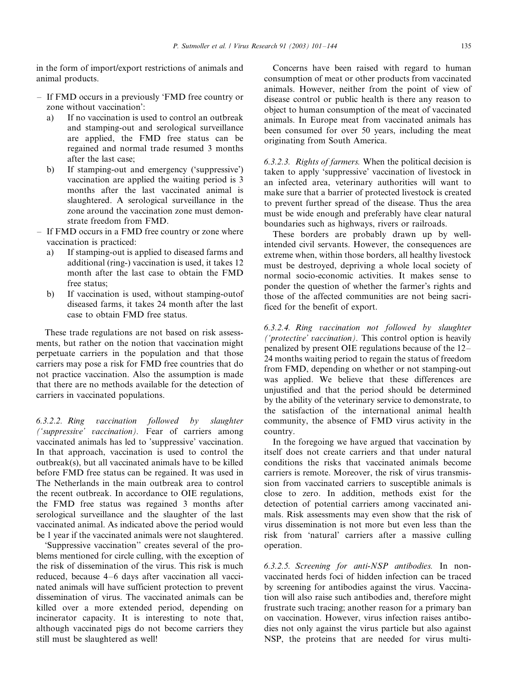in the form of import/export restrictions of animals and animal products.

- If FMD occurs in a previously 'FMD free country or zone without vaccination':
	- a) If no vaccination is used to control an outbreak and stamping-out and serological surveillance are applied, the FMD free status can be regained and normal trade resumed 3 months after the last case;
	- b) If stamping-out and emergency ('suppressive') vaccination are applied the waiting period is 3 months after the last vaccinated animal is slaughtered. A serological surveillance in the zone around the vaccination zone must demonstrate freedom from FMD.
- If FMD occurs in a FMD free country or zone where vaccination is practiced:
	- a) If stamping-out is applied to diseased farms and additional (ring-) vaccination is used, it takes 12 month after the last case to obtain the FMD free status;
	- b) If vaccination is used, without stamping-outof diseased farms, it takes 24 month after the last case to obtain FMD free status.

These trade regulations are not based on risk assessments, but rather on the notion that vaccination might perpetuate carriers in the population and that those carriers may pose a risk for FMD free countries that do not practice vaccination. Also the assumption is made that there are no methods available for the detection of carriers in vaccinated populations.

6.3.2.2. Ring vaccination followed by slaughter ('suppressive' vaccination). Fear of carriers among vaccinated animals has led to 'suppressive' vaccination. In that approach, vaccination is used to control the outbreak(s), but all vaccinated animals have to be killed before FMD free status can be regained. It was used in The Netherlands in the main outbreak area to control the recent outbreak. In accordance to OIE regulations, the FMD free status was regained 3 months after serological surveillance and the slaughter of the last vaccinated animal. As indicated above the period would be 1 year if the vaccinated animals were not slaughtered.

'Suppressive vaccination'' creates several of the problems mentioned for circle culling, with the exception of the risk of dissemination of the virus. This risk is much reduced, because 4–6 days after vaccination all vaccinated animals will have sufficient protection to prevent dissemination of virus. The vaccinated animals can be killed over a more extended period, depending on incinerator capacity. It is interesting to note that, although vaccinated pigs do not become carriers they still must be slaughtered as well!

Concerns have been raised with regard to human consumption of meat or other products from vaccinated animals. However, neither from the point of view of disease control or public health is there any reason to object to human consumption of the meat of vaccinated animals. In Europe meat from vaccinated animals has been consumed for over 50 years, including the meat originating from South America.

6.3.2.3. Rights of farmers. When the political decision is taken to apply 'suppressive' vaccination of livestock in an infected area, veterinary authorities will want to make sure that a barrier of protected livestock is created to prevent further spread of the disease. Thus the area must be wide enough and preferably have clear natural boundaries such as highways, rivers or railroads.

These borders are probably drawn up by wellintended civil servants. However, the consequences are extreme when, within those borders, all healthy livestock must be destroyed, depriving a whole local society of normal socio-economic activities. It makes sense to ponder the question of whether the farmer's rights and those of the affected communities are not being sacrificed for the benefit of export.

6.3.2.4. Ring vaccination not followed by slaughter ('protective' vaccination). This control option is heavily penalized by present OIE regulations because of the 12/ 24 months waiting period to regain the status of freedom from FMD, depending on whether or not stamping-out was applied. We believe that these differences are unjustified and that the period should be determined by the ability of the veterinary service to demonstrate, to the satisfaction of the international animal health community, the absence of FMD virus activity in the country.

In the foregoing we have argued that vaccination by itself does not create carriers and that under natural conditions the risks that vaccinated animals become carriers is remote. Moreover, the risk of virus transmission from vaccinated carriers to susceptible animals is close to zero. In addition, methods exist for the detection of potential carriers among vaccinated animals. Risk assessments may even show that the risk of virus dissemination is not more but even less than the risk from 'natural' carriers after a massive culling operation.

6.3.2.5. Screening for anti-NSP antibodies. In nonvaccinated herds foci of hidden infection can be traced by screening for antibodies against the virus. Vaccination will also raise such antibodies and, therefore might frustrate such tracing; another reason for a primary ban on vaccination. However, virus infection raises antibodies not only against the virus particle but also against NSP, the proteins that are needed for virus multi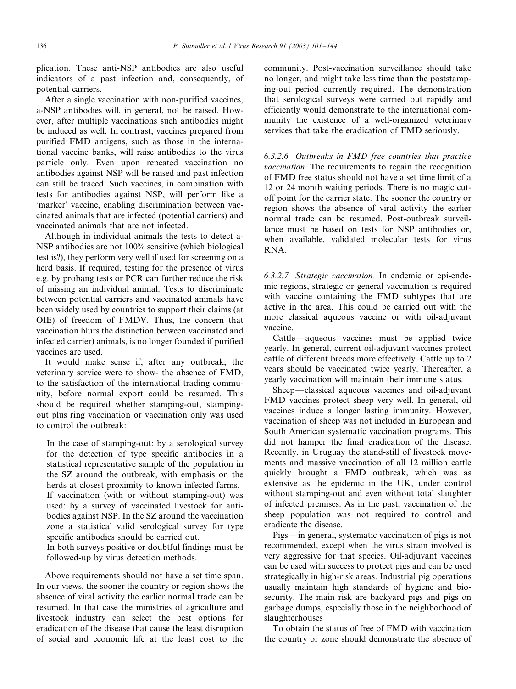plication. These anti-NSP antibodies are also useful indicators of a past infection and, consequently, of potential carriers.

After a single vaccination with non-purified vaccines, a-NSP antibodies will, in general, not be raised. However, after multiple vaccinations such antibodies might be induced as well, In contrast, vaccines prepared from purified FMD antigens, such as those in the international vaccine banks, will raise antibodies to the virus particle only. Even upon repeated vaccination no antibodies against NSP will be raised and past infection can still be traced. Such vaccines, in combination with tests for antibodies against NSP, will perform like a 'marker' vaccine, enabling discrimination between vaccinated animals that are infected (potential carriers) and vaccinated animals that are not infected.

Although in individual animals the tests to detect a-NSP antibodies are not 100% sensitive (which biological test is?), they perform very well if used for screening on a herd basis. If required, testing for the presence of virus e.g. by probang tests or PCR can further reduce the risk of missing an individual animal. Tests to discriminate between potential carriers and vaccinated animals have been widely used by countries to support their claims (at OIE) of freedom of FMDV. Thus, the concern that vaccination blurs the distinction between vaccinated and infected carrier) animals, is no longer founded if purified vaccines are used.

It would make sense if, after any outbreak, the veterinary service were to show- the absence of FMD, to the satisfaction of the international trading community, before normal export could be resumed. This should be required whether stamping-out, stampingout plus ring vaccination or vaccination only was used to control the outbreak:

- In the case of stamping-out: by a serological survey for the detection of type specific antibodies in a statistical representative sample of the population in the SZ around the outbreak, with emphasis on the herds at closest proximity to known infected farms.
- If vaccination (with or without stamping-out) was used: by a survey of vaccinated livestock for antibodies against NSP. In the SZ around the vaccination zone a statistical valid serological survey for type specific antibodies should be carried out.
- In both surveys positive or doubtful findings must be followed-up by virus detection methods.

Above requirements should not have a set time span. In our views, the sooner the country or region shows the absence of viral activity the earlier normal trade can be resumed. In that case the ministries of agriculture and livestock industry can select the best options for eradication of the disease that cause the least disruption of social and economic life at the least cost to the

community. Post-vaccination surveillance should take no longer, and might take less time than the poststamping-out period currently required. The demonstration that serological surveys were carried out rapidly and efficiently would demonstrate to the international community the existence of a well-organized veterinary services that take the eradication of FMD seriously.

6.3.2.6. Outbreaks in FMD free countries that practice vaccination. The requirements to regain the recognition of FMD free status should not have a set time limit of a 12 or 24 month waiting periods. There is no magic cutoff point for the carrier state. The sooner the country or region shows the absence of viral activity the earlier normal trade can be resumed. Post-outbreak surveillance must be based on tests for NSP antibodies or, when available, validated molecular tests for virus RNA.

6.3.2.7. Strategic vaccination. In endemic or epi-endemic regions, strategic or general vaccination is required with vaccine containing the FMD subtypes that are active in the area. This could be carried out with the more classical aqueous vaccine or with oil-adjuvant vaccine.

Cattle—aqueous vaccines must be applied twice yearly. In general, current oil-adjuvant vaccines protect cattle of different breeds more effectively. Cattle up to 2 years should be vaccinated twice yearly. Thereafter, a yearly vaccination will maintain their immune status.

Sheep—classical aqueous vaccines and oil-adjuvant FMD vaccines protect sheep very well. In general, oil vaccines induce a longer lasting immunity. However, vaccination of sheep was not included in European and South American systematic vaccination programs. This did not hamper the final eradication of the disease. Recently, in Uruguay the stand-still of livestock movements and massive vaccination of all 12 million cattle quickly brought a FMD outbreak, which was as extensive as the epidemic in the UK, under control without stamping-out and even without total slaughter of infected premises. As in the past, vaccination of the sheep population was not required to control and eradicate the disease.

Pigs—in general, systematic vaccination of pigs is not recommended, except when the virus strain involved is very aggressive for that species. Oil-adjuvant vaccines can be used with success to protect pigs and can be used strategically in high-risk areas. Industrial pig operations usually maintain high standards of hygiene and biosecurity. The main risk are backyard pigs and pigs on garbage dumps, especially those in the neighborhood of slaughterhouses

To obtain the status of free of FMD with vaccination the country or zone should demonstrate the absence of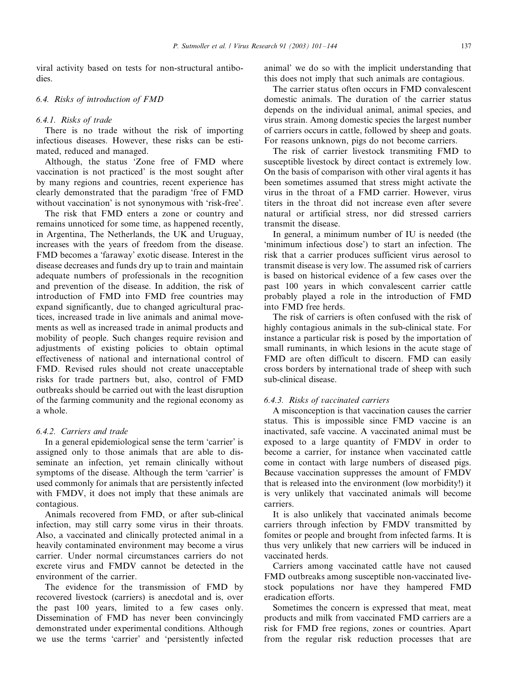viral activity based on tests for non-structural antibodies.

#### 6.4. Risks of introduction of FMD

#### 6.4.1. Risks of trade

There is no trade without the risk of importing infectious diseases. However, these risks can be estimated, reduced and managed.

Although, the status 'Zone free of FMD where vaccination is not practiced' is the most sought after by many regions and countries, recent experience has clearly demonstrated that the paradigm 'free of FMD without vaccination' is not synonymous with 'risk-free'.

The risk that FMD enters a zone or country and remains unnoticed for some time, as happened recently, in Argentina, The Netherlands, the UK and Uruguay, increases with the years of freedom from the disease. FMD becomes a 'faraway' exotic disease. Interest in the disease decreases and funds dry up to train and maintain adequate numbers of professionals in the recognition and prevention of the disease. In addition, the risk of introduction of FMD into FMD free countries may expand significantly, due to changed agricultural practices, increased trade in live animals and animal movements as well as increased trade in animal products and mobility of people. Such changes require revision and adjustments of existing policies to obtain optimal effectiveness of national and international control of FMD. Revised rules should not create unacceptable risks for trade partners but, also, control of FMD outbreaks should be carried out with the least disruption of the farming community and the regional economy as a whole.

# 6.4.2. Carriers and trade

In a general epidemiological sense the term 'carrier' is assigned only to those animals that are able to disseminate an infection, yet remain clinically without symptoms of the disease. Although the term 'carrier' is used commonly for animals that are persistently infected with FMDV, it does not imply that these animals are contagious.

Animals recovered from FMD, or after sub-clinical infection, may still carry some virus in their throats. Also, a vaccinated and clinically protected animal in a heavily contaminated environment may become a virus carrier. Under normal circumstances carriers do not excrete virus and FMDV cannot be detected in the environment of the carrier.

The evidence for the transmission of FMD by recovered livestock (carriers) is anecdotal and is, over the past 100 years, limited to a few cases only. Dissemination of FMD has never been convincingly demonstrated under experimental conditions. Although we use the terms 'carrier' and 'persistently infected

animal' we do so with the implicit understanding that this does not imply that such animals are contagious.

The carrier status often occurs in FMD convalescent domestic animals. The duration of the carrier status depends on the individual animal, animal species, and virus strain. Among domestic species the largest number of carriers occurs in cattle, followed by sheep and goats. For reasons unknown, pigs do not become carriers.

The risk of carrier livestock transmiting FMD to susceptible livestock by direct contact is extremely low. On the basis of comparison with other viral agents it has been sometimes assumed that stress might activate the virus in the throat of a FMD carrier. However, virus titers in the throat did not increase even after severe natural or artificial stress, nor did stressed carriers transmit the disease.

In general, a minimum number of IU is needed (the 'minimum infectious dose') to start an infection. The risk that a carrier produces sufficient virus aerosol to transmit disease is very low. The assumed risk of carriers is based on historical evidence of a few cases over the past 100 years in which convalescent carrier cattle probably played a role in the introduction of FMD into FMD free herds.

The risk of carriers is often confused with the risk of highly contagious animals in the sub-clinical state. For instance a particular risk is posed by the importation of small ruminants, in which lesions in the acute stage of FMD are often difficult to discern. FMD can easily cross borders by international trade of sheep with such sub-clinical disease.

# 6.4.3. Risks of vaccinated carriers

A misconception is that vaccination causes the carrier status. This is impossible since FMD vaccine is an inactivated, safe vaccine. A vaccinated animal must be exposed to a large quantity of FMDV in order to become a carrier, for instance when vaccinated cattle come in contact with large numbers of diseased pigs. Because vaccination suppresses the amount of FMDV that is released into the environment (low morbidity!) it is very unlikely that vaccinated animals will become carriers.

It is also unlikely that vaccinated animals become carriers through infection by FMDV transmitted by fomites or people and brought from infected farms. It is thus very unlikely that new carriers will be induced in vaccinated herds.

Carriers among vaccinated cattle have not caused FMD outbreaks among susceptible non-vaccinated livestock populations nor have they hampered FMD eradication efforts.

Sometimes the concern is expressed that meat, meat products and milk from vaccinated FMD carriers are a risk for FMD free regions, zones or countries. Apart from the regular risk reduction processes that are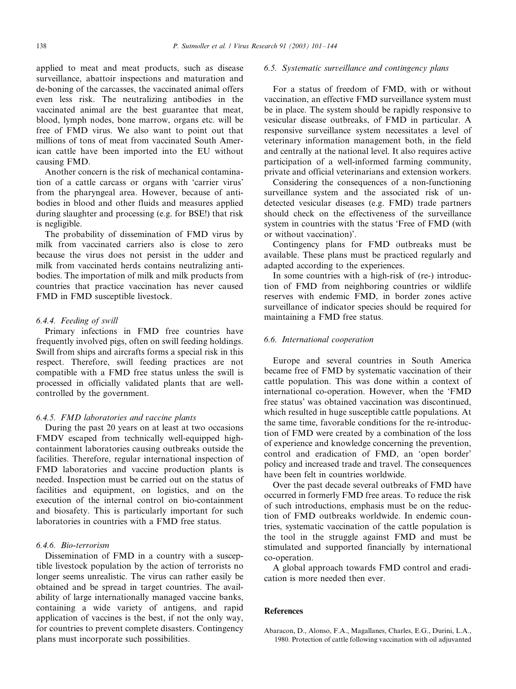<span id="page-37-0"></span>applied to meat and meat products, such as disease surveillance, abattoir inspections and maturation and de-boning of the carcasses, the vaccinated animal offers even less risk. The neutralizing antibodies in the vaccinated animal are the best guarantee that meat, blood, lymph nodes, bone marrow, organs etc. will be free of FMD virus. We also want to point out that millions of tons of meat from vaccinated South American cattle have been imported into the EU without causing FMD.

Another concern is the risk of mechanical contamination of a cattle carcass or organs with 'carrier virus' from the pharyngeal area. However, because of antibodies in blood and other fluids and measures applied during slaughter and processing (e.g. for BSE!) that risk is negligible.

The probability of dissemination of FMD virus by milk from vaccinated carriers also is close to zero because the virus does not persist in the udder and milk from vaccinated herds contains neutralizing antibodies. The importation of milk and milk products from countries that practice vaccination has never caused FMD in FMD susceptible livestock.

#### 6.4.4. Feeding of swill

Primary infections in FMD free countries have frequently involved pigs, often on swill feeding holdings. Swill from ships and aircrafts forms a special risk in this respect. Therefore, swill feeding practices are not compatible with a FMD free status unless the swill is processed in officially validated plants that are wellcontrolled by the government.

#### 6.4.5. FMD laboratories and vaccine plants

During the past 20 years on at least at two occasions FMDV escaped from technically well-equipped highcontainment laboratories causing outbreaks outside the facilities. Therefore, regular international inspection of FMD laboratories and vaccine production plants is needed. Inspection must be carried out on the status of facilities and equipment, on logistics, and on the execution of the internal control on bio-containment and biosafety. This is particularly important for such laboratories in countries with a FMD free status.

# 6.4.6. Bio-terrorism

Dissemination of FMD in a country with a susceptible livestock population by the action of terrorists no longer seems unrealistic. The virus can rather easily be obtained and be spread in target countries. The availability of large internationally managed vaccine banks, containing a wide variety of antigens, and rapid application of vaccines is the best, if not the only way, for countries to prevent complete disasters. Contingency plans must incorporate such possibilities.

#### 6.5. Systematic surveillance and contingency plans

For a status of freedom of FMD, with or without vaccination, an effective FMD surveillance system must be in place. The system should be rapidly responsive to vesicular disease outbreaks, of FMD in particular. A responsive surveillance system necessitates a level of veterinary information management both, in the field and centrally at the national level. It also requires active participation of a well-informed farming community, private and official veterinarians and extension workers.

Considering the consequences of a non-functioning surveillance system and the associated risk of undetected vesicular diseases (e.g. FMD) trade partners should check on the effectiveness of the surveillance system in countries with the status 'Free of FMD (with or without vaccination)'.

Contingency plans for FMD outbreaks must be available. These plans must be practiced regularly and adapted according to the experiences.

In some countries with a high-risk of (re-) introduction of FMD from neighboring countries or wildlife reserves with endemic FMD, in border zones active surveillance of indicator species should be required for maintaining a FMD free status.

#### 6.6. International cooperation

Europe and several countries in South America became free of FMD by systematic vaccination of their cattle population. This was done within a context of international co-operation. However, when the 'FMD free status' was obtained vaccination was discontinued, which resulted in huge susceptible cattle populations. At the same time, favorable conditions for the re-introduction of FMD were created by a combination of the loss of experience and knowledge concerning the prevention, control and eradication of FMD, an 'open border' policy and increased trade and travel. The consequences have been felt in countries worldwide.

Over the past decade several outbreaks of FMD have occurred in formerly FMD free areas. To reduce the risk of such introductions, emphasis must be on the reduction of FMD outbreaks worldwide. In endemic countries, systematic vaccination of the cattle population is the tool in the struggle against FMD and must be stimulated and supported financially by international co-operation.

A global approach towards FMD control and eradication is more needed then ever.

# **References**

Abaracon, D., Alonso, F.A., Magallanes, Charles, E.G., Durini, L.A., 1980. Protection of cattle following vaccination with oil adjuvanted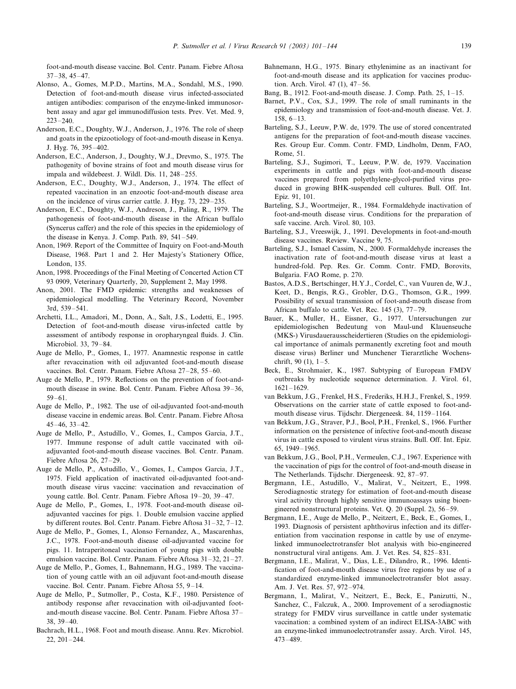<span id="page-38-0"></span>foot-and-mouth disease vaccine. Bol. Centr. Panam. Fiebre Aftosa  $37-38$ ,  $45-47$ .

- Alonso, A., Gomes, M.P.D., Martins, M.A., Sondahl, M.S., 1990. Detection of foot-and-mouth disease virus infected-associated antigen antibodies: comparison of the enzyme-linked immunosorbent assay and agar gel immunodiffusion tests. Prev. Vet. Med. 9,  $223 - 240$
- Anderson, E.C., Doughty, W.J., Anderson, J., 1976. The role of sheep and goats in the epizootiology of foot-and-mouth disease in Kenya. J. Hyg. 76, 395-402.
- Anderson, E.C., Anderson, J., Doughty, W.J., Drevmo, S., 1975. The pathogenity of bovine strains of foot and mouth disease virus for impala and wildebeest. J. Wildl. Dis.  $11$ ,  $248-255$ .
- Anderson, E.C., Doughty, W.J., Anderson, J., 1974. The effect of repeated vaccination in an enzootic foot-and-mouth disease area on the incidence of virus carrier cattle. J. Hyg. 73, 229–235.
- Anderson, E.C., Doughty, W.J., Andreson, J., Paling, R., 1979. The pathogenesis of foot-and-mouth disease in the African buffalo (Syncerus caffer) and the role of this species in the epidemiology of the disease in Kenya. J. Comp. Path.  $89, 541-549$ .
- Anon, 1969. Report of the Committee of Inquiry on Foot-and-Mouth Disease, 1968. Part 1 and 2. Her Majesty's Stationery Office, London, 135.
- Anon, 1998. Proceedings of the Final Meeting of Concerted Action CT 93 0909, Veterinary Quarterly, 20, Supplement 2, May 1998.
- Anon, 2001. The FMD epidemic: strengths and weaknesses of epidemiological modelling. The Veterinary Record, November  $3rd, 539-541$ .
- Archetti, I.L., Amadori, M., Donn, A., Salt, J.S., Lodetti, E., 1995. Detection of foot-and-mouth disease virus-infected cattle by assessment of antibody response in oropharyngeal fluids. J. Clin. Microbiol. 33, 79-84.
- Auge de Mello, P., Gomes, I., 1977. Anamnestic response in cattle after revaccination with oil adjuvanted foot-and-mouth disease vaccines. Bol. Centr. Panam. Fiebre Aftosa 27-28, 55-60.
- Auge de Mello, P., 1979. Reflections on the prevention of foot-andmouth disease in swine. Bol. Centr. Panam. Fiebre Aftosa 39-36,  $59-61$
- Auge de Mello, P., 1982. The use of oil-adjuvanted foot-and-mouth disease vaccine in endemic areas. Bol. Centr. Panam. Fiebre Aftosa  $45-46$ ,  $33-42$ .
- Auge de Mello, P., Astudillo, V., Gomes, I., Campos Garcia, J.T., 1977. Immune response of adult cattle vaccinated with oiladjuvanted foot-and-mouth disease vaccines. Bol. Centr. Panam. Fiebre Aftosa  $26$ ,  $27-29$ .
- Auge de Mello, P., Astudillo, V., Gomes, I., Campos Garcia, J.T., 1975. Field application of inactivated oil-adjuvanted foot-andmouth disease virus vaccine: vaccination and revaccination of young cattle. Bol. Centr. Panam. Fiebre Aftosa 19-20, 39-47.
- Auge de Mello, P., Gomes, I., 1978. Foot-and-mouth disease oiladjuvanted vaccines for pigs. 1. Double emulsion vaccine applied by different routes. Bol. Centr. Panam. Fiebre Aftosa 31-32, 7-12.
- Auge de Mello, P., Gomes, I., Alonso Fernandez, A., Mascarenhas, J.C., 1978. Foot-and-mouth disease oil-adjuvanted vaccine for pigs. 11. Intraperitoneal vaccination of young pigs with double emulsion vaccine. Bol. Centr. Panam. Fiebre Aftosa 31-32, 21-27.
- Auge de Mello, P., Gomes, I., Bahnemann, H.G., 1989. The vaccination of young cattle with an oil adjuvant foot-and-mouth disease vaccine. Bol. Centr. Panam. Fiebre Aftosa 55, 9-14.
- Auge de Mello, P., Sutmoller, P., Costa, K.F., 1980. Persistence of antibody response after revaccination with oil-adjuvanted footand-mouth disease vaccine. Bol. Centr. Panam. Fiebre Aftosa 37- $38, 39-40.$
- Bachrach, H.L., 1968. Foot and mouth disease. Annu. Rev. Microbiol.  $22, 201 - 244.$
- Bahnemann, H.G., 1975. Binary ethylenimine as an inactivant for foot-and-mouth disease and its application for vaccines production. Arch. Virol. 47 (1), 47-56.
- Bang, B., 1912. Foot-and-mouth disease. J. Comp. Path. 25, 1-15.
- Barnet, P.V., Cox, S.J., 1999. The role of small ruminants in the epidemiology and transmission of foot-and-mouth disease. Vet. J.  $158, 6 - 13.$
- Barteling, S.J., Leeuw, P.W. de, 1979. The use of stored concentrated antigens for the preparation of foot-and-mouth disease vaccines. Res. Group Eur. Comm. Contr. FMD, Lindholm, Denm, FAO, Rome, 51.
- Barteling, S.J., Sugimori, T., Leeuw, P.W. de, 1979. Vaccination experiments in cattle and pigs with foot-and-mouth disease vaccines prepared from polyethylene-glycol-purified virus produced in growing BHK-suspended cell cultures. Bull. Off. Int. Epiz. 91, 101.
- Barteling, S.J., Woortmeijer, R., 1984. Formaldehyde inactivation of foot-and-mouth disease virus. Conditions for the preparation of safe vaccine. Arch. Virol. 80, 103.
- Barteling, S.J., Vreeswijk, J., 1991. Developments in foot-and-mouth disease vaccines. Review. Vaccine 9, 75.
- Barteling, S.J., Ismael Cassim, N., 2000. Formaldehyde increases the inactivation rate of foot-and-mouth disease virus at least a hundred-fold. Pep. Res. Gr. Comm. Contr. FMD, Borovits, Bulgaria. FAO Rome, p. 270.
- Bastos, A.D.S., Bertschinger, H.Y.J., Cordel, C., van Vuuren de, W.J., Keet, D., Bengis, R.G., Grobler, D.G., Thomson, G.R., 1999. Possibility of sexual transmission of foot-and-mouth disease from African buffalo to cattle. Vet. Rec.  $145$  (3),  $77-79$ .
- Bauer, K., Muller, H., Eissner, G., 1977. Untersuchungen zur epidemiologischen Bedeutung von Maul-und Klauenseuche (MKS-) Virusdauerausscheidertieren (Studies on the epidemiological importance of animals permanently excreting foot and mouth disease virus) Berliner und Munchener Tierarztliche Wochenschrift,  $90$  (1),  $1-5$ .
- Beck, E., Strohmaier, K., 1987. Subtyping of European FMDV outbreaks by nucleotide sequence determination. J. Virol. 61,  $1621 - 1629.$
- van Bekkum, J.G., Frenkel, H.S., Frederiks, H.H.J., Frenkel, S., 1959. Observations on the carrier state of cattle exposed to foot-andmouth disease virus. Tijdschr. Diergeneesk. 84, 1159-1164.
- van Bekkum, J.G., Straver, P.J., Bool, P.H., Frenkel, S., 1966. Further information on the persistence of infective foot-and-mouth disease virus in cattle exposed to virulent virus strains. Bull. Off. Int. Epiz. 65, 1949-1965.
- van Bekkum, J.G., Bool, P.H., Vermeulen, C.J., 1967. Experience with the vaccination of pigs for the control of foot-and-mouth disease in The Netherlands. Tijdschr. Diergeneesk. 92, 87-97.
- Bergmann, I.E., Astudillo, V., Malirat, V., Neitzert, E., 1998. Serodiagnostic strategy for estimation of foot-and-mouth disease viral activity through highly sensitive immunoassays using bioengineered nonstructural proteins. Vet. Q.  $20$  (Suppl. 2),  $56-59$ .
- Bergmann, I.E., Auge de Mello, P., Neitzert, E., Beck, E., Gomes, I., 1993. Diagnosis of persistent aphthovirus infection and its differentiation from vaccination response in cattle by use of enzymelinked immunoelectrotransfer blot analysis with bio-engineered nonstructural viral antigens. Am. J. Vet. Res. 54, 825-831.
- Bergmann, I.E., Malirat, V., Dias, L.E., Dilandro, R., 1996. Identification of foot-and-mouth disease virus free regions by use of a standardized enzyme-linked immunoelectrotransfer blot assay. Am. J. Vet. Res. 57, 972-974.
- Bergmann, I., Malirat, V., Neitzert, E., Beck, E., Panizutti, N., Sanchez, C., Falczuk, A., 2000. Improvement of a serodiagnostic strategy for FMDV virus surveillance in cattle under systematic vaccination: a combined system of an indirect ELISA-3ABC with an enzyme-linked immunoelectrotransfer assay. Arch. Virol. 145, 473-489.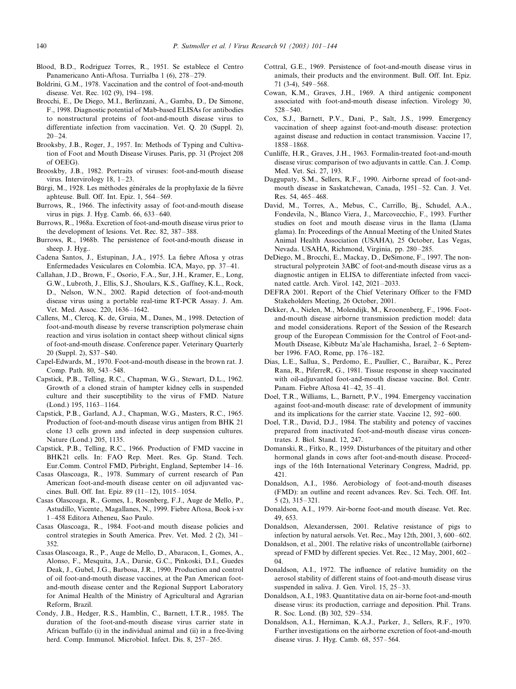- <span id="page-39-0"></span>Blood, B.D., Rodriguez Torres, R., 1951. Se establece el Centro Panamericano Anti-Aftosa. Turrialba 1 (6), 278-279.
- Boldrini, G.M., 1978. Vaccination and the control of foot-and-mouth disease. Vet. Rec. 102 (9), 194-198.
- Brocchi, E., De Diego, M.I., Berlinzani, A., Gamba, D., De Simone, F., 1998. Diagnostic potential of Mab-based ELISAs for antibodies to nonstructural proteins of foot-and-mouth disease virus to differentiate infection from vaccination. Vet. Q. 20 (Suppl. 2),  $20 - 24$
- Brooksby, J.B., Roger, J., 1957. In: Methods of Typing and Cultivation of Foot and Mouth Disease Viruses. Paris, pp. 31 (Project 208 of OEEG).
- Brooskby, J.B., 1982. Portraits of viruses: foot-and-mouth disease virus. Intervirology 18,  $1-23$ .
- Bürgi, M., 1928. Les méthodes générales de la prophylaxie de la fiévre aphteuse. Bull. Off. Int. Epiz. 1,  $564-569$ .
- Burrows, R., 1966. The infectivity assay of foot-and-mouth disease virus in pigs. J. Hyg. Camb. 66, 633-640.
- Burrows, R., 1968a. Excretion of foot-and-mouth disease virus prior to the development of lesions. Vet. Rec. 82, 387-388.
- Burrows, R., 1968b. The persistence of foot-and-mouth disease in sheep. J. Hyg..
- Cadena Santos, J., Estupinan, J.A., 1975. La fiebre Aftosa y otras Enfermedades Vesiculares en Colombia. ICA, Mayo, pp. 37-41.
- Callahan, J.D., Brown, F., Osorio, F.A., Sur, J.H., Kramer, E., Long, G.W., Lubroth, J., Ellis, S.J., Shoulars, K.S., Gaffney, K.L., Rock, D., Nelson, W.N., 2002. Rapid detection of foot-and-mouth disease virus using a portable real-time RT-PCR Assay. J. Am. Vet. Med. Assoc. 220, 1636-1642.
- Callens, M., Clercq, K. de, Gruia, M., Danes, M., 1998. Detection of foot-and-mouth disease by reverse transcription polymerase chain reaction and virus isolation in contact sheep without clinical signs of foot-and-mouth disease. Conference paper. Veterinary Quarterly 20 (Suppl. 2), S37-S40.
- Capel-Edwards, M., 1970. Foot-and-mouth disease in the brown rat. J. Comp. Path. 80, 543-548.
- Capstick, P.B., Telling, R.C., Chapman, W.G., Stewart, D.L., 1962. Growth of a cloned strain of hampter kidney cells in suspended culture and their susceptibility to the virus of FMD. Nature (Lond.) 195, 1163-1164.
- Capstick, P.B., Garland, A.J., Chapman, W.G., Masters, R.C., 1965. Production of foot-and-mouth disease virus antigen from BHK 21 clone 13 cells grown and infected in deep suspension cultures. Nature (Lond.) 205, 1135.
- Capstick, P.B., Telling, R.C., 1966. Production of FMD vaccine in BHK21 cells. In: FAO Rep. Meet. Res. Gp. Stand. Tech. Eur.Comm. Control FMD, Pirbright, England, September 14-16.
- Casas Olascoaga, R., 1978. Summary of current research of Pan American foot-and-mouth disease center on oil adjuvanted vaccines. Bull. Off. Int. Epiz. 89  $(11-12)$ ,  $1015-1054$ .
- Casas Olascoaga, R., Gomes, I., Rosenberg, F.J., Auge de Mello, P., Astudillo, Vicente., Magallanes, N., 1999. Fiebre Aftosa, Book i-xv 1-458 Editora Atheneu, Sao Paulo.
- Casas Olascoaga, R., 1984. Foot-and mouth disease policies and control strategies in South America. Prev. Vet. Med. 2 (2), 341-352.
- Casas Olascoaga, R., P., Auge de Mello, D., Abaracon, I., Gomes, A., Alonso, F., Mesquita, J.A., Darsie, G.C., Pinkoski, D.I., Guedes Deak, J., Gubel, J.G., Barbosa, J.R., 1990. Production and control of oil foot-and-mouth disease vaccines, at the Pan American footand-mouth disease center and the Regional Support Laboratory for Animal Health of the Ministry of Agricultural and Agrarian Reform, Brazil.
- Condy, J.B., Hedger, R.S., Hamblin, C., Barnett, I.T.R., 1985. The duration of the foot-and-mouth disease virus carrier state in African buffalo (i) in the individual animal and (ii) in a free-living herd. Comp. Immunol. Microbiol. Infect. Dis. 8, 257-265.
- Cottral, G.E., 1969. Persistence of foot-and-mouth disease virus in animals, their products and the environment. Bull. Off. Int. Epiz. 71 (3-4), 549-568.
- Cowan, K.M., Graves, J.H., 1969. A third antigenic component associated with foot-and-mouth disease infection. Virology 30,  $528 - 540$ .
- Cox, S.J., Barnett, P.V., Dani, P., Salt, J.S., 1999. Emergency vaccination of sheep against foot-and-mouth disease: protection against disease and reduction in contact transmission. Vaccine 17, 1858-1868.
- Cunliffe, H.R., Graves, J.H., 1963. Formalin-treated foot-and-mouth disease virus: comparison of two adjuvants in cattle. Can. J. Comp. Med. Vet. Sci. 27, 193.
- Daggupaty, S.M., Sellers, R.F., 1990. Airborne spread of foot-andmouth disease in Saskatchewan, Canada, 1951-52. Can. J. Vet. Res. 54, 465-468.
- David, M., Torres, A., Mebus, C., Carrillo, Bj., Schudel, A.A., Fondevila, N., Blanco Viera, J., Marcovecchio, F., 1993. Further studies on foot and mouth disease virus in the llama (Llama glama). In: Proceedings of the Annual Meeting of the United States Animal Health Association (USAHA), 25 October, Las Vegas, Nevada. USAHA, Richmond, Virginia, pp. 280-285.
- DeDiego, M., Brocchi, E., Mackay, D., DeSimone, F., 1997. The nonstructural polyprotein 3ABC of foot-and-mouth disease virus as a diagnostic antigen in ELISA to differentiate infected from vaccinated cattle. Arch. Virol. 142, 2021-2033.
- DEFRA 2001. Report of the Chief Veterinary Officer to the FMD Stakeholders Meeting, 26 October, 2001.
- Dekker, A., Nielen, M., Molendijk, M., Kroonenberg, F., 1996. Footand-mouth disease airborne transmission prediction model: data and model considerations. Report of the Session of the Research group of the European Commission for the Control of Foot-and-Mouth Disease, Kibbutz Ma'ale Hachamisha, Israel, 2-6 September 1996. FAO, Rome, pp. 176-182.
- Dias, L.E., Sallua, S., Perdomo, E., Paullier, C., Baraibar, K., Perez Rana, R., PiferreR, G., 1981. Tissue response in sheep vaccinated with oil-adjuvanted foot-and-mouth disease vaccine. Bol. Centr. Panam. Fiebre Aftosa 41-42, 35-41.
- Doel, T.R., Williams, L., Barnett, P.V., 1994. Emergency vaccination against foot-and-mouth disease: rate of development of immunity and its implications for the carrier state. Vaccine  $12$ ,  $592-600$ .
- Doel, T.R., David, D.J., 1984. The stability and potency of vaccines prepared from inactivated foot-and-mouth disease virus concentrates. J. Biol. Stand. 12, 247.
- Domanski, R., Fitko, R., 1959. Disturbances of the pituitary and other hormonal glands in cows after foot-and-mouth disease. Proceedings of the 16th International Veterinary Congress, Madrid, pp. 421.
- Donaldson, A.I., 1986. Aerobiology of foot-and-mouth diseases (FMD): an outline and recent advances. Rev. Sci. Tech. Off. Int.  $5(2)$ ,  $315-321$ .
- Donaldson, A.I., 1979. Air-borne foot-and mouth disease. Vet. Rec. 49, 653.
- Donaldson, Alexanderssen, 2001. Relative resistance of pigs to infection by natural aersols. Vet. Rec., May 12th,  $2001$ ,  $3$ ,  $600-602$ .
- Donaldson, et al., 2001. The relative risks of uncontrollable (airborne) spread of FMD by different species. Vet. Rec., 12 May, 2001, 602- $04$
- Donaldson, A.I., 1972. The influence of relative humidity on the aerosol stability of different stains of foot-and-mouth disease virus suspended in saliva. J. Gen. Virol.  $15$ ,  $25-33$ .
- Donaldson, A.I., 1983. Quantitative data on air-borne foot-and-mouth disease virus: its production, carriage and deposition. Phil. Trans. R. Soc. Lond. (B) 302, 529-534.
- Donaldson, A.I., Herniman, K.A.J., Parker, J., Sellers, R.F., 1970. Further investigations on the airborne excretion of foot-and-mouth disease virus. J. Hyg. Camb.  $68$ ,  $557-564$ .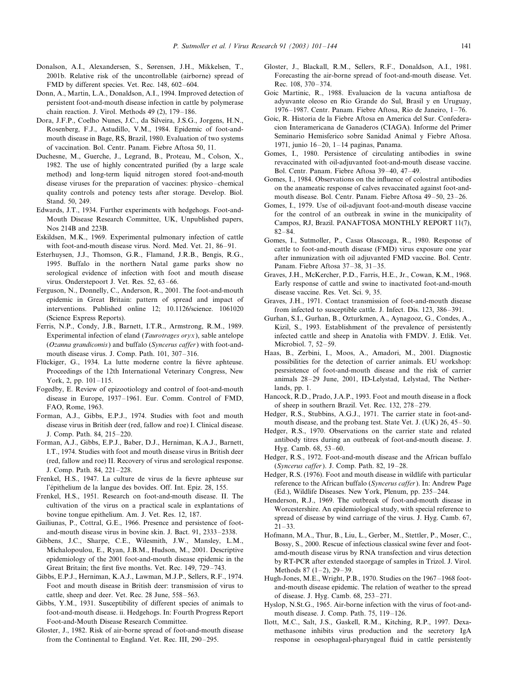- <span id="page-40-0"></span>Donalson, A.I., Alexandersen, S., Sørensen, J.H., Mikkelsen, T., 2001b. Relative risk of the uncontrollable (airborne) spread of FMD by different species. Vet. Rec. 148, 602-604.
- Donn, A., Martin, L.A., Donaldson, A.I., 1994. Improved detection of persistent foot-and-mouth disease infection in cattle by polymerase chain reaction. J. Virol. Methods  $49$  (2),  $179-186$ .
- Dora, J.F.P., Coelho Nunes, J.C., da Silveira, J.S.G., Jorgens, H.N., Rosenberg, F.J., Astudillo, V.M., 1984. Epidemic of foot-andmouth disease in Bage, RS, Brazil, 1980. Evaluation of two systems of vaccination. Bol. Centr. Panam. Fiebre Aftosa 50, 11.
- Duchesne, M., Guerche, J., Legrand, B., Proteau, M., Colson, X., 1982. The use of highly concentrated purified (by a large scale method) and long-term liquid nitrogen stored foot-and-mouth disease viruses for the preparation of vaccines: physico-chemical quality controls and potency tests after storage. Develop. Biol. Stand. 50, 249.
- Edwards, J.T., 1934. Further experiments with hedgehogs. Foot-and-Mouth Disease Research Committee, UK, Unpublished papers, Nos 214B and 223B.
- Eskildsen, M.K., 1969. Experimental pulmonary infection of cattle with foot-and-mouth disease virus. Nord. Med. Vet. 21, 86-91.
- Esterhuysen, J.J., Thomson, G.R., Flamand, J.R.B., Bengis, R.G., 1995. Buffalo in the northern Natal game parks show no serological evidence of infection with foot and mouth disease virus. Onderstepoort J. Vet. Res. 52, 63-66.
- Ferguson, N., Donnelly, C., Anderson, R., 2001. The foot-and-mouth epidemic in Great Britain: pattern of spread and impact of interventions. Published online 12; 10.1126/science. 1061020 (Science Express Reports).
- Ferris, N.P., Condy, J.B., Barnett, I.T.R., Armstrong, R.M., 1989. Experimental infection of eland (Taurotrages oryx), sable antelope (Ozanna grandicomis) and buffalo (Syncerus caffer) with foot-andmouth disease virus. J. Comp. Path.  $101$ ,  $307-316$ .
- Flückiger, G., 1934. La lutte moderne contre la fiévre aphteuse. Proceedings of the 12th International Veterinary Congress, New York, 2, pp.  $101-115$ .
- Fogedby, E. Review of epizootiology and control of foot-and-mouth disease in Europe, 1937-1961. Eur. Comm. Control of FMD, FAO, Rome, 1963.
- Forman, A.J., Gibbs, E.P.J., 1974. Studies with foot and mouth disease virus in British deer (red, fallow and roe) I. Clinical disease. J. Comp. Path. 84, 215-220.
- Forman, A.J., Gibbs, E.P.J., Baber, D.J., Herniman, K.A.J., Barnett, I.T., 1974. Studies with foot and mouth disease virus in British deer (red, fallow and roe) II. Recovery of virus and serological response. J. Comp. Path. 84, 221-228.
- Frenkel, H.S., 1947. La culture de virus de la fievre aphteuse sur l'épithelium de la langue des bovides. Off. Int. Epiz. 28, 155.
- Frenkel, H.S., 1951. Research on foot-and-mouth disease. II. The cultivation of the virus on a practical scale in explantations of bovine tongue epithelium. Am. J. Vet. Res. 12, 187.
- Gailiunas, P., Cottral, G.E., 1966. Presence and persistence of footand-mouth disease virus in bovine skin. J. Bact. 91, 2333-2338.
- Gibbens, J.C., Sharpe, C.E., Wilesmith, J.W., Mansley, L.M., Michalopoulou, E., Ryan, J.B.M., Hudson, M., 2001. Descriptive epidemiology of the 2001 foot-and-mouth disease epidemic in the Great Britain; the first five months. Vet. Rec. 149, 729-743.
- Gibbs, E.P.J., Herniman, K.A.J., Lawman, M.J.P., Sellers, R.F., 1974. Foot and mouth disease in British deer: transmission of virus to cattle, sheep and deer. Vet. Rec.  $28$  June,  $558-563$ .
- Gibbs, Y.M., 1931. Susceptibility of different species of animals to foot-and-mouth disease. ii. Hedgehogs. In: Fourth Progress Report Foot-and-Mouth Disease Research Committee.
- Gloster, J., 1982. Risk of air-borne spread of foot-and-mouth disease from the Continental to England. Vet. Rec. III,  $290-295$ .
- Gloster, J., Blackall, R.M., Sellers, R.F., Donaldson, A.I., 1981. Forecasting the air-borne spread of foot-and-mouth disease. Vet. Rec.  $108.370 - 374.$
- Goic Martinic, R., 1988. Evaluacion de la vacuna antiaftosa de adyuvante oleoso en Rio Grande do Sul, Brasil y en Uruguay, 1976–1987. Centr. Panam. Fiebre Aftosa, Rio de Janeiro,  $1-76$ .
- Goic, R. Historia de la Fiebre Aftosa en America del Sur. Confederacion Interamericana de Ganaderos (CIAGA). Informe del Primer Seminario Hemisferico sobre Sanidad Animal y Fiebre Aftosa. 1971, junio 16-20, 1-14 paginas, Panama.
- Gomes, I., 1980. Persistence of circulating antibodies in swine revaccinated with oil-adjuvanted foot-and-mouth disease vaccine. Bol. Centr. Panam. Fiebre Aftosa 39-40, 47-49.
- Gomes, I., 1984. Observations on the influence of colostral antibodies on the anameatic response of calves revaccinated against foot-andmouth disease. Bol. Centr. Panam. Fiebre Aftosa  $49-50$ ,  $23-26$ .
- Gomes, I., 1979. Use of oil-adjuvant foot-and-mouth disease vaccine for the control of an outbreak in swine in the municipality of Campos, RJ, Brazil. PANAFTOSA MONTHLY REPORT 11(7),  $82 - 84.$
- Gomes, I., Sutmoller, P., Casas Olascoaga, R., 1980. Response of cattle to foot-and-mouth disease (FMD) virus exposure one year after inmunization with oil adjuvanted FMD vaccine. Bol. Centr. Panam. Fiebre Aftosa  $37-38$ ,  $31-35$ .
- Graves, J.H., McKercher, P.D., Farris, H.E., Jr., Cowan, K.M., 1968. Early response of cattle and swine to inactivated foot-and-mouth disease vaccine. Res. Vet. Sci. 9, 35.
- Graves, J.H., 1971. Contact transmission of foot-and-mouth disease from infected to susceptible cattle. J. Infect. Dis.  $123$ ,  $386-391$ .
- Gurhan, S.I., Gurhan, B., Ozturkmen, A., Aynagooz, G., Condes, A., Kizil, S., 1993. Establishment of the prevalence of persistently infected cattle and sheep in Anatolia with FMDV. J. Etlik. Vet. Microbiol. 7, 52-59.
- Haas, B., Zerbini, I., Moos, A., Amadori, M., 2001. Diagnostic possibilities for the detection of carrier animals. EU workshop: pesrsistence of foot-and-mouth disease and the risk of carrier animals  $28-29$  June, 2001, ID-Lelystad, Lelystad, The Netherlands, pp. 1.
- Hancock, R.D., Prado, J.A.P., 1993. Foot and mouth disease in a flock of sheep in southern Brazil. Vet. Rec. 132, 278-279.
- Hedger, R.S., Stubbins, A.G.J., 1971. The carrier state in foot-andmouth disease, and the probang test. State Vet. J. (UK)  $26$ ,  $45-50$ .
- Hedger, R.S., 1970. Observations on the carrier state and related antibody titres during an outbreak of foot-and-mouth disease. J. Hyg. Camb. 68, 53-60.
- Hedger, R.S., 1972. Foot-and-mouth disease and the African buffalo (Syncerus caffer). J. Comp. Path. 82,  $19-28$ .
- Hedger, R.S. (1976). Foot and mouth disease in wildlife with particular reference to the African buffalo (Syncerus caffer). In: Andrew Page (Ed.), Wildlife Diseases. New York, Plenum, pp. 235-244.
- Henderson, R.J., 1969. The outbreak of foot-and-mouth disease in Worcestershire. An epidemiological study, with special reference to spread of disease by wind carriage of the virus. J. Hyg. Camb. 67,  $21 - 33$
- Hofmann, M.A., Thur, B., Liu, L., Gerber, M., Stettler, P., Moser, C., Bossy, S., 2000. Rescue of infectious classical swine fever and footamd-mouth disease virus by RNA transfection and virus detection by RT-PCR after extended staorgage of samples in Trizol. J. Virol. Methods 87  $(1-2)$ , 29-39.
- Hugh-Jones, M.E., Wright, P.B., 1970. Studies on the  $1967-1968$  footand-mouth disease epidemic. The relation of weather to the spread of disease. J. Hyg. Camb. 68, 253-271.
- Hyslop, N.St.G., 1965. Air-borne infection with the virus of foot-andmouth disease. J. Comp. Path.  $75. 119-126$ .
- Ilott, M.C., Salt, J.S., Gaskell, R.M., Kitching, R.P., 1997. Dexamethasone inhibits virus production and the secretory IgA response in oesophageal-pharyngeal fluid in cattle persistently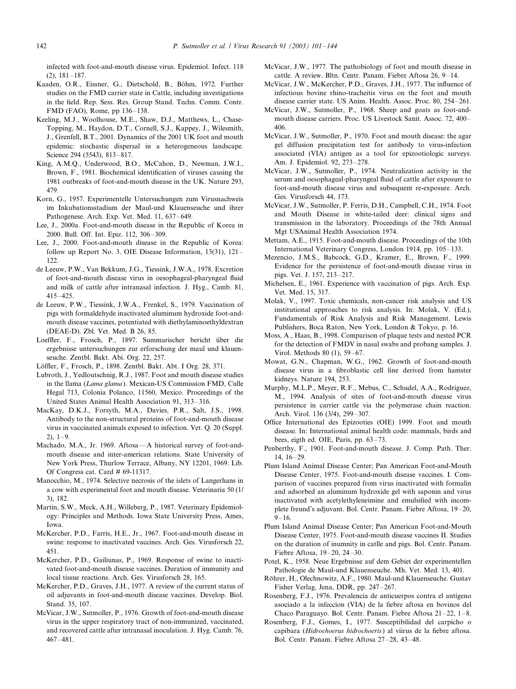<span id="page-41-0"></span>infected with foot-and-mouth disease virus. Epidemiol. Infect. 118  $(2)$ ,  $181 - 187$ .

- Kaaden, O.R., Eissner, G., Dietschold, B., Böhm, 1972. Further studies on the FMD carrier state in Cattle, including investigations in the field. Rep. Sess. Res. Group Stand. Techn. Comm. Contr. FMD (FAO), Rome, pp  $136-138$ .
- Keeling, M.J., Woolhouse, M.E., Shaw, D.J., Matthews, L., Chase-Topping, M., Haydon, D.T., Cornell, S.J., Kappey, J., Wilesmith, J., Grenfell, B.T., 2001. Dynamics of the 2001 UK foot and mouth epidemic: stochastic dispersal in a heterogeneous landscape. Science 294 (5543), 813-817.
- King, A.M.Q., Underwood, B.O., McCahon, D., Newman, J.W.I., Brown, F., 1981. Biochemical identification of viruses causing the 1981 outbreaks of foot-and-mouth disease in the UK. Nature 293, 479.
- Korn, G., 1957. Experimentelle Untersuchungen zum Virusnachweis im Inkubationsstadium der Maul-und Klauenseuche und ihrer Pathogenese. Arch. Exp. Vet. Med. 11, 637-649.
- Lee, J., 2000a. Foot-and-mouth disease in the Republic of Korea in 2000. Bull. Off. Int. Epiz. 112, 306-309.
- Lee, J., 2000. Foot-and-mouth disease in the Republic of Korea: follow up Report No. 3. OIE Disease Information,  $13(31)$ ,  $121$ 122
- de Leeuw, P.W., Van Bekkum, J.G., Tiessink, J.W.A., 1978. Excretion of foot-and-mouth disease virus in oesophageal-pharyngeal fluid and milk of cattle after intranasal infection. J. Hyg., Camb. 81,  $415 - 425$
- de Leeuw, P.W., Tiessink, J.W.A., Frenkel, S., 1979. Vaccination of pigs with formaldehyde inactivated aluminum hydroxide foot-andmouth disease vaccines, potentiated with diethylaminoethyldextran (DEAE-D). Zbl. Vet. Med. B 26, 85.
- Loeffler, F., Frosch, P., 1897. Summarischer bericht über die ergebnisse untersuchungen zur erforschung der maul und klauenseuche. Zentbl. Bakt. Abi. Org. 22, 257.
- Löffler, F., Frosch, P., 1898. Zentbl. Bakt. Abt. I Org. 28, 371.
- Lubroth, J., Yedloutschnig, R.J., 1987. Foot and mouth disease studies in the llama (Lama glama). Mexican-US Commission FMD, Culle Hegal 713, Colonia Polanco, 11560, Mexico. Proceedings of the United States Animal Health Association 91, 313-316.
- MacKay, D.K.J., Forsyth, M.A., Davies, P.R., Salt, J.S., 1998. Antibody to the non-structural proteins of foot-and-mouth disease virus in vaccinated animals exposed to infection. Vet. Q. 20 (Suppl.  $2)$ ,  $1-9$ .
- Machado, M.A., Jr. 1969. Aftosa-A historical survey of foot-andmouth disease and inter-american relations. State University of New York Press, Thurlow Terrace, Albany, NY 12201, 1969. Lib. Of Congress cat. Card # 69-11317.
- Manocchio, M., 1974. Selective necrosis of the islets of Langerhans in a cow with experimental foot and mouth disease. Veterinaria 50 (1/ 3), 182.
- Martin, S.W., Meck, A.H., Willeberg, P., 1987. Veterinary Epidemiology: Principles and Methods. Iowa State University Press, Ames, Iowa.
- McKercher, P.D., Farris, H.E., Jr., 1967. Foot-and-mouth disease in swine: response to inactivated vaccines. Arch. Ges. Virusforsch 22, 451.
- McKercher, P.D., Gailiunas, P., 1969. Response of swine to inactivated foot-and-mouth disease vaccines. Duration of immunity and local tissue reactions. Arch. Ges. Virusforsch 28, 165.
- McKercher, P.D., Graves, J.H., 1977. A review of the current status of oil adjuvants in foot-and-mouth disease vaccines. Develop. Biol. Stand. 35, 107.
- McVicar, J.W., Sutmoller, P., 1976. Growth of foot-and-mouth disease virus in the upper respiratory tract of non-immunized, vaccinated, and recovered cattle after intranasal inoculation. J. Hyg. Camb. 76,  $467 - 481$
- McVicar, J.W., 1977. The pathobiology of foot and mouth disease in cattle. A review. Bltn. Centr. Panam. Fiebre Aftosa 26, 9-14.
- McVicar, J.W., McKercher, P.D., Graves, J.H., 1977. The influence of infectious bovine rhino-tracheitis virus on the foot and mouth disease carrier state. US Anim. Health. Assoc. Proc. 80, 254-261.
- McVicar, J.W., Sutmoller, P., 1968. Sheep and goats as foot-andmouth disease carriers. Proc. US Livestock Sanit. Assoc. 72, 400-406.
- McVicar, J.W., Sutmoller, P., 1970. Foot and mouth disease: the agar gel diffusion precipitation test for antibody to virus-infection associated (VIA) antigen as a tool for epizootiologic surveys. Am. J. Epidemiol. 92, 273-278.
- McVicar, J.W., Sutmoller, P., 1974. Neutralization activity in the serum and oesophageal-pharyngeal fluid of cattle after exposure to foot-and-mouth disease virus and subsequent re-exposure. Arch. Ges. Virusforsch 44, 173.
- McVicar, J.W., Sutmoller, P. Ferris, D.H., Campbell, C.H., 1974. Foot and Mouth Disease in white-tailed deer: clinical signs and transmission in the laboratory. Proceedings of the 78th Annual Mgt USAnimal Health Association 1974.
- Mettam, A.E., 1915. Foot-and-mouth disease. Proceedings of the 10th International Veterinary Congress, London 1914, pp. 105-133.
- Mezencio, J.M.S., Babcock, G.D., Kramer, E., Brown, F., 1999. Evidence for the persistence of foot-and-mouth disease virus in pigs. Vet. J. 157, 213-217.
- Michelsen, E., 1961. Experience with vaccination of pigs. Arch. Exp. Vet. Med. 15, 317.
- Molak, V., 1997. Toxic chemicals, non-cancer risk analysis and US institutional approaches to risk analysis. In: Molak, V. (Ed.), Fundamentals of Risk Analysis and Risk Management. Lewis Publishers, Boca Raton, New York, London & Tokyo, p. 16.
- Moss, A., Haas, B., 1998. Comparison of plaque tests and nested PCR for the detection of FMDV in nasal swabs and probang samples. J. Virol. Methods 80 (1), 59-67.
- Mowat, G.N., Chapman, W.G., 1962. Growth of foot-and-mouth disease virus in a fibroblastic cell line derived from hamster kidneys. Nature 194, 253.
- Murphy, M.L.P., Meyer, R.F., Mebus, C., Schudel, A.A., Rodriguez, M., 1994. Analysis of sites of foot-and-mouth disease virus persistence in carrier cattle via the polymerase chain reaction. Arch. Virol. 136 (3/4), 299-307.
- Office International des Epizooties (OIE) 1999. Foot and mouth disease. In: International animal health code: mammals, birds and bees, eigth ed. OIE, Paris, pp. 63-73.
- Penberthy, F., 1901. Foot-and-mouth disease. J. Comp. Path. Ther.  $14, 16-29.$
- Plum Island Animal Disease Center; Pan American Foot-and-Mouth Disease Center, 1975. Foot-and-mouth disease vaccines. I. Comparison of vaccines prepared from virus inactivated with formalin and adsorbed an aluminum hydroxide gel with saponin and virus inactivated with acetylethyleneimine and emulsified with incomplete freund's adjuvant. Bol. Centr. Panam. Fiebre Aftosa, 19-20,  $9 - 16.$
- Plum Island Animal Disease Center; Pan American Foot-and-Mouth Disease Center, 1975. Foot-and-mouth disease vaccines II. Studies on the duration of inumnity in catlle and pigs. Bol. Centr. Panam. Fiebre Aftosa, 19-20, 24-30.
- Potel, K., 1958. Neue Ergebnisse auf dem Gebiet der experimentellen Pathologie de Maul-und Klauenseuche. Mh. Vet. Med. 13, 401.
- Röhrer, H., Olechnowitz, A.F., 1980. Maul-und Klauenseuche. Gustav Fisher Verlag, Jena, DDR, pp. 247-267.
- Rosenberg, F.J., 1976. Prevalencia de anticuerpos contra el antígeno asociado a la infección (VIA) de la fiebre aftosa en bovinos del Chaco Paraguayo. Bol. Centr. Panam. Fiebre Aftosa  $21-22$ ,  $1-8$ .
- Rosenberg, F.J., Gomes, I., 1977. Susceptibilidad del carpicho o capibara (Hidrochoerus hidrochoeris) al viirus de la fiebre aftosa. Bol. Centr. Panam. Fiebre Aftosa 27-28, 43-48.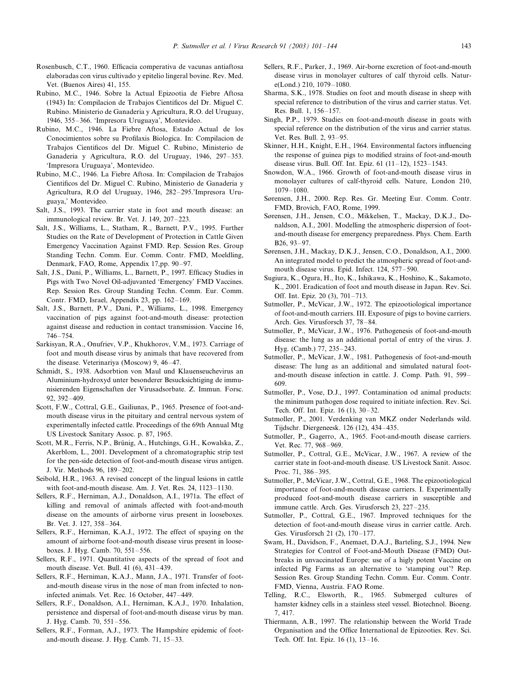- <span id="page-42-0"></span>Rosenbusch, C.T., 1960. Efficacia comperativa de vacunas antiaftosa elaboradas con virus cultivado y epitelio lingeral bovine. Rev. Med. Vet. (Buenos Aires) 41, 155.
- Rubino, M.C., 1946. Sobre la Actual Epizootia de Fiebre Aftosa (1943) In: Compilacion de Trabajos Cientificos del Dr. Miguel C. Rubino. Ministerio de Ganaderia y Agricultura, R.O. del Uruguay, 1946, 355-366. 'Impresora Uruguaya', Montevideo.
- Rubino, M.C., 1946. La Fiebre Aftosa, Estado Actual de los Conocimientos sobre su Profilaxis Biologica. In: Compilacion de Trabajos Cientificos del Dr. Miguel C. Rubino, Ministerio de Ganaderia y Agricultura, R.O. del Uruguay, 1946, 297-353. 'Impresora Uruguaya', Montevideo.
- Rubino, M.C., 1946. La Fiebre Aftosa. In: Compilacion de Trabajos Cientificos del Dr. Miguel C. Rubino, Ministerio de Ganaderia y Agricultura, R.O del Uruguay, 1946, 282-295.'Impresora Uruguaya,' Montevideo.
- Salt, J.S., 1993. The carrier state in foot and mouth disease: an immunological review. Br. Vet. J. 149, 207-223.
- Salt, J.S., Williams, L., Statham, R., Barnett, P.V., 1995. Further Studies on the Rate of Development of Protection in Cattle Given Emergency Vaccination Against FMD. Rep. Session Res. Group Standing Techn. Comm. Eur. Comm. Contr. FMD, Moeldling, Denmark, FAO, Rome, Appendix 17,pp. 90-97.
- Salt, J.S., Dani, P., Williams, L., Barnett, P., 1997. Efficacy Studies in Pigs with Two Novel Oil-adjuvanted 'Emergency' FMD Vaccines. Rep. Session Res. Group Standing Techn. Comm. Eur. Comm. Contr. FMD, Israel, Appendix 23, pp. 162-169.
- Salt, J.S., Barnett, P.V., Dani, P., Williams, L., 1998. Emergency vaccination of pigs against foot-and-mouth disease: protection against disease and reduction in contact transmission. Vaccine 16,  $746 - 754.$
- Sarkisyan, R.A., Onufriev, V.P., Khukhorov, V.M., 1973. Carriage of foot and mouth disease virus by animals that have recovered from the disease. Veterinariya (Moscow) 9, 46-47.
- Schmidt, S., 1938. Adsorbtion von Maul und Klauenseuchevirus an Aluminium-hydroxyd unter besonderer Besucksichtiging de immunisierenden Eigenschaften der Virusadsorbate. Z. Immun. Forsc.  $92, 392 - 409$
- Scott, F.W., Cottral, G.E., Gailiunas, P., 1965. Presence of foot-andmouth disease virus in the pituitary and central nervous system of experimentally infected cattle. Proceedings of the 69th Annual Mtg US Livestock Sanitary Assoc. p. 87, 1965.
- Scott, M.R., Ferris, N.P., Brünig, A., Hutchings, G.H., Kowalska, Z., Akerblom, L., 2001. Development of a chromatographic strip test for the pen-side detection of foot-and-mouth disease virus antigen. J. Vir. Methods 96, 189-202.
- Seibold, H.R., 1963. A revised concept of the lingual lesions in cattle with foot-and-mouth disease. Am. J. Vet. Res.  $24$ ,  $1123-1130$ .
- Sellers, R.F., Herniman, A.J., Donaldson, A.I., 1971a. The effect of killing and removal of animals affected with foot-and-mouth disease on the amounts of airborne virus present in looseboxes. Br. Vet. J. 127, 358-364.
- Sellers, R.F., Herniman, K.A.J., 1972. The effect of spaying on the amount of airborne foot-and-mouth disease virus present in looseboxes. J. Hyg. Camb. 70, 551-556.
- Sellers, R.F., 1971. Quantitative aspects of the spread of foot and mouth disease. Vet. Bull. 41  $(6)$ , 431-439.
- Sellers, R.F., Herniman, K.A.J., Mann, J.A., 1971. Transfer of footand-mouth disease virus in the nose of man from infected to noninfected animals. Vet. Rec. 16 October, 447-449.
- Sellers, R.F., Donaldson, A.I., Herniman, K.A.J., 1970. Inhalation, persistence and dispersal of foot-and-mouth disease virus by man. J. Hyg. Camb. 70, 551-556.
- Sellers, R.F., Forman, A.J., 1973. The Hampshire epidemic of footand-mouth disease. J. Hyg. Camb.  $71$ ,  $15-33$ .
- Sellers, R.F., Parker, J., 1969. Air-borne excretion of foot-and-mouth disease virus in monolayer cultures of calf thyroid cells. Nature(Lond.) 210, 1079-1080.
- Sharma, S.K., 1978. Studies on foot and mouth disease in sheep with special reference to distribution of the virus and carrier status. Vet.  $Res$  Bull 1, 156-157.
- Singh, P.P., 1979. Studies on foot-and-mouth disease in goats with special reference on the distribution of the virus and carrier status. Vet. Res. Bull. 2, 93-95.
- Skinner, H.H., Knight, E.H., 1964. Environmental factors influencing the response of guinea pigs to modified strains of foot-and-mouth disease virus. Bull. Off. Int. Epiz.  $61$   $(11-12)$ ,  $1523-1543$ .
- Snowdon, W.A., 1966. Growth of foot-and-mouth disease virus in monolayer cultures of calf-thyroid cells. Nature, London 210, 1079-1080.
- Sørensen, J.H., 2000. Rep. Res. Gr. Meeting Eur. Comm. Contr. FMD, Brovich, FAO, Rome, 1999.
- Sørensen, J.H., Jensen, C.O., Mikkelsen, T., Mackay, D.K.J., Donaldson, A.I., 2001. Modelling the atmospheric dispersion of footand-mouth disease for emergency preparedness. Phys. Chem. Earth B26, 93-97.
- Sørensen, J.H., Mackay, D.K.J., Jensen, C.O., Donaldson, A.I., 2000. An integrated model to predict the atmospheric spread of foot-andmouth disease virus. Epid. Infect. 124, 577-590.
- Sugiura, K., Ogura, H., Ito, K., Ishikawa, K., Hoshino, K., Sakamoto, K., 2001. Eradication of foot and mouth disease in Japan. Rev. Sci. Off. Int. Epiz. 20 (3), 701-713.
- Sutmoller, P., McVicar, J.W., 1972. The epizootiological importance of foot-and-mouth carriers. III. Exposure of pigs to bovine carriers. Arch. Ges. Virusforsch 37, 78-84.
- Sutmoller, P., McVicar, J.W., 1976. Pathogenesis of foot-and-mouth disease: the lung as an additional portal of entry of the virus. J. Hyg. (Camb.) 77, 235-243.
- Sutmoller, P., McVicar, J.W., 1981. Pathogenesis of foot-and-mouth disease: The lung as an additional and simulated natural footand-mouth disease infection in cattle. J. Comp. Path. 91, 599-609.
- Sutmoller, P., Vose, D.J., 1997. Contamination od animal products: the minimum pathogen dose required to initiate infection. Rev. Sci. Tech. Off. Int. Epiz. 16 (1), 30-32.
- Sutmoller, P., 2001. Verdenking van MKZ onder Nederlands wild. Tijdschr. Diergeneesk. 126 (12), 434-435.
- Sutmoller, P., Gagerro, A., 1965. Foot-and-mouth disease carriers. Vet. Rec. 77, 968-969.
- Sutmoller, P., Cottral, G.E., McVicar, J.W., 1967. A review of the carrier state in foot-and-mouth disease. US Livestock Sanit. Assoc. Proc. 71, 386-395.
- Sutmoller, P., McVicar, J.W., Cottral, G.E., 1968. The epizootiological importance of foot-and-mouth disease carriers. I. Experimentally produced foot-and-mouth disease carriers in susceptible and immune cattle. Arch. Ges. Virusforsch 23, 227-235.
- Sutmoller, P., Cottral, G.E., 1967. Improved techniques for the detection of foot-and-mouth disease virus in carrier cattle. Arch. Ges. Virusforsch 21 (2), 170-177.
- Swam, H., Davidson, F., Anemaet, D.A.J., Barteling, S.J., 1994. New Strategies for Control of Foot-and-Mouth Disease (FMD) Outbreaks in unvaccinated Europe: use of a higly potent Vaccine on infected Pig Farms as an alternative to 'stamping out'? Rep. Session Res. Group Standing Techn. Comm. Eur. Comm. Contr. FMD, Vienna, Austria. FAO Rome.
- Telling, R.C., Elsworth, R., 1965. Submerged cultures of hamster kidney cells in a stainless steel vessel. Biotechnol. Bioeng. 7, 417.
- Thiermann, A.B., 1997. The relationship between the World Trade Organisation and the Office International de Epizooties. Rev. Sci. Tech. Off. Int. Epiz. 16 (1), 13-16.